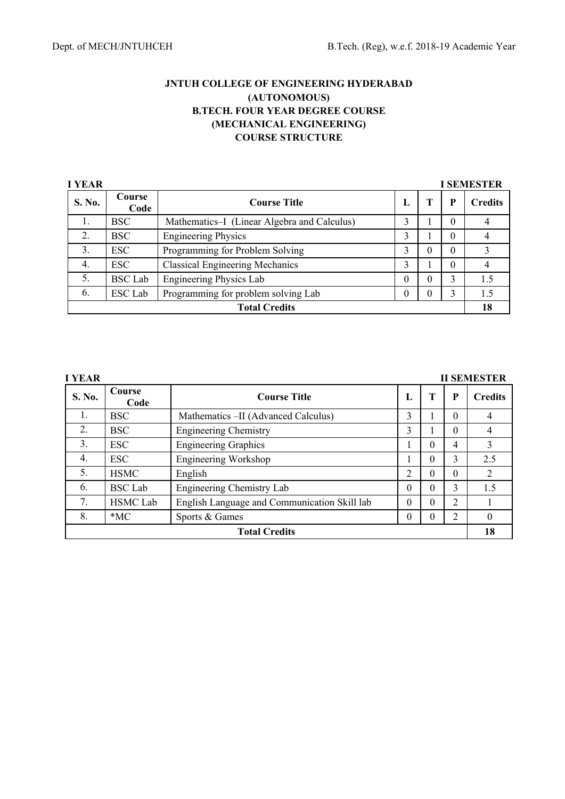| <b>I YEAR</b>        |                |                                             |   |          |          | <b>I SEMESTER</b> |
|----------------------|----------------|---------------------------------------------|---|----------|----------|-------------------|
| S. No.               | Course<br>Code | <b>Course Title</b>                         | L |          | P        | <b>Credits</b>    |
| 1.                   | <b>BSC</b>     | Mathematics–I (Linear Algebra and Calculus) | 3 |          | $\Omega$ |                   |
| 2.                   | <b>BSC</b>     | <b>Engineering Physics</b>                  | 3 |          | 0        |                   |
| 3.                   | <b>ESC</b>     | Programming for Problem Solving             | 3 | $\theta$ | $\theta$ |                   |
| 4.                   | <b>ESC</b>     | <b>Classical Engineering Mechanics</b>      | 3 |          | $\Omega$ |                   |
| 5.                   | <b>BSC</b> Lab | <b>Engineering Physics Lab</b>              | 0 |          | 3        | 1.5               |
| 6.                   | <b>ESC</b> Lab | Programming for problem solving Lab         | 0 | 0        | 3        | 1.5               |
| <b>Total Credits</b> |                |                                             |   |          |          | 18                |

| I YEAR | <b>II SEMESTER</b> |                                              |               |          |          |                |  |
|--------|--------------------|----------------------------------------------|---------------|----------|----------|----------------|--|
| S. No. | Course<br>Code     | <b>Course Title</b>                          | L             | т        | P        | <b>Credits</b> |  |
| 1.     | <b>BSC</b>         | Mathematics - II (Advanced Calculus)         | 3             |          | $\Omega$ | 4              |  |
| 2.     | <b>BSC</b>         | <b>Engineering Chemistry</b>                 | 3             |          | $\Omega$ | 4              |  |
| 3.     | <b>ESC</b>         | <b>Engineering Graphics</b>                  |               | $\Omega$ | 4        | 3              |  |
| 4.     | <b>ESC</b>         | Engineering Workshop                         |               | $\Omega$ | 3        | 2.5            |  |
| 5.     | <b>HSMC</b>        | English                                      | $\mathcal{D}$ | $\Omega$ | $\Omega$ | 2              |  |
| 6.     | <b>BSC</b> Lab     | Engineering Chemistry Lab                    | $\theta$      | $\Omega$ | 3        | 1.5            |  |
| 7.     | <b>HSMC</b> Lab    | English Language and Communication Skill lab | $\theta$      | $\Omega$ | 2        |                |  |
| 8.     | $*MC$              | Sports & Games                               | 0             |          | 2        | 0              |  |
|        |                    | <b>Total Credits</b>                         |               |          |          | 18             |  |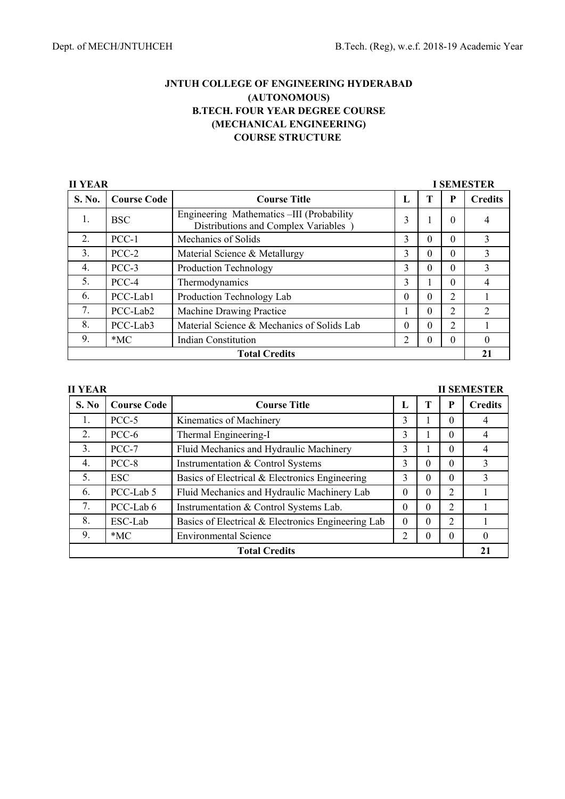| <b>II YEAR</b><br><b>I SEMESTER</b> |                    |                                                                                  |                |   |                |                |  |
|-------------------------------------|--------------------|----------------------------------------------------------------------------------|----------------|---|----------------|----------------|--|
| <b>S. No.</b>                       | <b>Course Code</b> | <b>Course Title</b>                                                              | п.             |   | P              | <b>Credits</b> |  |
| 1.                                  | <b>BSC</b>         | Engineering Mathematics -III (Probability<br>Distributions and Complex Variables | 3              |   | 0              |                |  |
| 2.                                  | $PCC-1$            | Mechanics of Solids                                                              | 3              | 0 | 0              | 3              |  |
| 3.                                  | $PCC-2$            | Material Science & Metallurgy                                                    | 3              | 0 | 0              | 3              |  |
| 4.                                  | PCC-3              | Production Technology                                                            | 3              | 0 | 0              | 3              |  |
| 5.                                  | PCC-4              | Thermodynamics                                                                   | 3              |   | 0              | 4              |  |
| 6.                                  | PCC-Lab1           | Production Technology Lab                                                        | $\Omega$       | 0 | $\overline{2}$ |                |  |
| 7.                                  | PCC-Lab2           | Machine Drawing Practice                                                         |                | 0 | 2              | $\overline{2}$ |  |
| 8.                                  | PCC-Lab3           | Material Science & Mechanics of Solids Lab                                       | $\Omega$       | 0 | 2              |                |  |
| 9.                                  | $*MC$              | <b>Indian Constitution</b>                                                       | $\overline{c}$ | 0 | 0              | 0              |  |
|                                     |                    | <b>Total Credits</b>                                                             |                |   |                | 21             |  |

| <b>II YEAR</b> |                    |                                                    |                |   |          | <b>II SEMESTER</b> |
|----------------|--------------------|----------------------------------------------------|----------------|---|----------|--------------------|
| S. No          | <b>Course Code</b> | <b>Course Title</b>                                | L              |   | P        | <b>Credits</b>     |
| 1.             | PCC-5              | Kinematics of Machinery                            | 3              |   | $\Omega$ | 4                  |
| 2.             | PCC-6              | Thermal Engineering-I                              | 3              |   | $\Omega$ | 4                  |
| 3.             | $PCC-7$            | Fluid Mechanics and Hydraulic Machinery            | 3              |   | $\Omega$ | 4                  |
| 4.             | PCC-8              | Instrumentation & Control Systems                  | 3              | 0 | $\Omega$ | 3                  |
| 5.             | <b>ESC</b>         | Basics of Electrical & Electronics Engineering     | 3              | 0 | $\Omega$ | 3                  |
| 6.             | PCC-Lab 5          | Fluid Mechanics and Hydraulic Machinery Lab        | $\Omega$       | 0 | 2        |                    |
| 7.             | PCC-Lab 6          | Instrumentation & Control Systems Lab.             | $\Omega$       | 0 | 2        |                    |
| 8.             | ESC-Lab            | Basics of Electrical & Electronics Engineering Lab | $\Omega$       | 0 | 2        |                    |
| 9.             | $*MC$              | <b>Environmental Science</b>                       | $\overline{2}$ | 0 | $\theta$ |                    |
|                |                    | <b>Total Credits</b>                               |                |   |          | 21                 |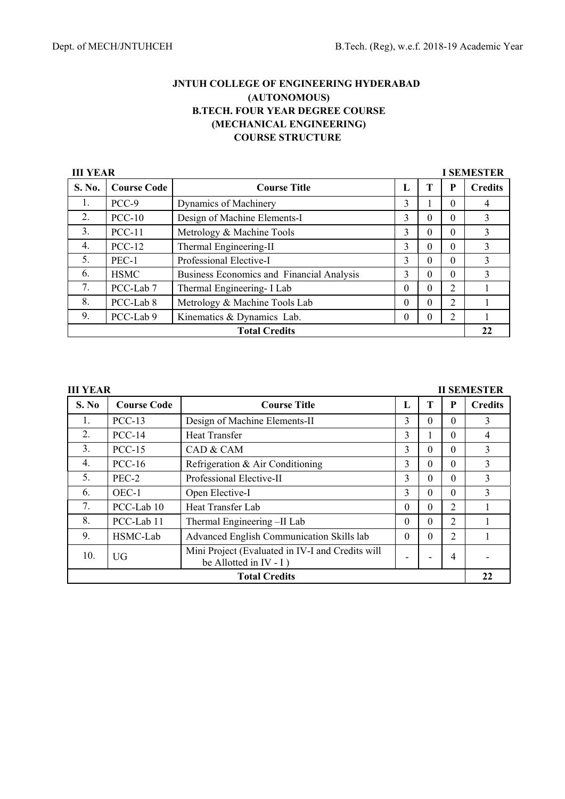| <b>III YEAR</b><br><b>I SEMESTER</b> |                    |                                           |          |          |                |                |  |  |
|--------------------------------------|--------------------|-------------------------------------------|----------|----------|----------------|----------------|--|--|
| S. No.                               | <b>Course Code</b> | <b>Course Title</b>                       | L        | Т        | P              | <b>Credits</b> |  |  |
| 1.                                   | PCC-9              | Dynamics of Machinery                     | 3        |          | $\theta$       | 4              |  |  |
| 2.                                   | $PCC-10$           | Design of Machine Elements-I              | 3        | $\Omega$ | $\Omega$       | 3              |  |  |
| 3.                                   | $PCC-11$           | Metrology & Machine Tools                 | 3        | $\theta$ | $\Omega$       | 3              |  |  |
| 4.                                   | $PCC-12$           | Thermal Engineering-II                    | 3        | $\Omega$ | $\Omega$       | 3              |  |  |
| 5.                                   | PEC-1              | Professional Elective-I                   | 3        | 0        | 0              | 3              |  |  |
| 6.                                   | <b>HSMC</b>        | Business Economics and Financial Analysis | 3        | 0        | $\Omega$       | $\mathbf{3}$   |  |  |
| 7.                                   | PCC-Lab 7          | Thermal Engineering- I Lab                | $\theta$ | $\theta$ | $\mathfrak{D}$ |                |  |  |
| 8.                                   | PCC-Lab 8          | Metrology & Machine Tools Lab             | $\theta$ | $\theta$ | 2              |                |  |  |
| 9.                                   | PCC-Lab 9          | Kinematics & Dynamics Lab.                | $\Omega$ |          | 2              |                |  |  |
|                                      |                    | <b>Total Credits</b>                      |          |          |                | 22             |  |  |

| <b>III YEAR</b> |                    |                                                                               |          |          |                | <b>II SEMESTER</b> |
|-----------------|--------------------|-------------------------------------------------------------------------------|----------|----------|----------------|--------------------|
| S. No           | <b>Course Code</b> | <b>Course Title</b>                                                           | L        | T        | P              | <b>Credits</b>     |
| 1.              | $PCC-13$           | Design of Machine Elements-II                                                 | 3        | $\theta$ | $\Omega$       | 3                  |
| 2.              | $PCC-14$           | <b>Heat Transfer</b>                                                          | 3        |          | $\Omega$       | 4                  |
| 3.              | $PCC-15$           | CAD & CAM                                                                     | 3        | $\Omega$ | $\Omega$       | 3                  |
| 4.              | $PCC-16$           | Refrigeration & Air Conditioning                                              | 3        | $\Omega$ | $\Omega$       | 3                  |
| 5.              | PEC-2              | Professional Elective-II                                                      | 3        | $\Omega$ | $\Omega$       | 3                  |
| 6.              | OEC-1              | Open Elective-I                                                               | 3        | $\Omega$ | $\Omega$       | 3                  |
| 7.              | PCC-Lab 10         | Heat Transfer Lab                                                             | $\Omega$ | $\Omega$ | 2              |                    |
| 8.              | PCC-Lab 11         | Thermal Engineering -II Lab                                                   | $\Omega$ | $\theta$ | 2              |                    |
| 9.              | HSMC-Lab           | Advanced English Communication Skills lab                                     | $\Omega$ | $\Omega$ | $\overline{2}$ |                    |
| 10.             | UG                 | Mini Project (Evaluated in IV-I and Credits will<br>be Allotted in $IV - I$ ) |          |          | 4              |                    |
|                 |                    | <b>Total Credits</b>                                                          |          |          |                | 22                 |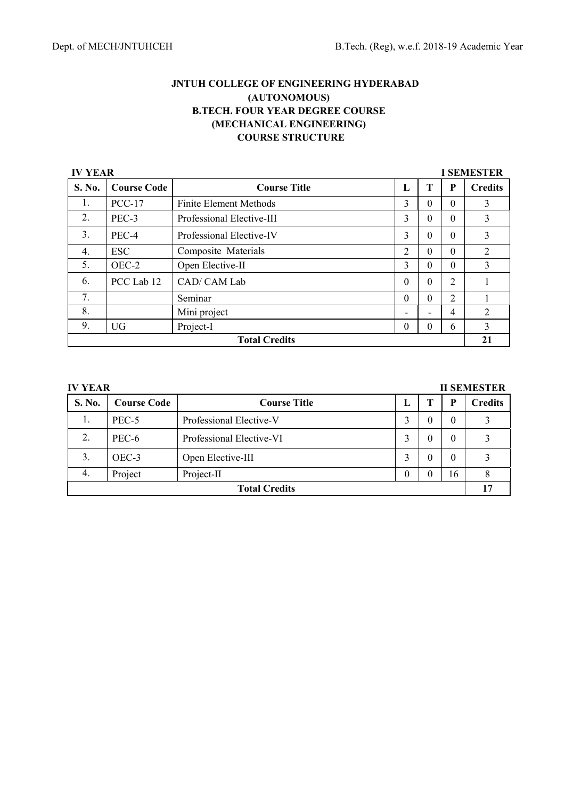| <b>IV YEAR</b><br><b>I SEMESTER</b> |                    |                               |                |          |                |                |  |  |
|-------------------------------------|--------------------|-------------------------------|----------------|----------|----------------|----------------|--|--|
| S. No.                              | <b>Course Code</b> | <b>Course Title</b>           | L              | T        | P              | <b>Credits</b> |  |  |
| 1.                                  | $PCC-17$           | <b>Finite Element Methods</b> | 3              | $\Omega$ | 0              | $\mathcal{E}$  |  |  |
| 2.                                  | PEC-3              | Professional Elective-III     | 3              | 0        | $\Omega$       | 3              |  |  |
| 3.                                  | PEC-4              | Professional Elective-IV      | 3              | $\Omega$ | 0              | 3              |  |  |
| 4.                                  | <b>ESC</b>         | Composite Materials           | $\overline{2}$ | $\Omega$ | 0              | $\overline{2}$ |  |  |
| 5.                                  | OEC-2              | Open Elective-II              | 3              | $\Omega$ | 0              | 3              |  |  |
| 6.                                  | PCC Lab 12         | CAD/ CAM Lab                  | $\Omega$       | $\Omega$ | $\overline{2}$ |                |  |  |
| 7.                                  |                    | Seminar                       | $\Omega$       | $\Omega$ | $\overline{2}$ |                |  |  |
| 8.                                  |                    | Mini project                  | -              |          | 4              | 2              |  |  |
| 9.                                  | <b>UG</b>          | Project-I                     | $\theta$       | $\theta$ | 6              | 3              |  |  |
|                                     |                    | <b>Total Credits</b>          |                |          |                | 21             |  |  |

| <b>IV YEAR</b> |                    |                          |   |        |          | <b>II SEMESTER</b> |
|----------------|--------------------|--------------------------|---|--------|----------|--------------------|
| <b>S. No.</b>  | <b>Course Code</b> | <b>Course Title</b>      | L |        | P        | <b>Credits</b>     |
| 1.             | PEC-5              | Professional Elective-V  |   | 0      | 0        |                    |
| 2.             | PEC-6              | Professional Elective-VI | 3 | $_{0}$ | 0        |                    |
| 3.             | OEC-3              | Open Elective-III        |   | 0      | $\Omega$ |                    |
| 4.             | Project            | Project-II               |   | 0      | 16       |                    |
|                |                    | <b>Total Credits</b>     |   |        |          |                    |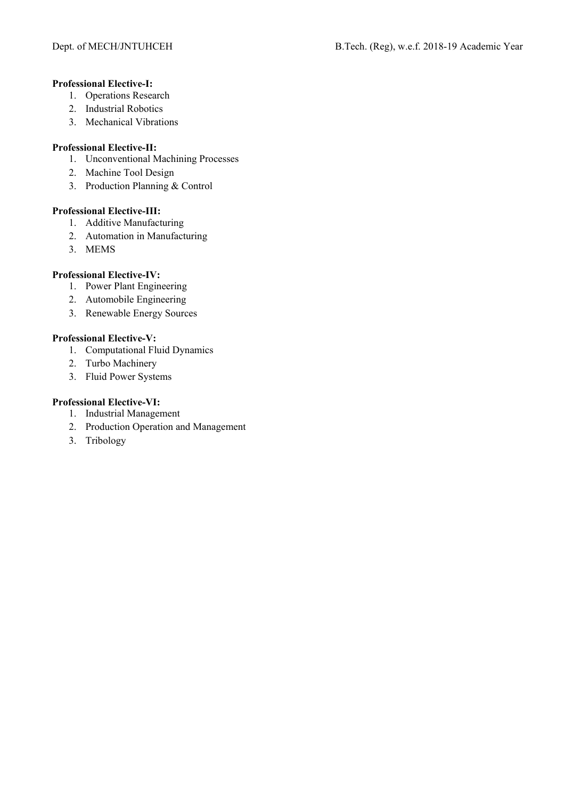### **Professional Elective-I:**

- 1. Operations Research
- 2. Industrial Robotics
- 3. Mechanical Vibrations

#### **Professional Elective-II:**

- 1. Unconventional Machining Processes
- 2. Machine Tool Design
- 3. Production Planning & Control

### **Professional Elective-III:**

- 1. Additive Manufacturing
- 2. Automation in Manufacturing
- 3. MEMS

### **Professional Elective-IV:**

- 1. Power Plant Engineering
- 2. Automobile Engineering
- 3. Renewable Energy Sources

### **Professional Elective-V:**

- 1. Computational Fluid Dynamics
- 2. Turbo Machinery
- 3. Fluid Power Systems

## **Professional Elective-VI:**

- 1. Industrial Management
- 2. Production Operation and Management
- 3. Tribology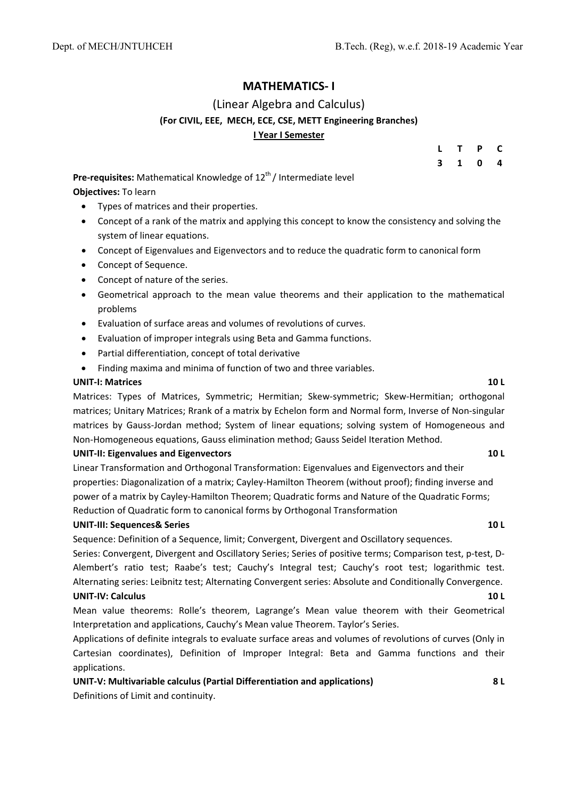## **MATHEMATICS‐ I**

## (Linear Algebra and Calculus) **(For CIVIL, EEE, MECH, ECE, CSE, METT Engineering Branches) I Year I Semester**

| -L                      | $\mathbf{T}$            | $\mathsf{P}$ | $\mathbf C$             |
|-------------------------|-------------------------|--------------|-------------------------|
| $\overline{\mathbf{3}}$ | $\overline{\mathbf{1}}$ | $\mathbf 0$  | $\overline{\mathbf{4}}$ |

**Pre-requisites:** Mathematical Knowledge of 12<sup>th</sup>/ Intermediate level **Objectives:** To learn

- Types of matrices and their properties.
- Concept of a rank of the matrix and applying this concept to know the consistency and solving the system of linear equations.
- Concept of Eigenvalues and Eigenvectors and to reduce the quadratic form to canonical form
- Concept of Sequence.
- Concept of nature of the series.
- Geometrical approach to the mean value theorems and their application to the mathematical problems
- Evaluation of surface areas and volumes of revolutions of curves.
- Evaluation of improper integrals using Beta and Gamma functions.
- Partial differentiation, concept of total derivative
- Finding maxima and minima of function of two and three variables.

#### **UNIT‐I: Matrices 10 L**

Matrices: Types of Matrices, Symmetric; Hermitian; Skew-symmetric; Skew-Hermitian; orthogonal matrices; Unitary Matrices; Rrank of a matrix by Echelon form and Normal form, Inverse of Non‐singular matrices by Gauss-Jordan method; System of linear equations; solving system of Homogeneous and Non‐Homogeneous equations, Gauss elimination method; Gauss Seidel Iteration Method.

#### **UNIT‐II: Eigenvalues and Eigenvectors 10 L**

Linear Transformation and Orthogonal Transformation: Eigenvalues and Eigenvectors and their properties: Diagonalization of a matrix; Cayley‐Hamilton Theorem (without proof); finding inverse and power of a matrix by Cayley‐Hamilton Theorem; Quadratic forms and Nature of the Quadratic Forms; Reduction of Quadratic form to canonical forms by Orthogonal Transformation

#### **UNIT‐III: Sequences& Series 10 L**

Sequence: Definition of a Sequence, limit; Convergent, Divergent and Oscillatory sequences.

Series: Convergent, Divergent and Oscillatory Series; Series of positive terms; Comparison test, p‐test, D‐ Alembert's ratio test; Raabe's test; Cauchy's Integral test; Cauchy's root test; logarithmic test. Alternating series: Leibnitz test; Alternating Convergent series: Absolute and Conditionally Convergence. **UNIT‐IV: Calculus 10 L**

Mean value theorems: Rolle's theorem, Lagrange's Mean value theorem with their Geometrical Interpretation and applications, Cauchy's Mean value Theorem. Taylor's Series.

Applications of definite integrals to evaluate surface areas and volumes of revolutions of curves (Only in Cartesian coordinates), Definition of Improper Integral: Beta and Gamma functions and their applications.

**UNIT‐V: Multivariable calculus (Partial Differentiation and applications) 8 L**

Definitions of Limit and continuity.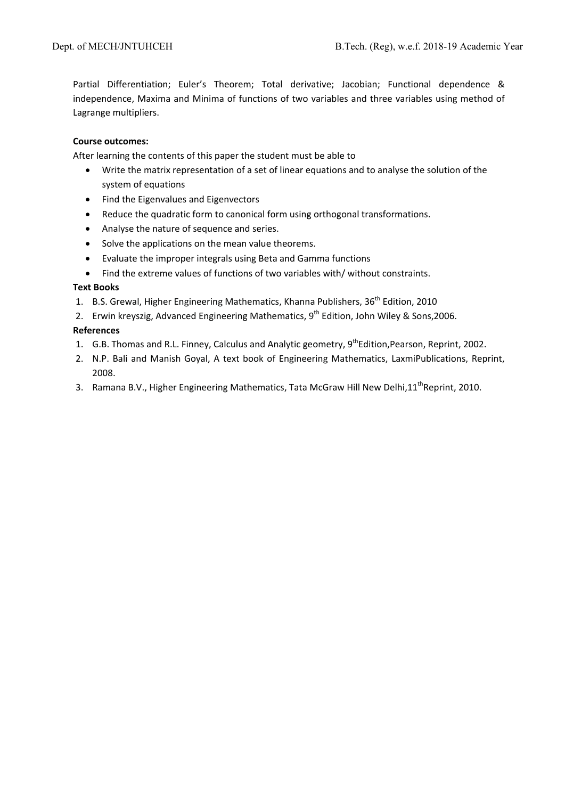Partial Differentiation; Euler's Theorem; Total derivative; Jacobian; Functional dependence & independence, Maxima and Minima of functions of two variables and three variables using method of Lagrange multipliers.

#### **Course outcomes:**

After learning the contents of this paper the student must be able to

- Write the matrix representation of a set of linear equations and to analyse the solution of the system of equations
- Find the Eigenvalues and Eigenvectors
- Reduce the quadratic form to canonical form using orthogonal transformations.
- Analyse the nature of sequence and series.
- Solve the applications on the mean value theorems.
- Evaluate the improper integrals using Beta and Gamma functions
- Find the extreme values of functions of two variables with/ without constraints.

#### **Text Books**

- 1. B.S. Grewal, Higher Engineering Mathematics, Khanna Publishers, 36<sup>th</sup> Edition, 2010
- 2. Erwin kreyszig, Advanced Engineering Mathematics, 9<sup>th</sup> Edition, John Wiley & Sons, 2006.

### **References**

- 1. G.B. Thomas and R.L. Finney, Calculus and Analytic geometry, 9<sup>th</sup>Edition, Pearson, Reprint, 2002.
- 2. N.P. Bali and Manish Goyal, A text book of Engineering Mathematics, LaxmiPublications, Reprint, 2008.
- 3. Ramana B.V., Higher Engineering Mathematics, Tata McGraw Hill New Delhi,11<sup>th</sup>Reprint, 2010.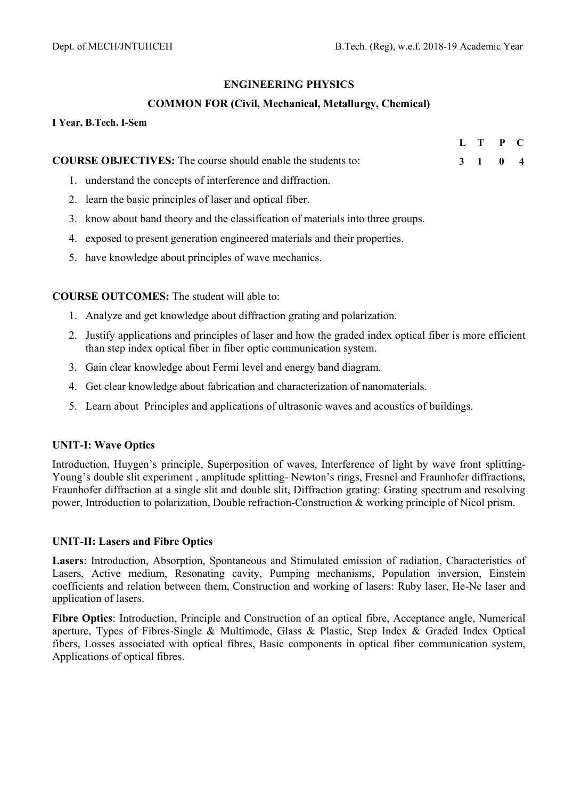**L T P C** 

## **ENGINEERING PHYSICS**

## **COMMON FOR (Civil, Mechanical, Metallurgy, Chemical)**

| I Year, B.Tech. I-Sem |  |  |
|-----------------------|--|--|
|                       |  |  |

| <b>COURSE OBJECTIVES:</b> The course should enable the students to: |  | 3 1 0 4 |  |
|---------------------------------------------------------------------|--|---------|--|
|                                                                     |  |         |  |

- 1. understand the concepts of interference and diffraction.
- 2. learn the basic principles of laser and optical fiber.
- 3. know about band theory and the classification of materials into three groups.
- 4. exposed to present generation engineered materials and their properties.
- 5. have knowledge about principles of wave mechanics.

**COURSE OUTCOMES:** The student will able to:

- 1. Analyze and get knowledge about diffraction grating and polarization.
- 2. Justify applications and principles of laser and how the graded index optical fiber is more efficient than step index optical fiber in fiber optic communication system.
- 3. Gain clear knowledge about Fermi level and energy band diagram.
- 4. Get clear knowledge about fabrication and characterization of nanomaterials.
- 5. Learn about Principles and applications of ultrasonic waves and acoustics of buildings.

## **UNIT-I: Wave Optics**

Introduction, Huygen's principle, Superposition of waves, Interference of light by wave front splitting-Young's double slit experiment , amplitude splitting- Newton's rings, Fresnel and Fraunhofer diffractions, Fraunhofer diffraction at a single slit and double slit, Diffraction grating: Grating spectrum and resolving power, Introduction to polarization, Double refraction-Construction & working principle of Nicol prism.

## **UNIT-II: Lasers and Fibre Optics**

**Lasers**: Introduction, Absorption, Spontaneous and Stimulated emission of radiation, Characteristics of Lasers, Active medium, Resonating cavity, Pumping mechanisms, Population inversion, Einstein coefficients and relation between them, Construction and working of lasers: Ruby laser, He-Ne laser and application of lasers.

**Fibre Optics**: Introduction, Principle and Construction of an optical fibre, Acceptance angle, Numerical aperture, Types of Fibres-Single & Multimode, Glass & Plastic, Step Index & Graded Index Optical fibers, Losses associated with optical fibres, Basic components in optical fiber communication system, Applications of optical fibres.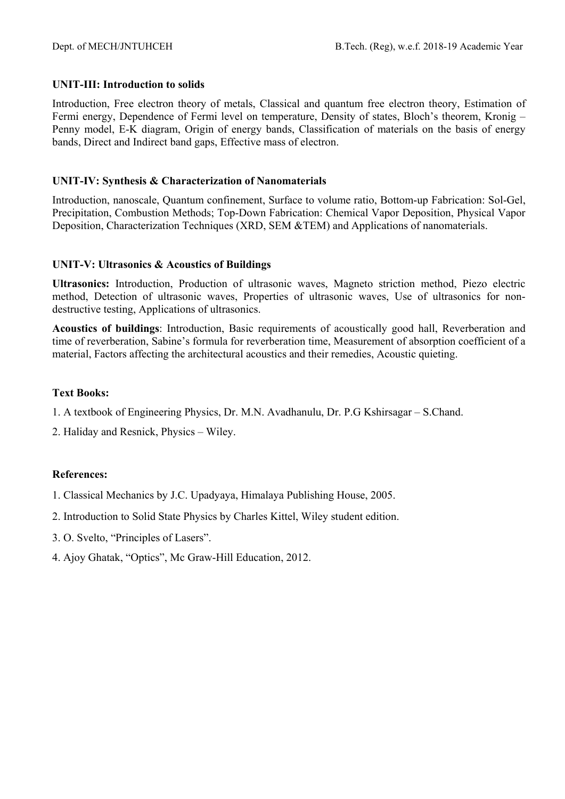## **UNIT-III: Introduction to solids**

Introduction, Free electron theory of metals, Classical and quantum free electron theory, Estimation of Fermi energy, Dependence of Fermi level on temperature, Density of states, Bloch's theorem, Kronig – Penny model, E-K diagram, Origin of energy bands, Classification of materials on the basis of energy bands, Direct and Indirect band gaps, Effective mass of electron.

## **UNIT-IV: Synthesis & Characterization of Nanomaterials**

Introduction, nanoscale, Quantum confinement, Surface to volume ratio, Bottom-up Fabrication: Sol-Gel, Precipitation, Combustion Methods; Top-Down Fabrication: Chemical Vapor Deposition, Physical Vapor Deposition, Characterization Techniques (XRD, SEM &TEM) and Applications of nanomaterials.

## **UNIT-V: Ultrasonics & Acoustics of Buildings**

**Ultrasonics:** Introduction, Production of ultrasonic waves, Magneto striction method, Piezo electric method, Detection of ultrasonic waves, Properties of ultrasonic waves, Use of ultrasonics for nondestructive testing, Applications of ultrasonics.

**Acoustics of buildings**: Introduction, Basic requirements of acoustically good hall, Reverberation and time of reverberation, Sabine's formula for reverberation time, Measurement of absorption coefficient of a material, Factors affecting the architectural acoustics and their remedies, Acoustic quieting.

## **Text Books:**

- 1. A textbook of Engineering Physics, Dr. M.N. Avadhanulu, Dr. P.G Kshirsagar S.Chand.
- 2. Haliday and Resnick, Physics Wiley.

## **References:**

- 1. Classical Mechanics by J.C. Upadyaya, Himalaya Publishing House, 2005.
- 2. Introduction to Solid State Physics by Charles Kittel, Wiley student edition.
- 3. O. Svelto, "Principles of Lasers".
- 4. Ajoy Ghatak, "Optics", Mc Graw-Hill Education, 2012.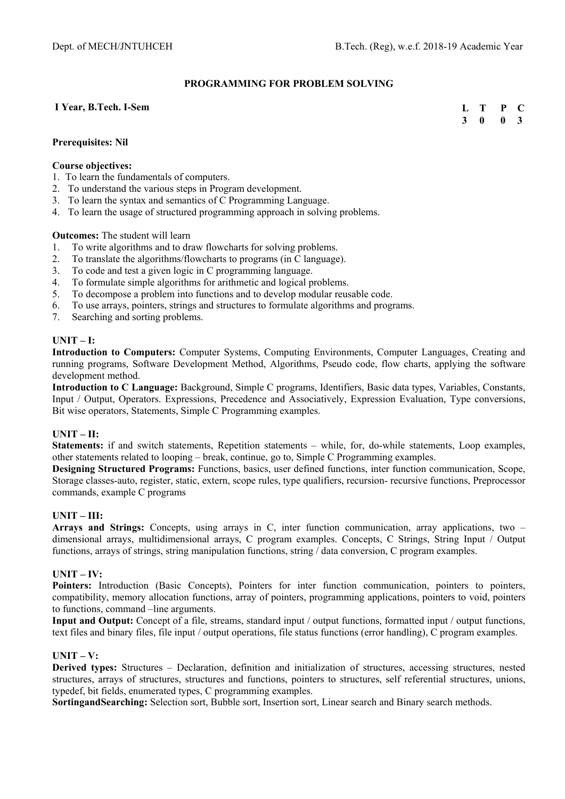#### **PROGRAMMING FOR PROBLEM SOLVING**

#### **I Year, B.Tech. I-Sem**

**L T P C 3 0 0 3** 

#### **Prerequisites: Nil**

#### **Course objectives:**

- 1. To learn the fundamentals of computers.
- 2. To understand the various steps in Program development.
- 3. To learn the syntax and semantics of C Programming Language.
- 4. To learn the usage of structured programming approach in solving problems.

#### **Outcomes:** The student will learn

- 1. To write algorithms and to draw flowcharts for solving problems.
- 2. To translate the algorithms/flowcharts to programs (in C language).
- 3. To code and test a given logic in C programming language.
- 4. To formulate simple algorithms for arithmetic and logical problems.
- 5. To decompose a problem into functions and to develop modular reusable code.
- 6. To use arrays, pointers, strings and structures to formulate algorithms and programs.
- 7. Searching and sorting problems.

#### **UNIT – I:**

**Introduction to Computers:** Computer Systems, Computing Environments, Computer Languages, Creating and running programs, Software Development Method, Algorithms, Pseudo code, flow charts, applying the software development method.

**Introduction to C Language:** Background, Simple C programs, Identifiers, Basic data types, Variables, Constants, Input / Output, Operators. Expressions, Precedence and Associatively, Expression Evaluation, Type conversions, Bit wise operators, Statements, Simple C Programming examples.

#### **UNIT – II:**

**Statements:** if and switch statements, Repetition statements – while, for, do-while statements, Loop examples, other statements related to looping – break, continue, go to, Simple C Programming examples.

**Designing Structured Programs:** Functions, basics, user defined functions, inter function communication, Scope, Storage classes-auto, register, static, extern, scope rules, type qualifiers, recursion- recursive functions, Preprocessor commands, example C programs

#### **UNIT – III:**

**Arrays and Strings:** Concepts, using arrays in C, inter function communication, array applications, two – dimensional arrays, multidimensional arrays, C program examples. Concepts, C Strings, String Input / Output functions, arrays of strings, string manipulation functions, string / data conversion, C program examples.

#### **UNIT – IV:**

Pointers: Introduction (Basic Concepts), Pointers for inter function communication, pointers to pointers, compatibility, memory allocation functions, array of pointers, programming applications, pointers to void, pointers to functions, command –line arguments.

**Input and Output:** Concept of a file, streams, standard input / output functions, formatted input / output functions, text files and binary files, file input / output operations, file status functions (error handling), C program examples.

#### **UNIT – V:**

**Derived types:** Structures – Declaration, definition and initialization of structures, accessing structures, nested structures, arrays of structures, structures and functions, pointers to structures, self referential structures, unions, typedef, bit fields, enumerated types, C programming examples.

**SortingandSearching:** Selection sort, Bubble sort, Insertion sort, Linear search and Binary search methods.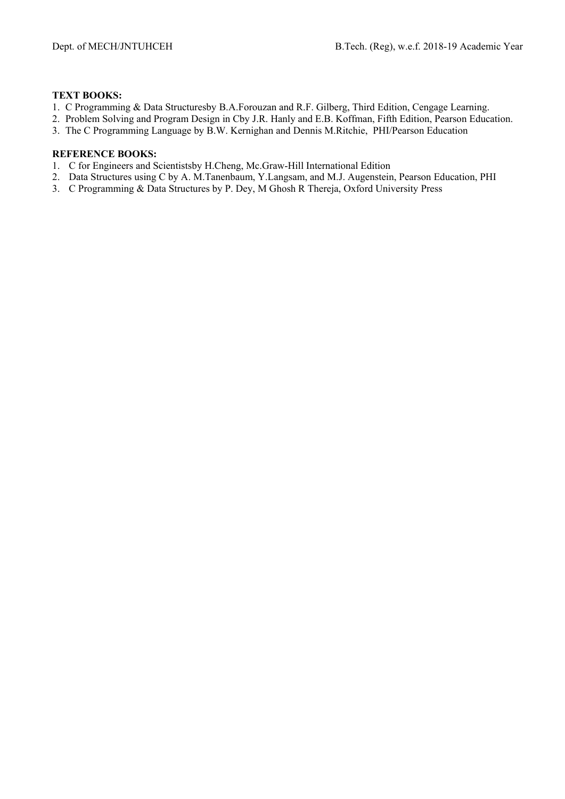### **TEXT BOOKS:**

- 1. C Programming & Data Structuresby B.A.Forouzan and R.F. Gilberg, Third Edition, Cengage Learning.
- 2. Problem Solving and Program Design in Cby J.R. Hanly and E.B. Koffman, Fifth Edition, Pearson Education.
- 3. The C Programming Language by B.W. Kernighan and Dennis M.Ritchie, PHI/Pearson Education

- 1. C for Engineers and Scientistsby H.Cheng, Mc.Graw-Hill International Edition
- 2. Data Structures using C by A. M.Tanenbaum, Y.Langsam, and M.J. Augenstein, Pearson Education, PHI
- 3. C Programming & Data Structures by P. Dey, M Ghosh R Thereja, Oxford University Press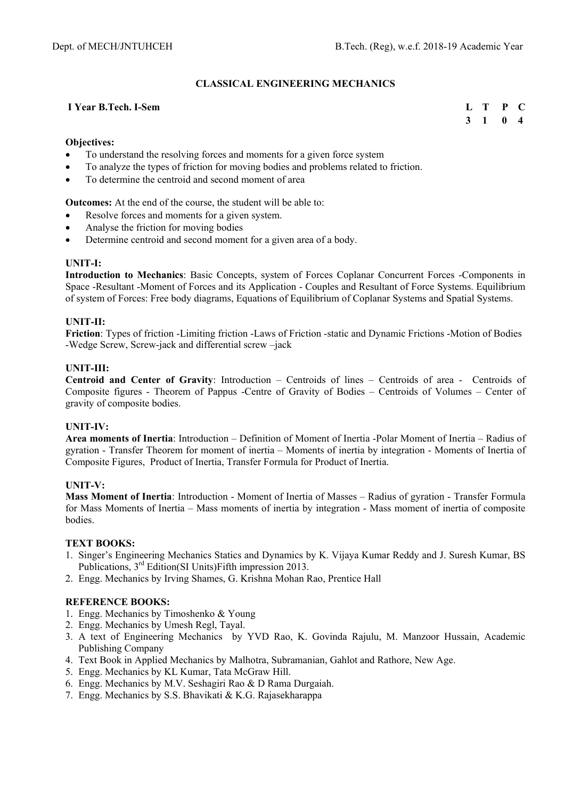## **CLASSICAL ENGINEERING MECHANICS**

#### **I Year B.Tech. I-Sem**

**L T P C 3 1 0 4** 

#### **Objectives:**

- To understand the resolving forces and moments for a given force system
- To analyze the types of friction for moving bodies and problems related to friction.
- To determine the centroid and second moment of area

**Outcomes:** At the end of the course, the student will be able to:

- Resolve forces and moments for a given system.
- Analyse the friction for moving bodies
- Determine centroid and second moment for a given area of a body.

#### **UNIT-I:**

**Introduction to Mechanics**: Basic Concepts, system of Forces Coplanar Concurrent Forces -Components in Space -Resultant -Moment of Forces and its Application - Couples and Resultant of Force Systems. Equilibrium of system of Forces: Free body diagrams, Equations of Equilibrium of Coplanar Systems and Spatial Systems.

#### **UNIT-II:**

**Friction**: Types of friction -Limiting friction -Laws of Friction -static and Dynamic Frictions -Motion of Bodies -Wedge Screw, Screw-jack and differential screw –jack

#### **UNIT-III:**

**Centroid and Center of Gravity**: Introduction – Centroids of lines – Centroids of area - Centroids of Composite figures - Theorem of Pappus -Centre of Gravity of Bodies – Centroids of Volumes – Center of gravity of composite bodies.

#### **UNIT-IV:**

**Area moments of Inertia**: Introduction – Definition of Moment of Inertia -Polar Moment of Inertia – Radius of gyration - Transfer Theorem for moment of inertia – Moments of inertia by integration - Moments of Inertia of Composite Figures, Product of Inertia, Transfer Formula for Product of Inertia.

#### **UNIT-V:**

**Mass Moment of Inertia**: Introduction - Moment of Inertia of Masses – Radius of gyration - Transfer Formula for Mass Moments of Inertia – Mass moments of inertia by integration - Mass moment of inertia of composite bodies.

#### **TEXT BOOKS:**

- 1. Singer's Engineering Mechanics Statics and Dynamics by K. Vijaya Kumar Reddy and J. Suresh Kumar, BS Publications, 3rd Edition(SI Units)Fifth impression 2013.
- 2. Engg. Mechanics by Irving Shames, G. Krishna Mohan Rao, Prentice Hall

- 1. Engg. Mechanics by Timoshenko & Young
- 2. Engg. Mechanics by Umesh Regl, Tayal.
- 3. A text of Engineering Mechanics by YVD Rao, K. Govinda Rajulu, M. Manzoor Hussain, Academic Publishing Company
- 4. Text Book in Applied Mechanics by Malhotra, Subramanian, Gahlot and Rathore, New Age.
- 5. Engg. Mechanics by KL Kumar, Tata McGraw Hill.
- 6. Engg. Mechanics by M.V. Seshagiri Rao & D Rama Durgaiah.
- 7. Engg. Mechanics by S.S. Bhavikati & K.G. Rajasekharappa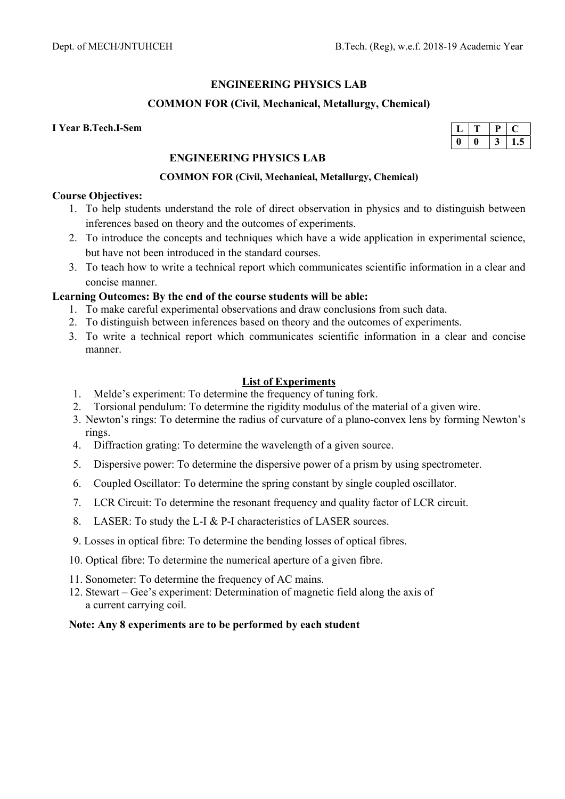## **ENGINEERING PHYSICS LAB**

## **COMMON FOR (Civil, Mechanical, Metallurgy, Chemical)**

#### **I Year B.Tech.I-Sem**

|  | $\ddot{\phantom{0}}$ |
|--|----------------------|

## **ENGINEERING PHYSICS LAB**

#### **COMMON FOR (Civil, Mechanical, Metallurgy, Chemical)**

#### **Course Objectives:**

- 1. To help students understand the role of direct observation in physics and to distinguish between inferences based on theory and the outcomes of experiments.
- 2. To introduce the concepts and techniques which have a wide application in experimental science, but have not been introduced in the standard courses.
- 3. To teach how to write a technical report which communicates scientific information in a clear and concise manner.

## **Learning Outcomes: By the end of the course students will be able:**

- 1. To make careful experimental observations and draw conclusions from such data.
- 2. To distinguish between inferences based on theory and the outcomes of experiments.
- 3. To write a technical report which communicates scientific information in a clear and concise manner.

### **List of Experiments**

- 1. Melde's experiment: To determine the frequency of tuning fork.
- 2. Torsional pendulum: To determine the rigidity modulus of the material of a given wire.
- 3. Newton's rings: To determine the radius of curvature of a plano-convex lens by forming Newton's rings.
- 4. Diffraction grating: To determine the wavelength of a given source.
- 5. Dispersive power: To determine the dispersive power of a prism by using spectrometer.
- 6. Coupled Oscillator: To determine the spring constant by single coupled oscillator.
- 7. LCR Circuit: To determine the resonant frequency and quality factor of LCR circuit.
- 8. LASER: To study the L-I & P-I characteristics of LASER sources.
- 9. Losses in optical fibre: To determine the bending losses of optical fibres.
- 10. Optical fibre: To determine the numerical aperture of a given fibre.
- 11. Sonometer: To determine the frequency of AC mains.
- 12. Stewart Gee's experiment: Determination of magnetic field along the axis of a current carrying coil.

#### **Note: Any 8 experiments are to be performed by each student**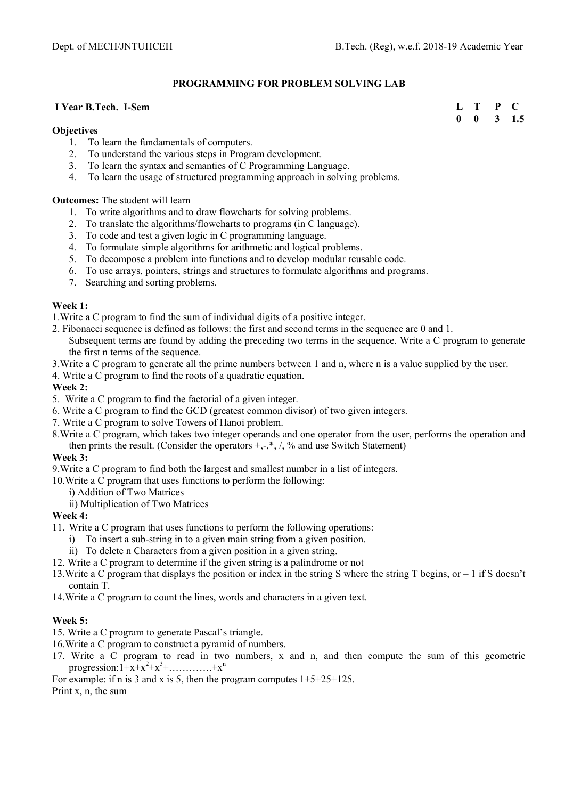#### **PROGRAMMING FOR PROBLEM SOLVING LAB**

#### **I Year B.Tech. I-Sem**

#### **Objectives**

- 1. To learn the fundamentals of computers.
- 2. To understand the various steps in Program development.
- 3. To learn the syntax and semantics of C Programming Language.
- 4. To learn the usage of structured programming approach in solving problems.

**Outcomes:** The student will learn

- 1. To write algorithms and to draw flowcharts for solving problems.
- 2. To translate the algorithms/flowcharts to programs (in C language).
- 3. To code and test a given logic in C programming language.
- 4. To formulate simple algorithms for arithmetic and logical problems.
- 5. To decompose a problem into functions and to develop modular reusable code.
- 6. To use arrays, pointers, strings and structures to formulate algorithms and programs.
- 7. Searching and sorting problems.

#### **Week 1:**

1.Write a C program to find the sum of individual digits of a positive integer.

- 2. Fibonacci sequence is defined as follows: the first and second terms in the sequence are 0 and 1. Subsequent terms are found by adding the preceding two terms in the sequence. Write a C program to generate the first n terms of the sequence.
- 3.Write a C program to generate all the prime numbers between 1 and n, where n is a value supplied by the user.
- 4. Write a C program to find the roots of a quadratic equation.

#### **Week 2:**

- 5. Write a C program to find the factorial of a given integer.
- 6. Write a C program to find the GCD (greatest common divisor) of two given integers.
- 7. Write a C program to solve Towers of Hanoi problem.
- 8.Write a C program, which takes two integer operands and one operator from the user, performs the operation and then prints the result. (Consider the operators  $+, \cdot, *, ', \cdot$ ) and use Switch Statement)

#### **Week 3:**

9.Write a C program to find both the largest and smallest number in a list of integers.

10.Write a C program that uses functions to perform the following:

i) Addition of Two Matrices

ii) Multiplication of Two Matrices

#### **Week 4:**

- 11. Write a C program that uses functions to perform the following operations:
	- i) To insert a sub-string in to a given main string from a given position.
	- ii) To delete n Characters from a given position in a given string.
- 12. Write a C program to determine if the given string is a palindrome or not
- 13.Write a C program that displays the position or index in the string S where the string T begins, or 1 if S doesn't contain T.
- 14.Write a C program to count the lines, words and characters in a given text.

#### **Week 5:**

- 15. Write a C program to generate Pascal's triangle.
- 16.Write a C program to construct a pyramid of numbers.
- 17. Write a C program to read in two numbers, x and n, and then compute the sum of this geometric progression:  $1+x+x^2+x^3+$ ...............+ $x^n$

For example: if n is 3 and x is 5, then the program computes  $1+5+25+125$ .

Print x, n, the sum

| L            | T | P |     |
|--------------|---|---|-----|
| $\mathbf{0}$ | 0 | 3 | 1.5 |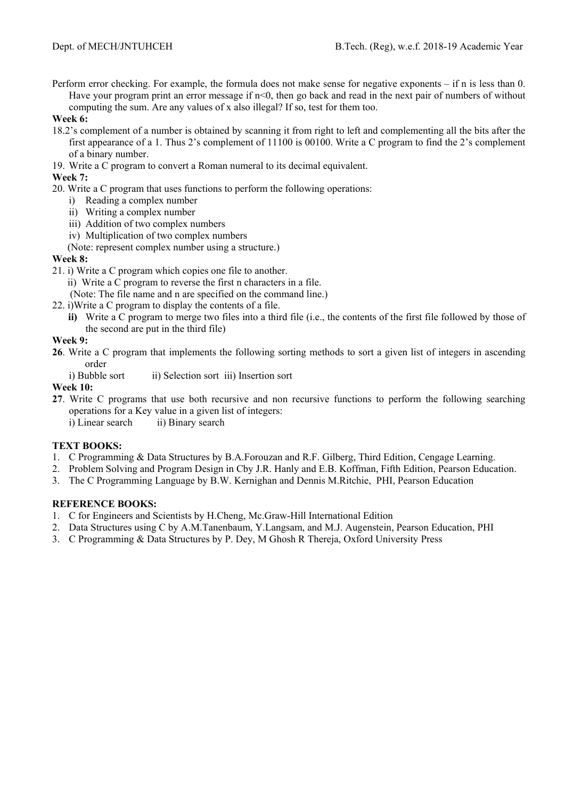Perform error checking. For example, the formula does not make sense for negative exponents – if n is less than 0. Have your program print an error message if  $n \leq 0$ , then go back and read in the next pair of numbers of without computing the sum. Are any values of x also illegal? If so, test for them too.

#### **Week 6:**

- 18.2's complement of a number is obtained by scanning it from right to left and complementing all the bits after the first appearance of a 1. Thus 2's complement of 11100 is 00100. Write a C program to find the 2's complement of a binary number.
- 19. Write a C program to convert a Roman numeral to its decimal equivalent.

## **Week 7:**

- 20. Write a C program that uses functions to perform the following operations:
	- i) Reading a complex number
	- ii) Writing a complex number
	- iii) Addition of two complex numbers
	- iv) Multiplication of two complex numbers
	- (Note: represent complex number using a structure.)

### **Week 8:**

21. i) Write a C program which copies one file to another.

ii) Write a C program to reverse the first n characters in a file.

- (Note: The file name and n are specified on the command line.)
- 22. i)Write a C program to display the contents of a file.
	- **ii)** Write a C program to merge two files into a third file (i.e., the contents of the first file followed by those of the second are put in the third file)

### **Week 9:**

- **26**. Write a C program that implements the following sorting methods to sort a given list of integers in ascending order
	- i) Bubble sort iii) Selection sort iii) Insertion sort

### **Week 10:**

- **27**. Write C programs that use both recursive and non recursive functions to perform the following searching operations for a Key value in a given list of integers:
	- i) Linear search ii) Binary search

## **TEXT BOOKS:**

- 1. C Programming & Data Structures by B.A.Forouzan and R.F. Gilberg, Third Edition, Cengage Learning.
- 2. Problem Solving and Program Design in Cby J.R. Hanly and E.B. Koffman, Fifth Edition, Pearson Education.
- 3. The C Programming Language by B.W. Kernighan and Dennis M.Ritchie, PHI, Pearson Education

- 1. C for Engineers and Scientists by H.Cheng, Mc.Graw-Hill International Edition
- 2. Data Structures using C by A.M.Tanenbaum, Y.Langsam, and M.J. Augenstein, Pearson Education, PHI
- 3. C Programming & Data Structures by P. Dey, M Ghosh R Thereja, Oxford University Press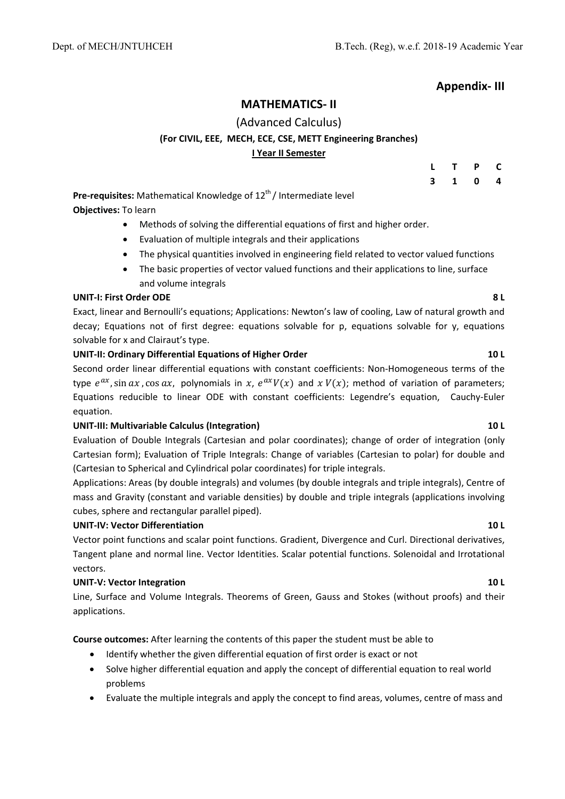## **Appendix‐ III**

## **MATHEMATICS‐ II**

## (Advanced Calculus) **(For CIVIL, EEE, MECH, ECE, CSE, METT Engineering Branches) I Year II Semester**

|                         | L T P | $\mathbf c$             |
|-------------------------|-------|-------------------------|
| $\overline{\mathbf{3}}$ | 1 0   | $\overline{\mathbf{4}}$ |

**Pre-requisites:** Mathematical Knowledge of 12<sup>th</sup>/ Intermediate level **Objectives:** To learn

- Methods of solving the differential equations of first and higher order.
- Evaluation of multiple integrals and their applications
- The physical quantities involved in engineering field related to vector valued functions
- The basic properties of vector valued functions and their applications to line, surface and volume integrals

#### **UNIT‐I: First Order ODE 8 L**

Exact, linear and Bernoulli's equations; Applications: Newton's law of cooling, Law of natural growth and decay; Equations not of first degree: equations solvable for p, equations solvable for y, equations solvable for x and Clairaut's type.

### **UNIT‐II: Ordinary Differential Equations of Higher Order 10 L**

Second order linear differential equations with constant coefficients: Non‐Homogeneous terms of the type  $e^{ax}$ , sin  $ax$ , cos  $ax$ , polynomials in x,  $e^{ax}V(x)$  and  $x V(x)$ ; method of variation of parameters; Equations reducible to linear ODE with constant coefficients: Legendre's equation, Cauchy‐Euler equation.

#### **UNIT‐III: Multivariable Calculus (Integration) 10 L**

Evaluation of Double Integrals (Cartesian and polar coordinates); change of order of integration (only Cartesian form); Evaluation of Triple Integrals: Change of variables (Cartesian to polar) for double and (Cartesian to Spherical and Cylindrical polar coordinates) for triple integrals.

Applications: Areas (by double integrals) and volumes (by double integrals and triple integrals), Centre of mass and Gravity (constant and variable densities) by double and triple integrals (applications involving cubes, sphere and rectangular parallel piped).

#### **UNIT‐IV: Vector Differentiation 10 L**

Vector point functions and scalar point functions. Gradient, Divergence and Curl. Directional derivatives, Tangent plane and normal line. Vector Identities. Scalar potential functions. Solenoidal and Irrotational vectors.

#### **UNIT‐V: Vector Integration 10 L**

Line, Surface and Volume Integrals. Theorems of Green, Gauss and Stokes (without proofs) and their applications.

**Course outcomes:** After learning the contents of this paper the student must be able to

- Identify whether the given differential equation of first order is exact or not
- Solve higher differential equation and apply the concept of differential equation to real world problems
- Evaluate the multiple integrals and apply the concept to find areas, volumes, centre of mass and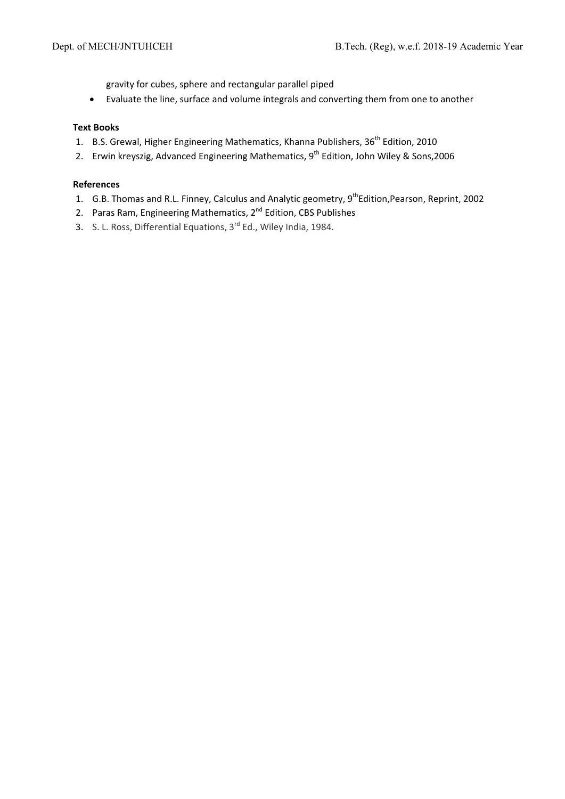gravity for cubes, sphere and rectangular parallel piped

Evaluate the line, surface and volume integrals and converting them from one to another

#### **Text Books**

- 1. B.S. Grewal, Higher Engineering Mathematics, Khanna Publishers, 36<sup>th</sup> Edition, 2010
- 2. Erwin kreyszig, Advanced Engineering Mathematics, 9<sup>th</sup> Edition, John Wiley & Sons, 2006

#### **References**

- 1. G.B. Thomas and R.L. Finney, Calculus and Analytic geometry, 9<sup>th</sup>Edition, Pearson, Reprint, 2002
- 2. Paras Ram, Engineering Mathematics, 2<sup>nd</sup> Edition, CBS Publishes
- 3. S. L. Ross, Differential Equations, 3<sup>rd</sup> Ed., Wiley India, 1984.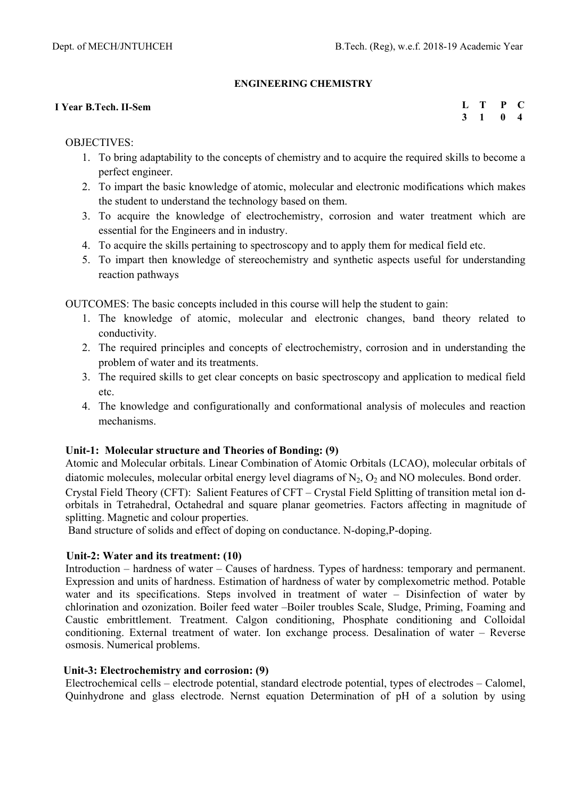## **ENGINEERING CHEMISTRY**

### **I Year B.Tech. II-Sem**

**L T P C 3 1 0 4** 

## OBJECTIVES:

- 1. To bring adaptability to the concepts of chemistry and to acquire the required skills to become a perfect engineer.
- 2. To impart the basic knowledge of atomic, molecular and electronic modifications which makes the student to understand the technology based on them.
- 3. To acquire the knowledge of electrochemistry, corrosion and water treatment which are essential for the Engineers and in industry.
- 4. To acquire the skills pertaining to spectroscopy and to apply them for medical field etc.
- 5. To impart then knowledge of stereochemistry and synthetic aspects useful for understanding reaction pathways

OUTCOMES: The basic concepts included in this course will help the student to gain:

- 1. The knowledge of atomic, molecular and electronic changes, band theory related to conductivity.
- 2. The required principles and concepts of electrochemistry, corrosion and in understanding the problem of water and its treatments.
- 3. The required skills to get clear concepts on basic spectroscopy and application to medical field etc.
- 4. The knowledge and configurationally and conformational analysis of molecules and reaction mechanisms.

## **Unit-1: Molecular structure and Theories of Bonding: (9)**

Atomic and Molecular orbitals. Linear Combination of Atomic Orbitals (LCAO), molecular orbitals of diatomic molecules, molecular orbital energy level diagrams of  $N_2$ ,  $O_2$  and NO molecules. Bond order. Crystal Field Theory (CFT): Salient Features of CFT – Crystal Field Splitting of transition metal ion dorbitals in Tetrahedral, Octahedral and square planar geometries. Factors affecting in magnitude of splitting. Magnetic and colour properties.

Band structure of solids and effect of doping on conductance. N-doping,P-doping.

## **Unit-2: Water and its treatment: (10)**

Introduction – hardness of water – Causes of hardness. Types of hardness: temporary and permanent. Expression and units of hardness. Estimation of hardness of water by complexometric method. Potable water and its specifications. Steps involved in treatment of water – Disinfection of water by chlorination and ozonization. Boiler feed water –Boiler troubles Scale, Sludge, Priming, Foaming and Caustic embrittlement. Treatment. Calgon conditioning, Phosphate conditioning and Colloidal conditioning. External treatment of water. Ion exchange process. Desalination of water – Reverse osmosis. Numerical problems.

## **Unit-3: Electrochemistry and corrosion: (9)**

Electrochemical cells – electrode potential, standard electrode potential, types of electrodes – Calomel, Quinhydrone and glass electrode. Nernst equation Determination of pH of a solution by using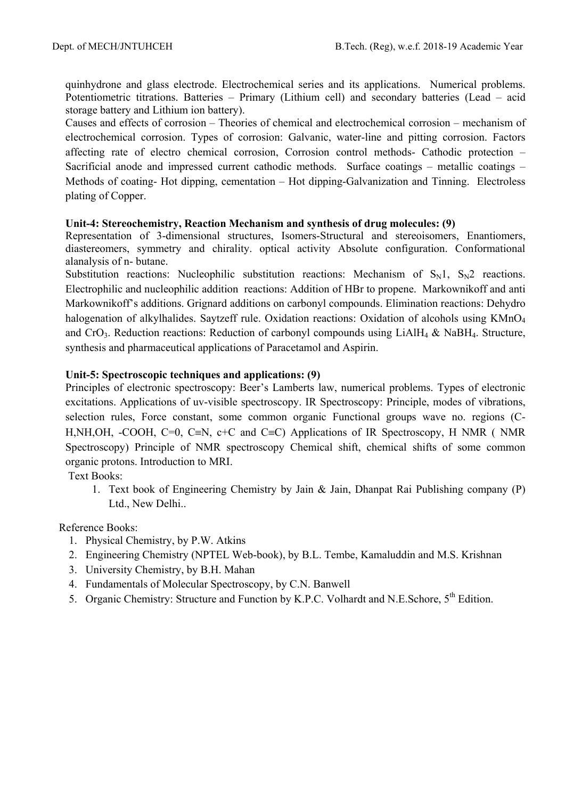quinhydrone and glass electrode. Electrochemical series and its applications. Numerical problems. Potentiometric titrations. Batteries – Primary (Lithium cell) and secondary batteries (Lead – acid storage battery and Lithium ion battery).

Causes and effects of corrosion – Theories of chemical and electrochemical corrosion – mechanism of electrochemical corrosion. Types of corrosion: Galvanic, water-line and pitting corrosion. Factors affecting rate of electro chemical corrosion, Corrosion control methods- Cathodic protection – Sacrificial anode and impressed current cathodic methods. Surface coatings – metallic coatings – Methods of coating- Hot dipping, cementation – Hot dipping-Galvanization and Tinning. Electroless plating of Copper.

## **Unit-4: Stereochemistry, Reaction Mechanism and synthesis of drug molecules: (9)**

Representation of 3-dimensional structures, Isomers-Structural and stereoisomers, Enantiomers, diastereomers, symmetry and chirality. optical activity Absolute configuration. Conformational alanalysis of n- butane.

Substitution reactions: Nucleophilic substitution reactions: Mechanism of  $S_N1$ ,  $S_N2$  reactions. Electrophilic and nucleophilic addition reactions: Addition of HBr to propene. Markownikoff and anti Markownikoff's additions. Grignard additions on carbonyl compounds. Elimination reactions: Dehydro halogenation of alkylhalides. Saytzeff rule. Oxidation reactions: Oxidation of alcohols using KMnO<sub>4</sub> and CrO<sub>3</sub>. Reduction reactions: Reduction of carbonyl compounds using LiAlH<sub>4</sub> & NaBH<sub>4</sub>. Structure, synthesis and pharmaceutical applications of Paracetamol and Aspirin.

## **Unit-5: Spectroscopic techniques and applications: (9)**

Principles of electronic spectroscopy: Beer's Lamberts law, numerical problems. Types of electronic excitations. Applications of uv-visible spectroscopy. IR Spectroscopy: Principle, modes of vibrations, selection rules, Force constant, some common organic Functional groups wave no. regions (C-H,NH,OH, -COOH, C=0, C $\equiv$ N, c+C and C $\equiv$ C) Applications of IR Spectroscopy, H NMR ( NMR Spectroscopy) Principle of NMR spectroscopy Chemical shift, chemical shifts of some common organic protons. Introduction to MRI.

Text Books:

1. Text book of Engineering Chemistry by Jain & Jain, Dhanpat Rai Publishing company (P) Ltd., New Delhi..

Reference Books:

- 1. Physical Chemistry, by P.W. Atkins
- 2. Engineering Chemistry (NPTEL Web-book), by B.L. Tembe, Kamaluddin and M.S. Krishnan
- 3. University Chemistry, by B.H. Mahan
- 4. Fundamentals of Molecular Spectroscopy, by C.N. Banwell
- 5. Organic Chemistry: Structure and Function by K.P.C. Volhardt and N.E.Schore,  $5^{th}$  Edition.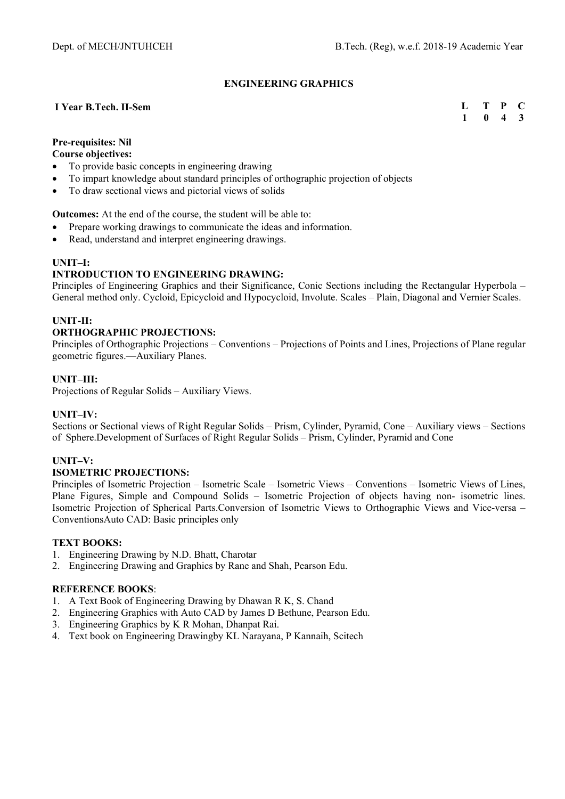#### **ENGINEERING GRAPHICS**

#### **I Year B.Tech. II-Sem**

**L T P C**   $\overline{1}$  0 4 3

### **Pre-requisites: Nil**

#### **Course objectives:**

- To provide basic concepts in engineering drawing
- To impart knowledge about standard principles of orthographic projection of objects
- To draw sectional views and pictorial views of solids

#### **Outcomes:** At the end of the course, the student will be able to:

- Prepare working drawings to communicate the ideas and information.
- Read, understand and interpret engineering drawings.

#### **UNIT–I:**

#### **INTRODUCTION TO ENGINEERING DRAWING:**

Principles of Engineering Graphics and their Significance, Conic Sections including the Rectangular Hyperbola – General method only. Cycloid, Epicycloid and Hypocycloid, Involute. Scales – Plain, Diagonal and Vernier Scales.

#### **UNIT-II:**

#### **ORTHOGRAPHIC PROJECTIONS:**

Principles of Orthographic Projections – Conventions – Projections of Points and Lines, Projections of Plane regular geometric figures.—Auxiliary Planes.

#### **UNIT–III:**

Projections of Regular Solids – Auxiliary Views.

#### **UNIT–IV:**

Sections or Sectional views of Right Regular Solids – Prism, Cylinder, Pyramid, Cone – Auxiliary views – Sections of Sphere.Development of Surfaces of Right Regular Solids – Prism, Cylinder, Pyramid and Cone

#### **UNIT–V:**

#### **ISOMETRIC PROJECTIONS:**

Principles of Isometric Projection – Isometric Scale – Isometric Views – Conventions – Isometric Views of Lines, Plane Figures, Simple and Compound Solids – Isometric Projection of objects having non- isometric lines. Isometric Projection of Spherical Parts.Conversion of Isometric Views to Orthographic Views and Vice-versa – ConventionsAuto CAD: Basic principles only

#### **TEXT BOOKS:**

- 1. Engineering Drawing by N.D. Bhatt, Charotar
- 2. Engineering Drawing and Graphics by Rane and Shah, Pearson Edu.

- 1. A Text Book of Engineering Drawing by Dhawan R K, S. Chand
- 2. Engineering Graphics with Auto CAD by James D Bethune, Pearson Edu.
- 3. Engineering Graphics by K R Mohan, Dhanpat Rai.
- 4. Text book on Engineering Drawingby KL Narayana, P Kannaih, Scitech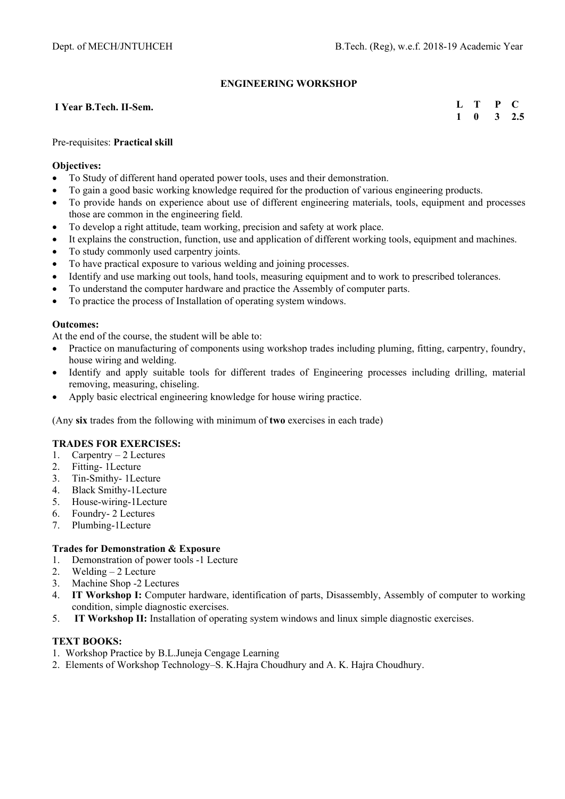### **ENGINEERING WORKSHOP**

#### **I Year B.Tech. II-Sem.**

#### **L T P C 1 0 3 2.5**

#### Pre-requisites: **Practical skill**

#### **Objectives:**

- To Study of different hand operated power tools, uses and their demonstration.
- To gain a good basic working knowledge required for the production of various engineering products.
- To provide hands on experience about use of different engineering materials, tools, equipment and processes those are common in the engineering field.
- To develop a right attitude, team working, precision and safety at work place.
- It explains the construction, function, use and application of different working tools, equipment and machines.
- To study commonly used carpentry joints.
- To have practical exposure to various welding and joining processes.
- Identify and use marking out tools, hand tools, measuring equipment and to work to prescribed tolerances.
- To understand the computer hardware and practice the Assembly of computer parts.
- To practice the process of Installation of operating system windows.

#### **Outcomes:**

At the end of the course, the student will be able to:

- Practice on manufacturing of components using workshop trades including pluming, fitting, carpentry, foundry, house wiring and welding.
- Identify and apply suitable tools for different trades of Engineering processes including drilling, material removing, measuring, chiseling.
- Apply basic electrical engineering knowledge for house wiring practice.

(Any **six** trades from the following with minimum of **two** exercises in each trade)

#### **TRADES FOR EXERCISES:**

- 1. Carpentry 2 Lectures
- 2. Fitting- 1Lecture
- 3. Tin-Smithy- 1Lecture
- 4. Black Smithy-1Lecture
- 5. House-wiring-1Lecture
- 6. Foundry- 2 Lectures
- 7. Plumbing-1Lecture

#### **Trades for Demonstration & Exposure**

- 1. Demonstration of power tools -1 Lecture
- 2. Welding 2 Lecture
- 3. Machine Shop -2 Lectures
- 4. **IT Workshop I:** Computer hardware, identification of parts, Disassembly, Assembly of computer to working condition, simple diagnostic exercises.
- 5. **IT Workshop II:** Installation of operating system windows and linux simple diagnostic exercises.

#### **TEXT BOOKS:**

- 1. Workshop Practice by B.L.Juneja Cengage Learning
- 2. Elements of Workshop Technology–S. K.Hajra Choudhury and A. K. Hajra Choudhury.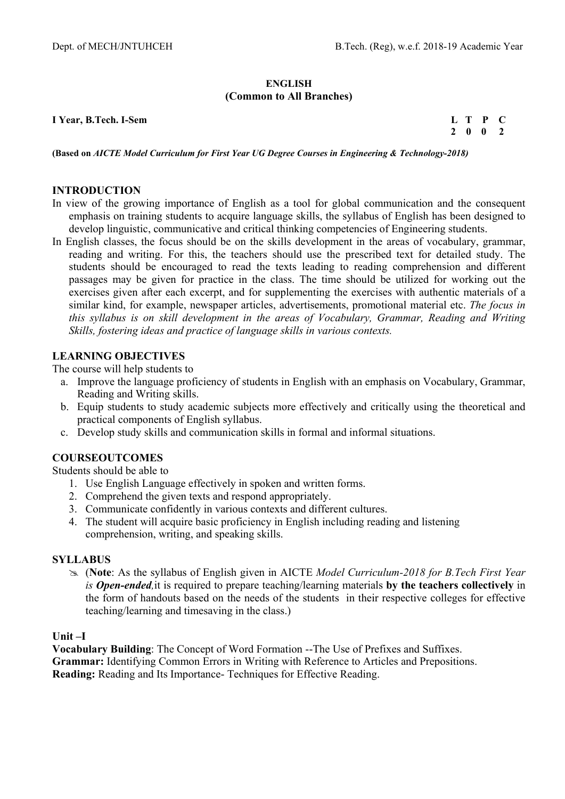#### **ENGLISH (Common to All Branches)**

**I Year, B.Tech. I-Sem L T P C** 

 **2 0 0 2** 

**(Based on** *AICTE Model Curriculum for First Year UG Degree Courses in Engineering & Technology-2018)*

## **INTRODUCTION**

- In view of the growing importance of English as a tool for global communication and the consequent emphasis on training students to acquire language skills, the syllabus of English has been designed to develop linguistic, communicative and critical thinking competencies of Engineering students.
- In English classes, the focus should be on the skills development in the areas of vocabulary, grammar, reading and writing. For this, the teachers should use the prescribed text for detailed study. The students should be encouraged to read the texts leading to reading comprehension and different passages may be given for practice in the class. The time should be utilized for working out the exercises given after each excerpt, and for supplementing the exercises with authentic materials of a similar kind, for example, newspaper articles, advertisements, promotional material etc. *The focus in this syllabus is on skill development in the areas of Vocabulary, Grammar, Reading and Writing Skills, fostering ideas and practice of language skills in various contexts.*

### **LEARNING OBJECTIVES**

The course will help students to

- a. Improve the language proficiency of students in English with an emphasis on Vocabulary, Grammar, Reading and Writing skills.
- b. Equip students to study academic subjects more effectively and critically using the theoretical and practical components of English syllabus.
- c. Develop study skills and communication skills in formal and informal situations.

### **COURSEOUTCOMES**

Students should be able to

- 1. Use English Language effectively in spoken and written forms.
- 2. Comprehend the given texts and respond appropriately.
- 3. Communicate confidently in various contexts and different cultures.
- 4. The student will acquire basic proficiency in English including reading and listening comprehension, writing, and speaking skills.

#### **SYLLABUS**

 (**Note**: As the syllabus of English given in AICTE *Model Curriculum-2018 for B.Tech First Year is Open-ended,*it is required to prepare teaching/learning materials **by the teachers collectively** in the form of handouts based on the needs of the students in their respective colleges for effective teaching/learning and timesaving in the class.)

#### **Unit –I**

**Vocabulary Building**: The Concept of Word Formation --The Use of Prefixes and Suffixes. **Grammar:** Identifying Common Errors in Writing with Reference to Articles and Prepositions. **Reading:** Reading and Its Importance- Techniques for Effective Reading.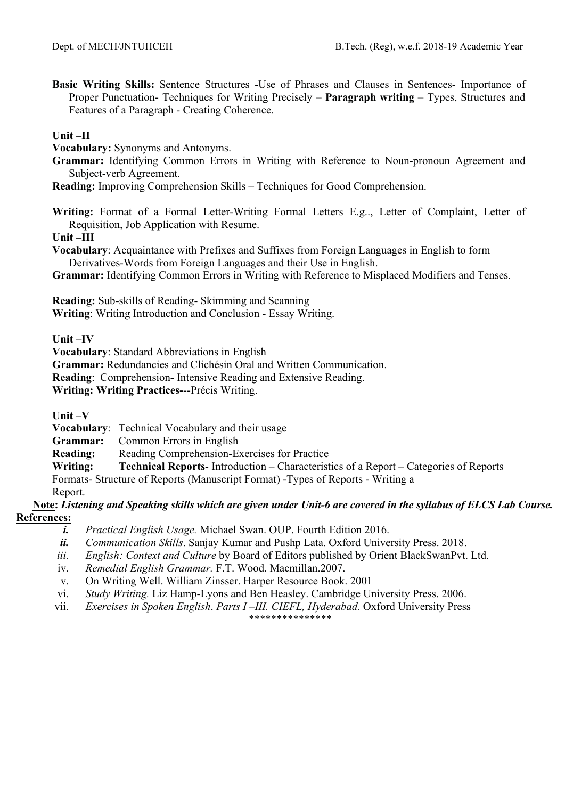**Basic Writing Skills:** Sentence Structures -Use of Phrases and Clauses in Sentences- Importance of Proper Punctuation- Techniques for Writing Precisely – **Paragraph writing** – Types, Structures and Features of a Paragraph - Creating Coherence.

## **Unit –II**

**Vocabulary:** Synonyms and Antonyms.

**Grammar:** Identifying Common Errors in Writing with Reference to Noun-pronoun Agreement and Subject-verb Agreement.

**Reading:** Improving Comprehension Skills – Techniques for Good Comprehension.

**Writing:** Format of a Formal Letter-Writing Formal Letters E.g.., Letter of Complaint, Letter of Requisition, Job Application with Resume.

**Unit –III**

**Vocabulary**: Acquaintance with Prefixes and Suffixes from Foreign Languages in English to form Derivatives-Words from Foreign Languages and their Use in English.

**Grammar:** Identifying Common Errors in Writing with Reference to Misplaced Modifiers and Tenses.

**Reading:** Sub-skills of Reading- Skimming and Scanning

**Writing**: Writing Introduction and Conclusion - Essay Writing.

**Unit –IV** 

**Vocabulary**: Standard Abbreviations in English

**Grammar:** Redundancies and Clichésin Oral and Written Communication.

**Reading**: Comprehension**-** Intensive Reading and Extensive Reading.

**Writing: Writing Practices-**--Précis Writing.

**Unit –V** 

**Vocabulary**: Technical Vocabulary and their usage

**Grammar:** Common Errors in English

**Reading:** Reading Comprehension-Exercises for Practice

**Writing: Technical Reports**- Introduction – Characteristics of a Report – Categories of Reports

Formats- Structure of Reports (Manuscript Format) -Types of Reports - Writing a

Report.

## **Note:** *Listening and Speaking skills which are given under Unit-6 are covered in the syllabus of ELCS Lab Course.*  **References:**

*i. Practical English Usage.* Michael Swan. OUP. Fourth Edition 2016.

*ii. Communication Skills*. Sanjay Kumar and Pushp Lata. Oxford University Press. 2018.

- *iii. English: Context and Culture* by Board of Editors published by Orient BlackSwanPvt. Ltd.
- iv. *Remedial English Grammar.* F.T. Wood. Macmillan.2007.
- v. On Writing Well. William Zinsser. Harper Resource Book. 2001
- vi. *Study Writing.* Liz Hamp-Lyons and Ben Heasley. Cambridge University Press. 2006.
- vii. *Exercises in Spoken English*. *Parts I –III. CIEFL, Hyderabad.* Oxford University Press

\*\*\*\*\*\*\*\*\*\*\*\*\*\*\*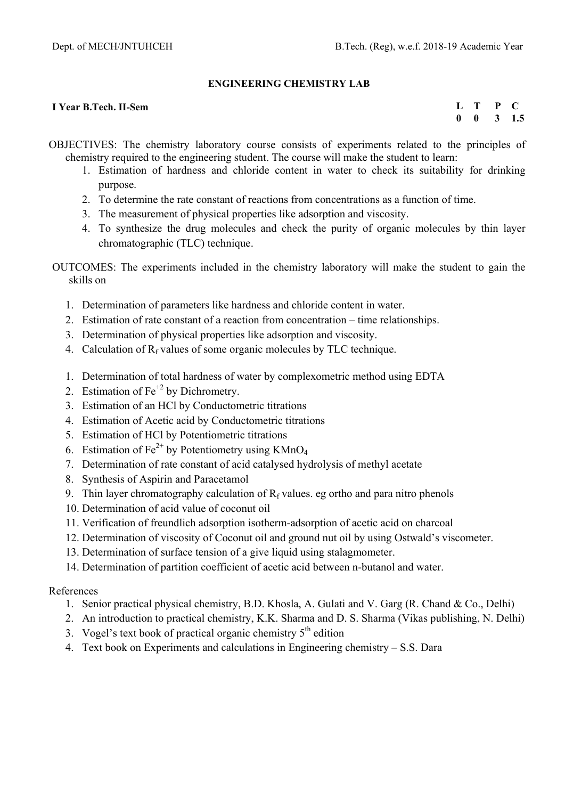## **ENGINEERING CHEMISTRY LAB**

### **I Year B.Tech. II-Sem**

**L T P C 0 0 3 1.5** 

- OBJECTIVES: The chemistry laboratory course consists of experiments related to the principles of chemistry required to the engineering student. The course will make the student to learn:
	- 1. Estimation of hardness and chloride content in water to check its suitability for drinking purpose.
	- 2. To determine the rate constant of reactions from concentrations as a function of time.
	- 3. The measurement of physical properties like adsorption and viscosity.
	- 4. To synthesize the drug molecules and check the purity of organic molecules by thin layer chromatographic (TLC) technique.
- OUTCOMES: The experiments included in the chemistry laboratory will make the student to gain the skills on
	- 1. Determination of parameters like hardness and chloride content in water.
	- 2. Estimation of rate constant of a reaction from concentration time relationships.
	- 3. Determination of physical properties like adsorption and viscosity.
	- 4. Calculation of  $R_f$  values of some organic molecules by TLC technique.
	- 1. Determination of total hardness of water by complexometric method using EDTA
	- 2. Estimation of  $Fe<sup>+2</sup>$  by Dichrometry.
	- 3. Estimation of an HCl by Conductometric titrations
	- 4. Estimation of Acetic acid by Conductometric titrations
	- 5. Estimation of HCl by Potentiometric titrations
	- 6. Estimation of  $Fe^{2+}$  by Potentiometry using KMnO<sub>4</sub>
	- 7. Determination of rate constant of acid catalysed hydrolysis of methyl acetate
	- 8. Synthesis of Aspirin and Paracetamol
	- 9. Thin layer chromatography calculation of  $R_f$  values. eg ortho and para nitro phenols
	- 10. Determination of acid value of coconut oil
	- 11. Verification of freundlich adsorption isotherm-adsorption of acetic acid on charcoal
	- 12. Determination of viscosity of Coconut oil and ground nut oil by using Ostwald's viscometer.
	- 13. Determination of surface tension of a give liquid using stalagmometer.
	- 14. Determination of partition coefficient of acetic acid between n-butanol and water.

## References

- 1. Senior practical physical chemistry, B.D. Khosla, A. Gulati and V. Garg (R. Chand & Co., Delhi)
- 2. An introduction to practical chemistry, K.K. Sharma and D. S. Sharma (Vikas publishing, N. Delhi)
- 3. Vogel's text book of practical organic chemistry  $5<sup>th</sup>$  edition
- 4. Text book on Experiments and calculations in Engineering chemistry S.S. Dara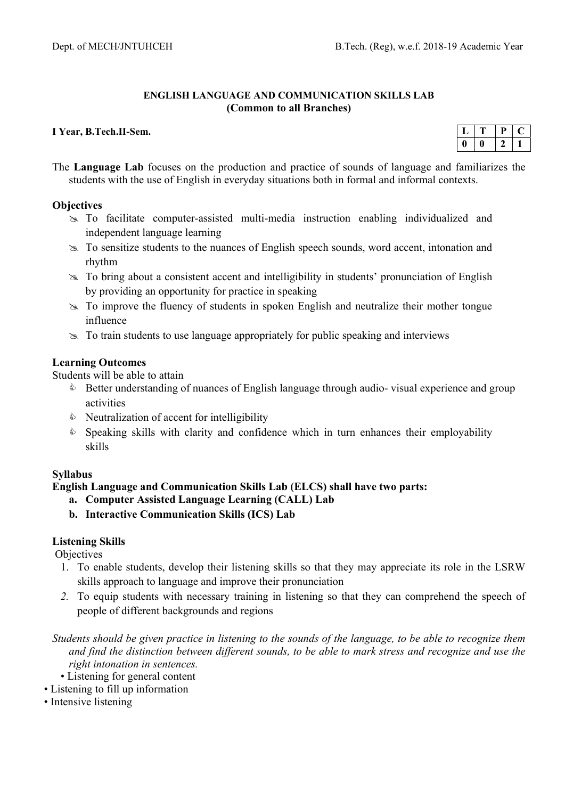### **ENGLISH LANGUAGE AND COMMUNICATION SKILLS LAB (Common to all Branches)**

#### **I Year, B.Tech.II-Sem.**

The **Language Lab** focuses on the production and practice of sounds of language and familiarizes the students with the use of English in everyday situations both in formal and informal contexts.

#### **Objectives**

- To facilitate computer-assisted multi-media instruction enabling individualized and independent language learning
- To sensitize students to the nuances of English speech sounds, word accent, intonation and rhythm
- To bring about a consistent accent and intelligibility in students' pronunciation of English by providing an opportunity for practice in speaking
- To improve the fluency of students in spoken English and neutralize their mother tongue influence
- $\geq$  To train students to use language appropriately for public speaking and interviews

### **Learning Outcomes**

Students will be able to attain

- **Better understanding of nuances of English language through audio- visual experience and group** activities
- $\bullet$  Neutralization of accent for intelligibility
- $\bullet$  Speaking skills with clarity and confidence which in turn enhances their employability skills

## **Syllabus**

**English Language and Communication Skills Lab (ELCS) shall have two parts:** 

- **a. Computer Assisted Language Learning (CALL) Lab**
- **b. Interactive Communication Skills (ICS) Lab**

## **Listening Skills**

**Objectives** 

- 1. To enable students, develop their listening skills so that they may appreciate its role in the LSRW skills approach to language and improve their pronunciation
- *2.* To equip students with necessary training in listening so that they can comprehend the speech of people of different backgrounds and regions

*Students should be given practice in listening to the sounds of the language, to be able to recognize them and find the distinction between different sounds, to be able to mark stress and recognize and use the right intonation in sentences.* 

- Listening for general content
- Listening to fill up information
- Intensive listening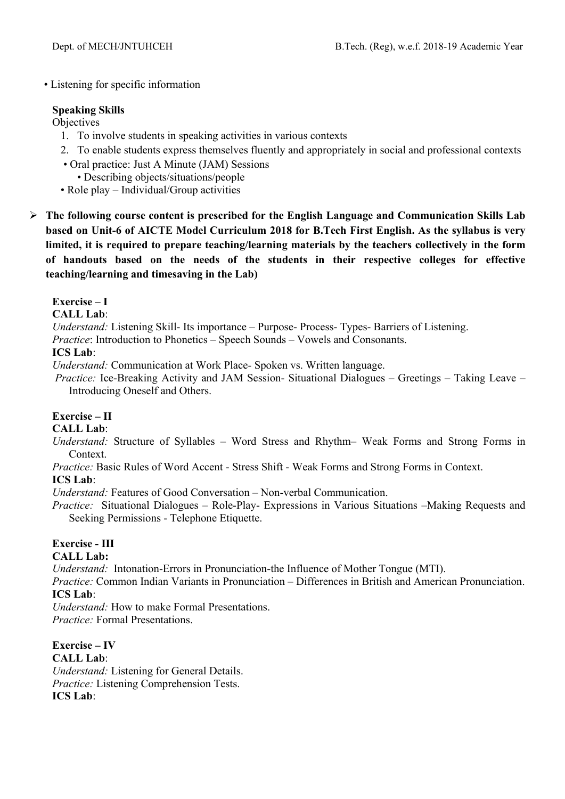• Listening for specific information

## **Speaking Skills**

**Objectives** 

- 1. To involve students in speaking activities in various contexts
- 2. To enable students express themselves fluently and appropriately in social and professional contexts
- Oral practice: Just A Minute (JAM) Sessions
- Describing objects/situations/people
- Role play Individual/Group activities
- **The following course content is prescribed for the English Language and Communication Skills Lab based on Unit-6 of AICTE Model Curriculum 2018 for B.Tech First English. As the syllabus is very limited, it is required to prepare teaching/learning materials by the teachers collectively in the form of handouts based on the needs of the students in their respective colleges for effective teaching/learning and timesaving in the Lab)**

## **Exercise – I**

**CALL Lab**:

*Understand:* Listening Skill- Its importance – Purpose- Process- Types- Barriers of Listening.

*Practice*: Introduction to Phonetics – Speech Sounds – Vowels and Consonants.

## **ICS Lab**:

*Understand:* Communication at Work Place*-* Spoken vs. Written language.

 *Practice:* Ice-Breaking Activity and JAM Session- Situational Dialogues – Greetings – Taking Leave – Introducing Oneself and Others.

## **Exercise – II**

## **CALL Lab**:

*Understand:* Structure of Syllables – Word Stress and Rhythm– Weak Forms and Strong Forms in Context.

*Practice:* Basic Rules of Word Accent - Stress Shift - Weak Forms and Strong Forms in Context.

## **ICS Lab**:

*Understand:* Features of Good Conversation – Non-verbal Communication.

*Practice:* Situational Dialogues – Role-Play- Expressions in Various Situations –Making Requests and Seeking Permissions - Telephone Etiquette.

## **Exercise - III**

**CALL Lab:**

*Understand:* Intonation-Errors in Pronunciation-the Influence of Mother Tongue (MTI).

*Practice:* Common Indian Variants in Pronunciation *–* Differences in British and American Pronunciation. **ICS Lab**:

*Understand:* How to make Formal Presentations. *Practice:* Formal Presentations.

**Exercise – IV CALL Lab**: *Understand:* Listening for General Details. *Practice:* Listening Comprehension Tests. **ICS Lab**: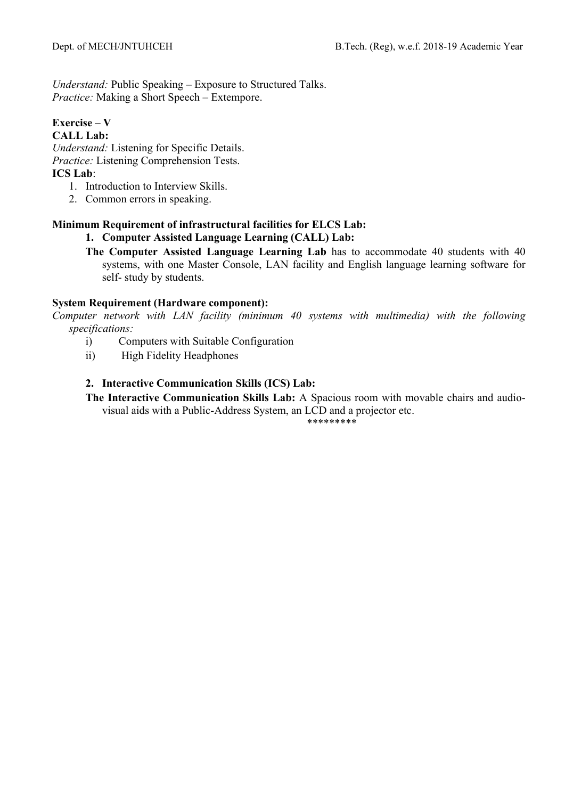*Understand:* Public Speaking – Exposure to Structured Talks. *Practice:* Making a Short Speech – Extempore.

#### **Exercise – V CALL Lab:**

*Understand:* Listening for Specific Details. *Practice:* Listening Comprehension Tests. **ICS Lab**:

- 1. Introduction to Interview Skills.
- 2. Common errors in speaking.

## **Minimum Requirement of infrastructural facilities for ELCS Lab:**

## **1. Computer Assisted Language Learning (CALL) Lab:**

**The Computer Assisted Language Learning Lab** has to accommodate 40 students with 40 systems, with one Master Console, LAN facility and English language learning software for self- study by students.

## **System Requirement (Hardware component):**

*Computer network with LAN facility (minimum 40 systems with multimedia) with the following specifications:* 

- i) Computers with Suitable Configuration
- ii) High Fidelity Headphones

## **2. Interactive Communication Skills (ICS) Lab:**

**The Interactive Communication Skills Lab:** A Spacious room with movable chairs and audiovisual aids with a Public-Address System, an LCD and a projector etc.

\*\*\*\*\*\*\*\*\*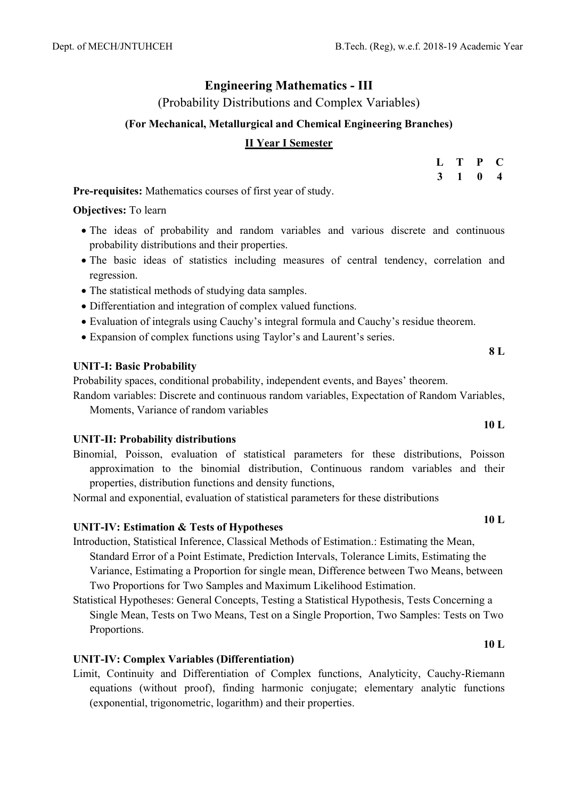## **Engineering Mathematics - III**

(Probability Distributions and Complex Variables)

## **(For Mechanical, Metallurgical and Chemical Engineering Branches)**

## **II Year I Semester**

| L | Т  | $\mathbf P$ | C. |
|---|----|-------------|----|
| 3 | -1 | 0           | 4  |

**Pre-requisites:** Mathematics courses of first year of study.

## **Objectives:** To learn

- The ideas of probability and random variables and various discrete and continuous probability distributions and their properties.
- The basic ideas of statistics including measures of central tendency, correlation and regression.
- The statistical methods of studying data samples.
- Differentiation and integration of complex valued functions.
- Evaluation of integrals using Cauchy's integral formula and Cauchy's residue theorem.
- Expansion of complex functions using Taylor's and Laurent's series.

## **UNIT-I: Basic Probability**

Probability spaces, conditional probability, independent events, and Bayes' theorem.

Random variables: Discrete and continuous random variables, Expectation of Random Variables, Moments, Variance of random variables

## **UNIT-II: Probability distributions**

Binomial, Poisson, evaluation of statistical parameters for these distributions, Poisson approximation to the binomial distribution, Continuous random variables and their properties, distribution functions and density functions,

Normal and exponential, evaluation of statistical parameters for these distributions

# **UNIT-IV: Estimation & Tests of Hypotheses 10 L**

- Introduction, Statistical Inference, Classical Methods of Estimation.: Estimating the Mean, Standard Error of a Point Estimate, Prediction Intervals, Tolerance Limits, Estimating the Variance, Estimating a Proportion for single mean, Difference between Two Means, between Two Proportions for Two Samples and Maximum Likelihood Estimation.
- Statistical Hypotheses: General Concepts, Testing a Statistical Hypothesis, Tests Concerning a Single Mean, Tests on Two Means, Test on a Single Proportion, Two Samples: Tests on Two Proportions.

## **UNIT-IV: Complex Variables (Differentiation)**

Limit, Continuity and Differentiation of Complex functions, Analyticity, Cauchy-Riemann equations (without proof), finding harmonic conjugate; elementary analytic functions (exponential, trigonometric, logarithm) and their properties.

**8 L** 

**10 L**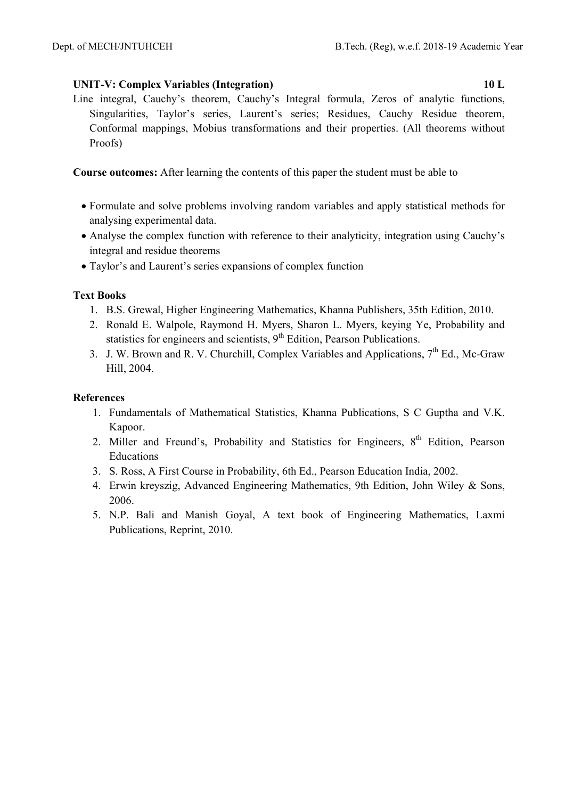## **UNIT-V: Complex Variables (Integration) 10 L**

Line integral, Cauchy's theorem, Cauchy's Integral formula, Zeros of analytic functions, Singularities, Taylor's series, Laurent's series; Residues, Cauchy Residue theorem, Conformal mappings, Mobius transformations and their properties. (All theorems without Proofs)

**Course outcomes:** After learning the contents of this paper the student must be able to

- Formulate and solve problems involving random variables and apply statistical methods for analysing experimental data.
- Analyse the complex function with reference to their analyticity, integration using Cauchy's integral and residue theorems
- Taylor's and Laurent's series expansions of complex function

## **Text Books**

- 1. B.S. Grewal, Higher Engineering Mathematics, Khanna Publishers, 35th Edition, 2010.
- 2. Ronald E. Walpole, Raymond H. Myers, Sharon L. Myers, keying Ye, Probability and statistics for engineers and scientists,  $9<sup>th</sup>$  Edition, Pearson Publications.
- 3. J. W. Brown and R. V. Churchill, Complex Variables and Applications,  $7<sup>th</sup>$  Ed., Mc-Graw Hill, 2004.

## **References**

- 1. Fundamentals of Mathematical Statistics, Khanna Publications, S C Guptha and V.K. Kapoor.
- 2. Miller and Freund's, Probability and Statistics for Engineers, 8<sup>th</sup> Edition, Pearson Educations
- 3. S. Ross, A First Course in Probability, 6th Ed., Pearson Education India, 2002.
- 4. Erwin kreyszig, Advanced Engineering Mathematics, 9th Edition, John Wiley & Sons, 2006.
- 5. N.P. Bali and Manish Goyal, A text book of Engineering Mathematics, Laxmi Publications, Reprint, 2010.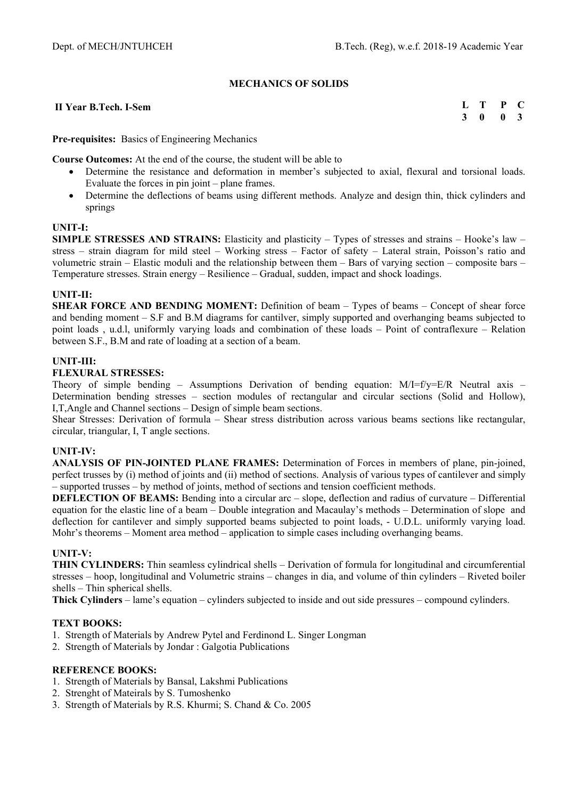#### **MECHANICS OF SOLIDS**

#### **II Year B.Tech. I-Sem**

**L T P C 3 0 0 3** 

**Pre-requisites:** Basics of Engineering Mechanics

**Course Outcomes:** At the end of the course, the student will be able to

- Determine the resistance and deformation in member's subjected to axial, flexural and torsional loads. Evaluate the forces in pin joint – plane frames.
- Determine the deflections of beams using different methods. Analyze and design thin, thick cylinders and springs

#### **UNIT-I:**

**SIMPLE STRESSES AND STRAINS:** Elasticity and plasticity – Types of stresses and strains – Hooke's law – stress – strain diagram for mild steel – Working stress – Factor of safety – Lateral strain, Poisson's ratio and volumetric strain – Elastic moduli and the relationship between them – Bars of varying section – composite bars – Temperature stresses. Strain energy – Resilience – Gradual, sudden, impact and shock loadings.

#### **UNIT-II:**

**SHEAR FORCE AND BENDING MOMENT:** Definition of beam – Types of beams – Concept of shear force and bending moment – S.F and B.M diagrams for cantilver, simply supported and overhanging beams subjected to point loads , u.d.l, uniformly varying loads and combination of these loads – Point of contraflexure – Relation between S.F., B.M and rate of loading at a section of a beam.

#### **UNIT-III:**

#### **FLEXURAL STRESSES:**

Theory of simple bending – Assumptions Derivation of bending equation: M/I=f/y=E/R Neutral axis – Determination bending stresses – section modules of rectangular and circular sections (Solid and Hollow), I,T,Angle and Channel sections – Design of simple beam sections.

Shear Stresses: Derivation of formula – Shear stress distribution across various beams sections like rectangular, circular, triangular, I, T angle sections.

#### **UNIT-IV:**

**ANALYSIS OF PIN-JOINTED PLANE FRAMES:** Determination of Forces in members of plane, pin-joined, perfect trusses by (i) method of joints and (ii) method of sections. Analysis of various types of cantilever and simply – supported trusses – by method of joints, method of sections and tension coefficient methods.

**DEFLECTION OF BEAMS:** Bending into a circular arc – slope, deflection and radius of curvature – Differential equation for the elastic line of a beam – Double integration and Macaulay's methods – Determination of slope and deflection for cantilever and simply supported beams subjected to point loads, - U.D.L. uniformly varying load. Mohr's theorems – Moment area method – application to simple cases including overhanging beams.

#### **UNIT-V:**

**THIN CYLINDERS:** Thin seamless cylindrical shells – Derivation of formula for longitudinal and circumferential stresses – hoop, longitudinal and Volumetric strains – changes in dia, and volume of thin cylinders – Riveted boiler shells – Thin spherical shells.

**Thick Cylinders** – lame's equation – cylinders subjected to inside and out side pressures – compound cylinders.

#### **TEXT BOOKS:**

- 1. Strength of Materials by Andrew Pytel and Ferdinond L. Singer Longman
- 2. Strength of Materials by Jondar : Galgotia Publications

- 1. Strength of Materials by Bansal, Lakshmi Publications
- 2. Strenght of Mateirals by S. Tumoshenko
- 3. Strength of Materials by R.S. Khurmi; S. Chand & Co. 2005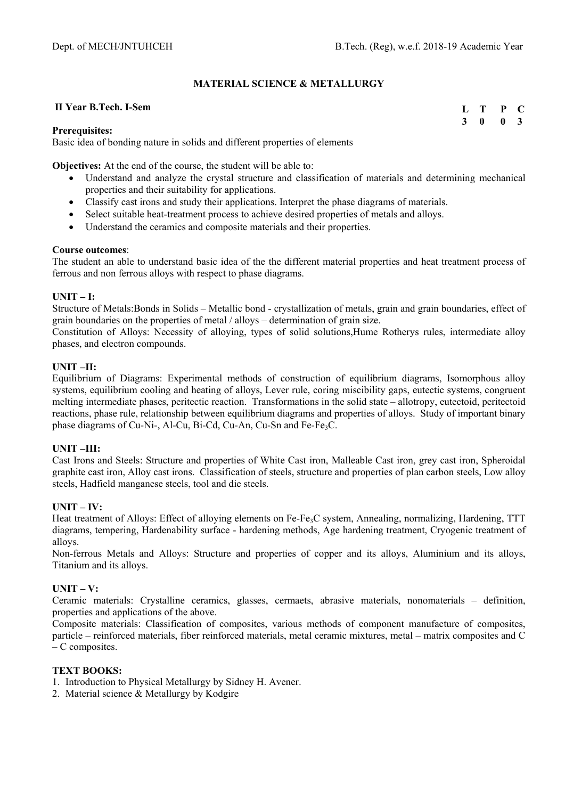#### **MATERIAL SCIENCE & METALLURGY**

#### **II Year B.Tech. I-Sem**

**L T P C 3 0 0 3** 

#### **Prerequisites:**

Basic idea of bonding nature in solids and different properties of elements

**Objectives:** At the end of the course, the student will be able to:

- Understand and analyze the crystal structure and classification of materials and determining mechanical properties and their suitability for applications.
- Classify cast irons and study their applications. Interpret the phase diagrams of materials.
- Select suitable heat-treatment process to achieve desired properties of metals and alloys.
- Understand the ceramics and composite materials and their properties.

#### **Course outcomes**:

The student an able to understand basic idea of the the different material properties and heat treatment process of ferrous and non ferrous alloys with respect to phase diagrams.

#### **UNIT – I:**

Structure of Metals:Bonds in Solids – Metallic bond - crystallization of metals, grain and grain boundaries, effect of grain boundaries on the properties of metal / alloys – determination of grain size.

Constitution of Alloys: Necessity of alloying, types of solid solutions,Hume Rotherys rules, intermediate alloy phases, and electron compounds.

### **UNIT –II:**

Equilibrium of Diagrams: Experimental methods of construction of equilibrium diagrams, Isomorphous alloy systems, equilibrium cooling and heating of alloys, Lever rule, coring miscibility gaps, eutectic systems, congruent melting intermediate phases, peritectic reaction. Transformations in the solid state – allotropy, eutectoid, peritectoid reactions, phase rule, relationship between equilibrium diagrams and properties of alloys. Study of important binary phase diagrams of Cu-Ni-, Al-Cu, Bi-Cd, Cu-An, Cu-Sn and Fe-Fe<sub>3</sub>C.

#### **UNIT –III:**

Cast Irons and Steels: Structure and properties of White Cast iron, Malleable Cast iron, grey cast iron, Spheroidal graphite cast iron, Alloy cast irons. Classification of steels, structure and properties of plan carbon steels, Low alloy steels, Hadfield manganese steels, tool and die steels.

#### $\mathbf{I}\mathbf{I}\mathbf{N}\mathbf{I}\mathbf{T} = \mathbf{I}\mathbf{V}\cdot$

Heat treatment of Alloys: Effect of alloying elements on Fe-Fe<sub>3</sub>C system, Annealing, normalizing, Hardening, TTT diagrams, tempering, Hardenability surface - hardening methods, Age hardening treatment, Cryogenic treatment of alloys.

Non-ferrous Metals and Alloys: Structure and properties of copper and its alloys, Aluminium and its alloys, Titanium and its alloys.

#### **UNIT – V:**

Ceramic materials: Crystalline ceramics, glasses, cermaets, abrasive materials, nonomaterials – definition, properties and applications of the above.

Composite materials: Classification of composites, various methods of component manufacture of composites, particle – reinforced materials, fiber reinforced materials, metal ceramic mixtures, metal – matrix composites and C – C composites.

#### **TEXT BOOKS:**

- 1. Introduction to Physical Metallurgy by Sidney H. Avener.
- 2. Material science & Metallurgy by Kodgire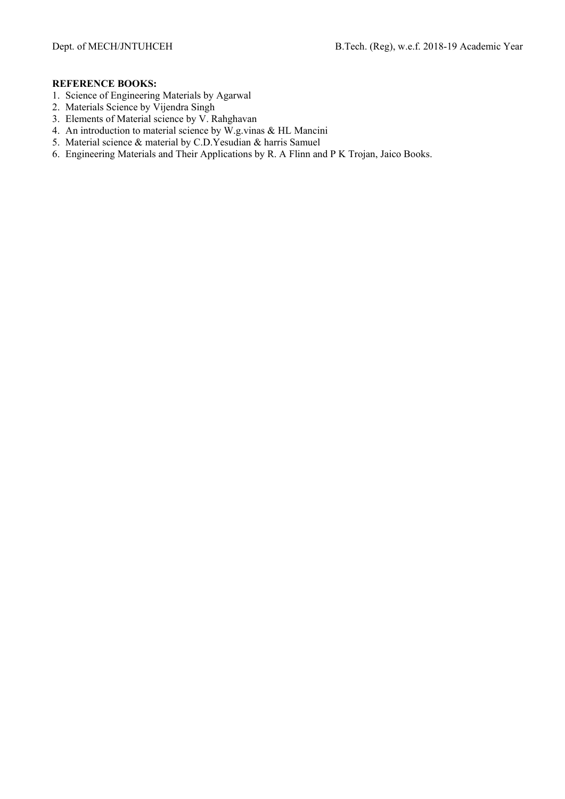- 1. Science of Engineering Materials by Agarwal
- 2. Materials Science by Vijendra Singh
- 3. Elements of Material science by V. Rahghavan
- 4. An introduction to material science by W.g.vinas & HL Mancini
- 5. Material science & material by C.D.Yesudian & harris Samuel
- 6. Engineering Materials and Their Applications by R. A Flinn and P K Trojan, Jaico Books.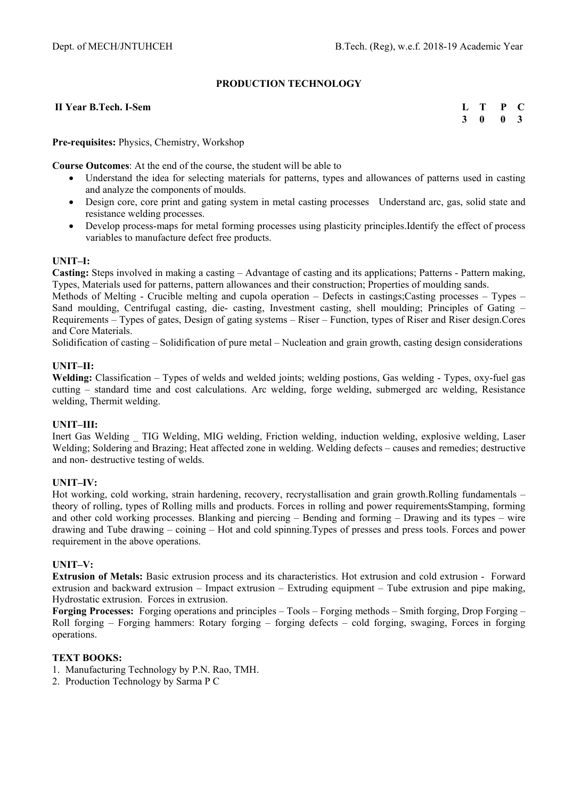#### **PRODUCTION TECHNOLOGY**

#### **II Year B.Tech. I-Sem**

**L T P C 3 0 0 3** 

#### **Pre-requisites:** Physics, Chemistry, Workshop

**Course Outcomes**: At the end of the course, the student will be able to

- Understand the idea for selecting materials for patterns, types and allowances of patterns used in casting and analyze the components of moulds.
- Design core, core print and gating system in metal casting processes Understand arc, gas, solid state and resistance welding processes.
- Develop process-maps for metal forming processes using plasticity principles.Identify the effect of process variables to manufacture defect free products.

#### **UNIT–I:**

**Casting:** Steps involved in making a casting – Advantage of casting and its applications; Patterns - Pattern making, Types, Materials used for patterns, pattern allowances and their construction; Properties of moulding sands.

Methods of Melting - Crucible melting and cupola operation – Defects in castings;Casting processes – Types – Sand moulding, Centrifugal casting, die- casting, Investment casting, shell moulding; Principles of Gating – Requirements – Types of gates, Design of gating systems – Riser – Function, types of Riser and Riser design.Cores and Core Materials.

Solidification of casting – Solidification of pure metal – Nucleation and grain growth, casting design considerations

#### **UNIT–II:**

Welding: Classification – Types of welds and welded joints; welding postions, Gas welding - Types, oxy-fuel gas cutting – standard time and cost calculations. Arc welding, forge welding, submerged arc welding, Resistance welding, Thermit welding.

#### **UNIT–III:**

Inert Gas Welding \_ TIG Welding, MIG welding, Friction welding, induction welding, explosive welding, Laser Welding; Soldering and Brazing; Heat affected zone in welding. Welding defects – causes and remedies; destructive and non- destructive testing of welds.

#### **UNIT–IV:**

Hot working, cold working, strain hardening, recovery, recrystallisation and grain growth.Rolling fundamentals – theory of rolling, types of Rolling mills and products. Forces in rolling and power requirementsStamping, forming and other cold working processes. Blanking and piercing – Bending and forming – Drawing and its types – wire drawing and Tube drawing – coining – Hot and cold spinning.Types of presses and press tools. Forces and power requirement in the above operations.

#### **UNIT–V:**

**Extrusion of Metals:** Basic extrusion process and its characteristics. Hot extrusion and cold extrusion - Forward extrusion and backward extrusion – Impact extrusion – Extruding equipment – Tube extrusion and pipe making, Hydrostatic extrusion. Forces in extrusion.

**Forging Processes:** Forging operations and principles – Tools – Forging methods – Smith forging, Drop Forging – Roll forging – Forging hammers: Rotary forging – forging defects – cold forging, swaging, Forces in forging operations.

#### **TEXT BOOKS:**

- 1. Manufacturing Technology by P.N. Rao, TMH.
- 2. Production Technology by Sarma P C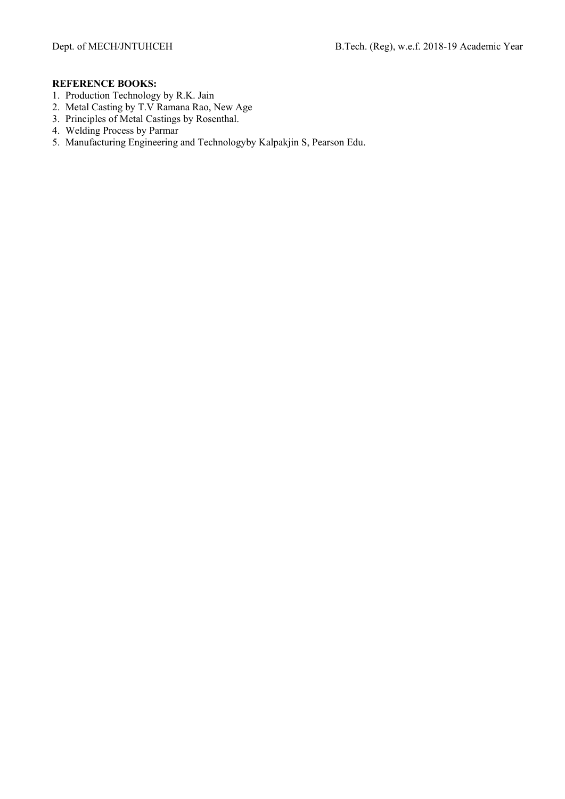- 1. Production Technology by R.K. Jain
- 2. Metal Casting by T.V Ramana Rao, New Age
- 3. Principles of Metal Castings by Rosenthal.
- 4. Welding Process by Parmar
- 5. Manufacturing Engineering and Technologyby Kalpakjin S, Pearson Edu.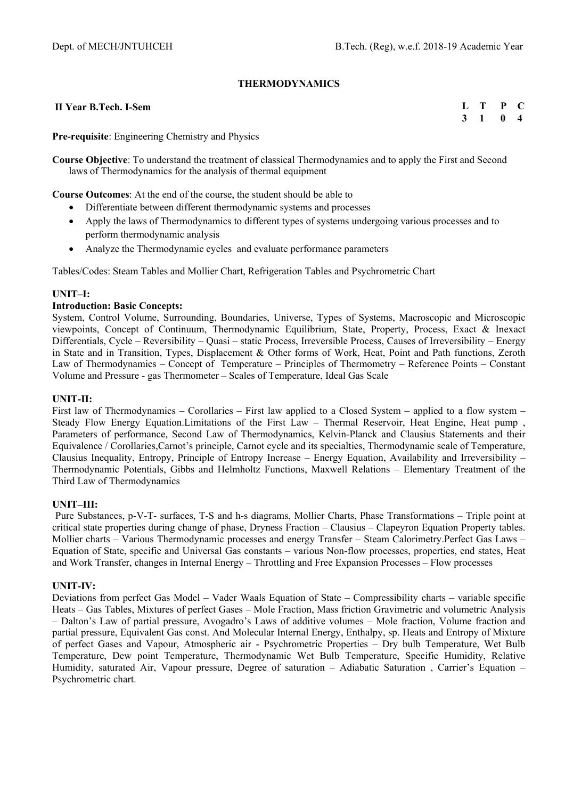#### **THERMODYNAMICS**

 **II Year B.Tech. I-Sem** 

**L T P C 3 1 0 4** 

**Pre-requisite**: Engineering Chemistry and Physics

**Course Objective**: To understand the treatment of classical Thermodynamics and to apply the First and Second laws of Thermodynamics for the analysis of thermal equipment

**Course Outcomes**: At the end of the course, the student should be able to

- Differentiate between different thermodynamic systems and processes
- Apply the laws of Thermodynamics to different types of systems undergoing various processes and to perform thermodynamic analysis
- Analyze the Thermodynamic cycles and evaluate performance parameters

Tables/Codes: Steam Tables and Mollier Chart, Refrigeration Tables and Psychrometric Chart

#### **UNIT–I:**

#### **Introduction: Basic Concepts:**

System, Control Volume, Surrounding, Boundaries, Universe, Types of Systems, Macroscopic and Microscopic viewpoints, Concept of Continuum, Thermodynamic Equilibrium, State, Property, Process, Exact & Inexact Differentials, Cycle – Reversibility – Quasi – static Process, Irreversible Process, Causes of Irreversibility – Energy in State and in Transition, Types, Displacement & Other forms of Work, Heat, Point and Path functions, Zeroth Law of Thermodynamics – Concept of Temperature – Principles of Thermometry – Reference Points – Constant Volume and Pressure - gas Thermometer – Scales of Temperature, Ideal Gas Scale

#### **UNIT-II:**

First law of Thermodynamics – Corollaries – First law applied to a Closed System – applied to a flow system – Steady Flow Energy Equation.Limitations of the First Law – Thermal Reservoir, Heat Engine, Heat pump , Parameters of performance, Second Law of Thermodynamics, Kelvin-Planck and Clausius Statements and their Equivalence / Corollaries,Carnot's principle, Carnot cycle and its specialties, Thermodynamic scale of Temperature, Clausius Inequality, Entropy, Principle of Entropy Increase – Energy Equation, Availability and Irreversibility – Thermodynamic Potentials, Gibbs and Helmholtz Functions, Maxwell Relations – Elementary Treatment of the Third Law of Thermodynamics

#### **UNIT–III:**

Pure Substances, p-V-T- surfaces, T-S and h-s diagrams, Mollier Charts, Phase Transformations – Triple point at critical state properties during change of phase, Dryness Fraction – Clausius – Clapeyron Equation Property tables. Mollier charts – Various Thermodynamic processes and energy Transfer – Steam Calorimetry.Perfect Gas Laws – Equation of State, specific and Universal Gas constants – various Non-flow processes, properties, end states, Heat and Work Transfer, changes in Internal Energy – Throttling and Free Expansion Processes – Flow processes

#### **UNIT-IV:**

Deviations from perfect Gas Model – Vader Waals Equation of State – Compressibility charts – variable specific Heats – Gas Tables, Mixtures of perfect Gases – Mole Fraction, Mass friction Gravimetric and volumetric Analysis – Dalton's Law of partial pressure, Avogadro's Laws of additive volumes – Mole fraction, Volume fraction and partial pressure, Equivalent Gas const. And Molecular Internal Energy, Enthalpy, sp. Heats and Entropy of Mixture of perfect Gases and Vapour, Atmospheric air - Psychrometric Properties – Dry bulb Temperature, Wet Bulb Temperature, Dew point Temperature, Thermodynamic Wet Bulb Temperature, Specific Humidity, Relative Humidity, saturated Air, Vapour pressure, Degree of saturation – Adiabatic Saturation , Carrier's Equation – Psychrometric chart.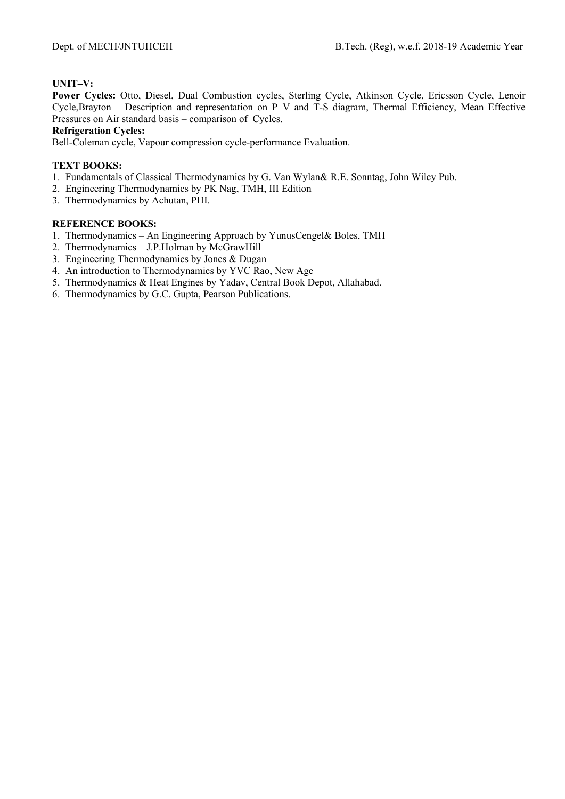### **UNIT–V:**

**Power Cycles:** Otto, Diesel, Dual Combustion cycles, Sterling Cycle, Atkinson Cycle, Ericsson Cycle, Lenoir Cycle,Brayton – Description and representation on P–V and T-S diagram, Thermal Efficiency, Mean Effective Pressures on Air standard basis – comparison of Cycles.

**Refrigeration Cycles:**

Bell-Coleman cycle, Vapour compression cycle-performance Evaluation.

#### **TEXT BOOKS:**

- 1. Fundamentals of Classical Thermodynamics by G. Van Wylan& R.E. Sonntag, John Wiley Pub.
- 2. Engineering Thermodynamics by PK Nag, TMH, III Edition
- 3. Thermodynamics by Achutan, PHI.

- 1. Thermodynamics An Engineering Approach by YunusCengel& Boles, TMH
- 2. Thermodynamics J.P.Holman by McGrawHill
- 3. Engineering Thermodynamics by Jones & Dugan
- 4. An introduction to Thermodynamics by YVC Rao, New Age
- 5. Thermodynamics & Heat Engines by Yadav, Central Book Depot, Allahabad.
- 6. Thermodynamics by G.C. Gupta, Pearson Publications.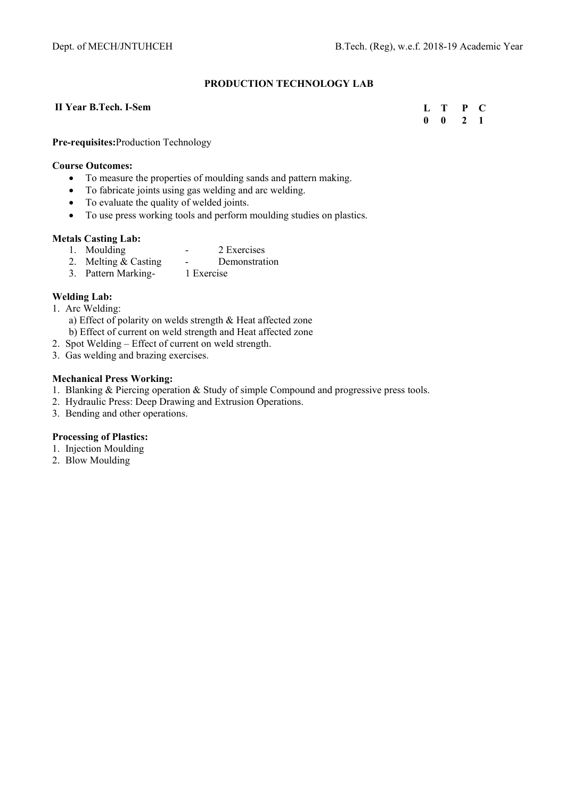# **PRODUCTION TECHNOLOGY LAB**

#### **II Year B.Tech. I-Sem**

**L T P C 0 0 2 1** 

**Pre-requisites:**Production Technology

#### **Course Outcomes:**

- To measure the properties of moulding sands and pattern making.
- To fabricate joints using gas welding and arc welding.
- To evaluate the quality of welded joints.
- To use press working tools and perform moulding studies on plastics.

#### **Metals Casting Lab:**

- 
- 1. Moulding 2 Exercises<br>2. Melting & Casting Demonstrat 2. Melting & Casting - Demonstration
- 3. Pattern Marking- 1 Exercise

#### **Welding Lab:**

- 1. Arc Welding:
	- a) Effect of polarity on welds strength & Heat affected zone b) Effect of current on weld strength and Heat affected zone
- 2. Spot Welding Effect of current on weld strength.
- 3. Gas welding and brazing exercises.

## **Mechanical Press Working:**

- 1. Blanking & Piercing operation & Study of simple Compound and progressive press tools.
- 2. Hydraulic Press: Deep Drawing and Extrusion Operations.
- 3. Bending and other operations.

## **Processing of Plastics:**

- 1. Injection Moulding
- 2. Blow Moulding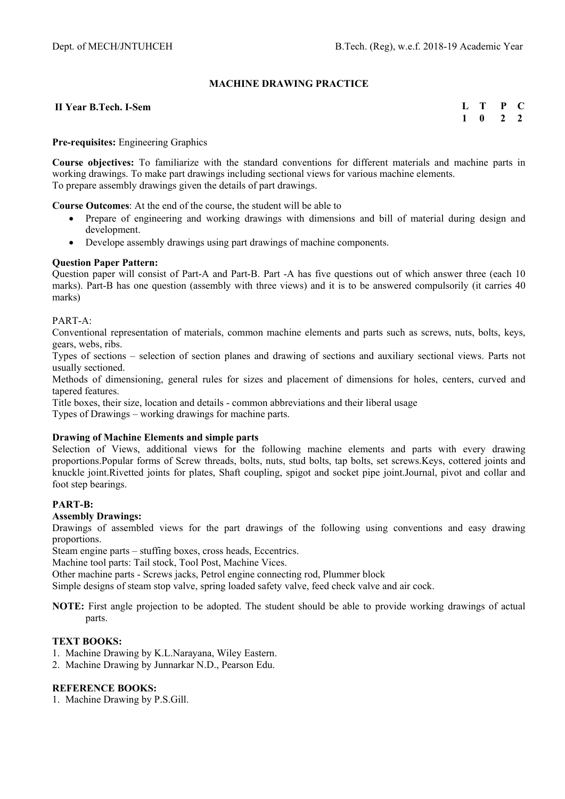## **MACHINE DRAWING PRACTICE**

#### **II Year B.Tech. I-Sem**

| н |   | μ | U |
|---|---|---|---|
|   | o |   | 7 |

#### **Pre-requisites:** Engineering Graphics

**Course objectives:** To familiarize with the standard conventions for different materials and machine parts in working drawings. To make part drawings including sectional views for various machine elements. To prepare assembly drawings given the details of part drawings.

**Course Outcomes**: At the end of the course, the student will be able to

- Prepare of engineering and working drawings with dimensions and bill of material during design and development.
- Develope assembly drawings using part drawings of machine components.

#### **Question Paper Pattern:**

Question paper will consist of Part-A and Part-B. Part -A has five questions out of which answer three (each 10 marks). Part-B has one question (assembly with three views) and it is to be answered compulsorily (it carries 40 marks)

#### PART-A:

Conventional representation of materials, common machine elements and parts such as screws, nuts, bolts, keys, gears, webs, ribs.

Types of sections – selection of section planes and drawing of sections and auxiliary sectional views. Parts not usually sectioned.

Methods of dimensioning, general rules for sizes and placement of dimensions for holes, centers, curved and tapered features.

Title boxes, their size, location and details - common abbreviations and their liberal usage

Types of Drawings – working drawings for machine parts.

#### **Drawing of Machine Elements and simple parts**

Selection of Views, additional views for the following machine elements and parts with every drawing proportions.Popular forms of Screw threads, bolts, nuts, stud bolts, tap bolts, set screws.Keys, cottered joints and knuckle joint.Rivetted joints for plates, Shaft coupling, spigot and socket pipe joint.Journal, pivot and collar and foot step bearings.

#### **PART-B:**

#### **Assembly Drawings:**

Drawings of assembled views for the part drawings of the following using conventions and easy drawing proportions.

Steam engine parts – stuffing boxes, cross heads, Eccentrics.

Machine tool parts: Tail stock, Tool Post, Machine Vices.

Other machine parts - Screws jacks, Petrol engine connecting rod, Plummer block

Simple designs of steam stop valve, spring loaded safety valve, feed check valve and air cock.

**NOTE:** First angle projection to be adopted. The student should be able to provide working drawings of actual parts.

#### **TEXT BOOKS:**

- 1. Machine Drawing by K.L.Narayana, Wiley Eastern.
- 2. Machine Drawing by Junnarkar N.D., Pearson Edu.

## **REFERENCE BOOKS:**

1. Machine Drawing by P.S.Gill.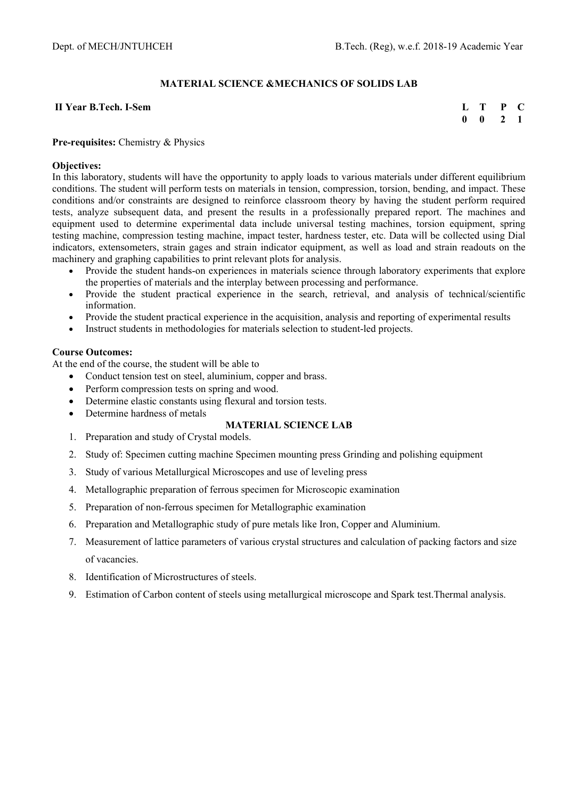# **MATERIAL SCIENCE &MECHANICS OF SOLIDS LAB**

#### **II Year B.Tech. I-Sem**

| L | T | P            | C. |
|---|---|--------------|----|
| 0 | 0 | $\mathbf{z}$ | 1  |

#### **Pre-requisites:** Chemistry & Physics

#### **Objectives:**

In this laboratory, students will have the opportunity to apply loads to various materials under different equilibrium conditions. The student will perform tests on materials in tension, compression, torsion, bending, and impact. These conditions and/or constraints are designed to reinforce classroom theory by having the student perform required tests, analyze subsequent data, and present the results in a professionally prepared report. The machines and equipment used to determine experimental data include universal testing machines, torsion equipment, spring testing machine, compression testing machine, impact tester, hardness tester, etc. Data will be collected using Dial indicators, extensometers, strain gages and strain indicator equipment, as well as load and strain readouts on the machinery and graphing capabilities to print relevant plots for analysis.

- Provide the student hands-on experiences in materials science through laboratory experiments that explore the properties of materials and the interplay between processing and performance.
- Provide the student practical experience in the search, retrieval, and analysis of technical/scientific information.
- Provide the student practical experience in the acquisition, analysis and reporting of experimental results
- Instruct students in methodologies for materials selection to student-led projects.

#### **Course Outcomes:**

At the end of the course, the student will be able to

- Conduct tension test on steel, aluminium, copper and brass.
- Perform compression tests on spring and wood.
- Determine elastic constants using flexural and torsion tests.
- Determine hardness of metals

## **MATERIAL SCIENCE LAB**

- 1. Preparation and study of Crystal models.
- 2. Study of: Specimen cutting machine Specimen mounting press Grinding and polishing equipment
- 3. Study of various Metallurgical Microscopes and use of leveling press
- 4. Metallographic preparation of ferrous specimen for Microscopic examination
- 5. Preparation of non-ferrous specimen for Metallographic examination
- 6. Preparation and Metallographic study of pure metals like Iron, Copper and Aluminium.
- 7. Measurement of lattice parameters of various crystal structures and calculation of packing factors and size of vacancies.
- 8. Identification of Microstructures of steels.
- 9. Estimation of Carbon content of steels using metallurgical microscope and Spark test.Thermal analysis.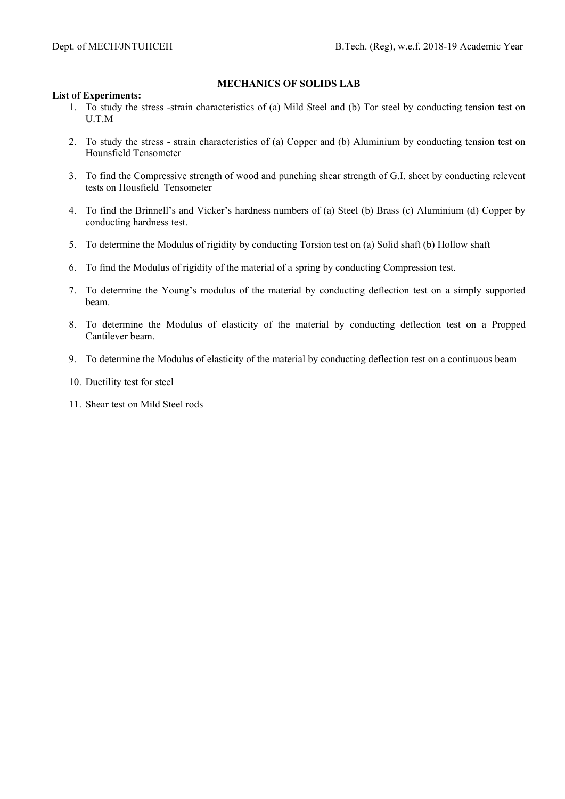### **MECHANICS OF SOLIDS LAB**

#### **List of Experiments:**

- 1. To study the stress -strain characteristics of (a) Mild Steel and (b) Tor steel by conducting tension test on U.T.M
- 2. To study the stress strain characteristics of (a) Copper and (b) Aluminium by conducting tension test on Hounsfield Tensometer
- 3. To find the Compressive strength of wood and punching shear strength of G.I. sheet by conducting relevent tests on Housfield Tensometer
- 4. To find the Brinnell's and Vicker's hardness numbers of (a) Steel (b) Brass (c) Aluminium (d) Copper by conducting hardness test.
- 5. To determine the Modulus of rigidity by conducting Torsion test on (a) Solid shaft (b) Hollow shaft
- 6. To find the Modulus of rigidity of the material of a spring by conducting Compression test.
- 7. To determine the Young's modulus of the material by conducting deflection test on a simply supported beam.
- 8. To determine the Modulus of elasticity of the material by conducting deflection test on a Propped Cantilever beam.
- 9. To determine the Modulus of elasticity of the material by conducting deflection test on a continuous beam
- 10. Ductility test for steel
- 11. Shear test on Mild Steel rods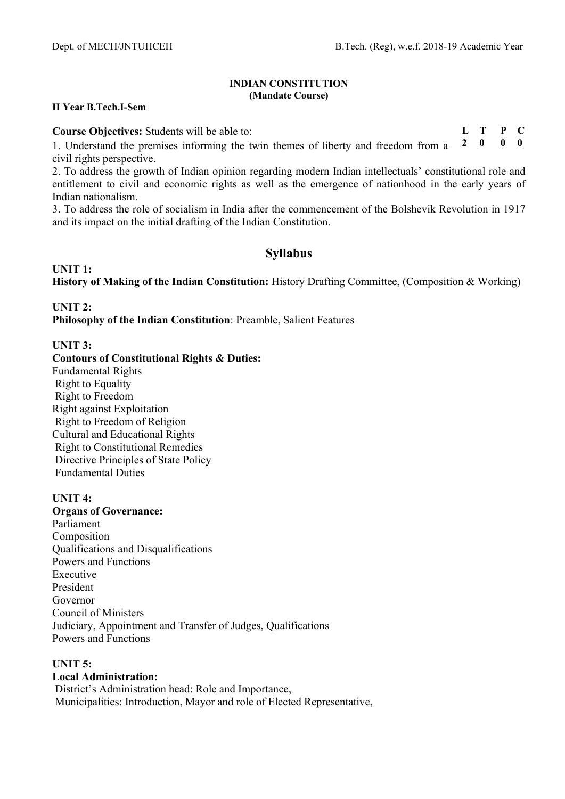**L T P C** 

#### **INDIAN CONSTITUTION (Mandate Course)**

#### **II Year B.Tech.I-Sem**

**Course Objectives:** Students will be able to:

1. Understand the premises informing the twin themes of liberty and freedom from a civil rights perspective. **2 0 0 0** 

2. To address the growth of Indian opinion regarding modern Indian intellectuals' constitutional role and entitlement to civil and economic rights as well as the emergence of nationhood in the early years of Indian nationalism.

3. To address the role of socialism in India after the commencement of the Bolshevik Revolution in 1917 and its impact on the initial drafting of the Indian Constitution.

# **Syllabus**

**UNIT 1: History of Making of the Indian Constitution:** History Drafting Committee, (Composition & Working)

# **UNIT 2:**

**Philosophy of the Indian Constitution**: Preamble, Salient Features

# **UNIT 3:**

**Contours of Constitutional Rights & Duties:**  Fundamental Rights Right to Equality Right to Freedom Right against Exploitation Right to Freedom of Religion Cultural and Educational Rights Right to Constitutional Remedies Directive Principles of State Policy Fundamental Duties

## **UNIT 4:**

**Organs of Governance:** Parliament Composition Qualifications and Disqualifications Powers and Functions Executive President Governor Council of Ministers Judiciary, Appointment and Transfer of Judges, Qualifications Powers and Functions

# **UNIT 5:**

# **Local Administration:**

 District's Administration head: Role and Importance, Municipalities: Introduction, Mayor and role of Elected Representative,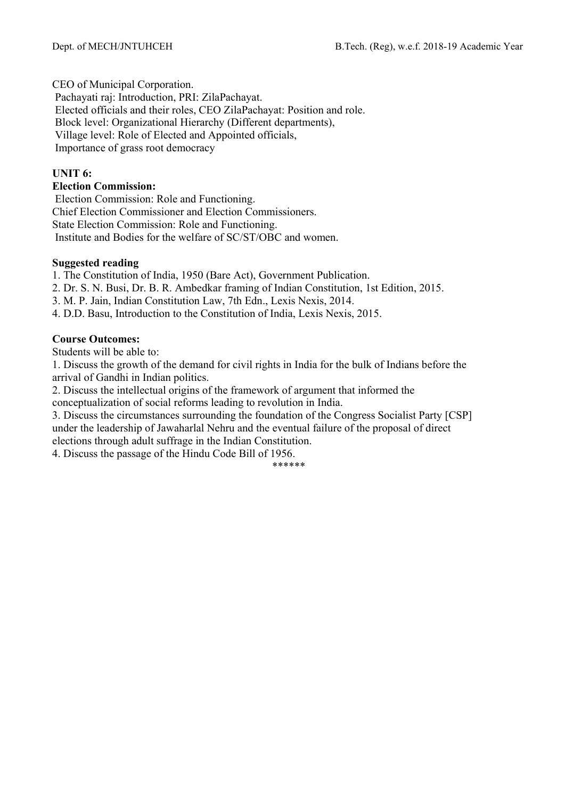CEO of Municipal Corporation.

Pachayati raj: Introduction, PRI: ZilaPachayat.

Elected officials and their roles, CEO ZilaPachayat: Position and role.

Block level: Organizational Hierarchy (Different departments),

Village level: Role of Elected and Appointed officials,

Importance of grass root democracy

# **UNIT 6:**

# **Election Commission:**

 Election Commission: Role and Functioning. Chief Election Commissioner and Election Commissioners. State Election Commission: Role and Functioning. Institute and Bodies for the welfare of SC/ST/OBC and women.

# **Suggested reading**

1. The Constitution of India, 1950 (Bare Act), Government Publication.

- 2. Dr. S. N. Busi, Dr. B. R. Ambedkar framing of Indian Constitution, 1st Edition, 2015.
- 3. M. P. Jain, Indian Constitution Law, 7th Edn., Lexis Nexis, 2014.
- 4. D.D. Basu, Introduction to the Constitution of India, Lexis Nexis, 2015.

# **Course Outcomes:**

Students will be able to:

1. Discuss the growth of the demand for civil rights in India for the bulk of Indians before the arrival of Gandhi in Indian politics.

2. Discuss the intellectual origins of the framework of argument that informed the conceptualization of social reforms leading to revolution in India.

3. Discuss the circumstances surrounding the foundation of the Congress Socialist Party [CSP] under the leadership of Jawaharlal Nehru and the eventual failure of the proposal of direct elections through adult suffrage in the Indian Constitution.

4. Discuss the passage of the Hindu Code Bill of 1956.

\*\*\*\*\*\*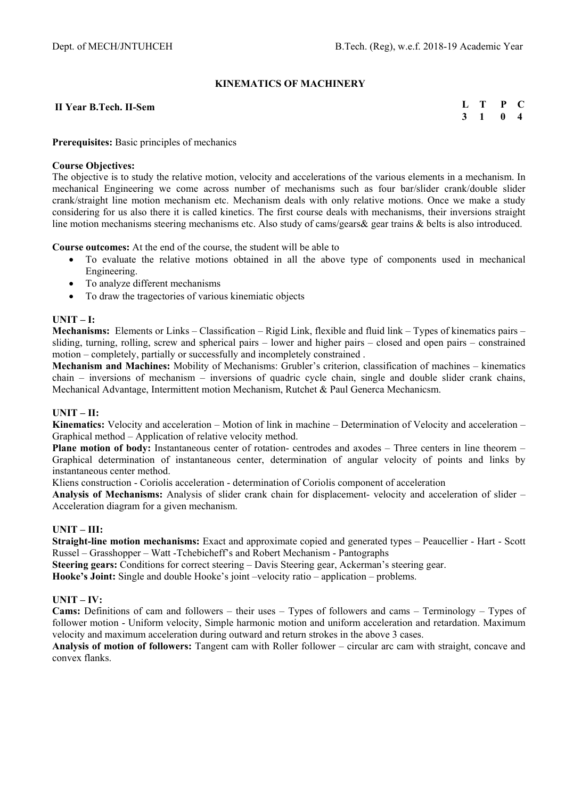## **KINEMATICS OF MACHINERY**

#### **II Year B.Tech. II-Sem**

**L T P C 3 1 0 4** 

#### **Prerequisites:** Basic principles of mechanics

#### **Course Objectives:**

The objective is to study the relative motion, velocity and accelerations of the various elements in a mechanism. In mechanical Engineering we come across number of mechanisms such as four bar/slider crank/double slider crank/straight line motion mechanism etc. Mechanism deals with only relative motions. Once we make a study considering for us also there it is called kinetics. The first course deals with mechanisms, their inversions straight line motion mechanisms steering mechanisms etc. Also study of cams/gears& gear trains & belts is also introduced.

**Course outcomes:** At the end of the course, the student will be able to

- To evaluate the relative motions obtained in all the above type of components used in mechanical Engineering.
- To analyze different mechanisms
- To draw the tragectories of various kinemiatic objects

#### **UNIT – I:**

**Mechanisms:** Elements or Links – Classification – Rigid Link, flexible and fluid link – Types of kinematics pairs – sliding, turning, rolling, screw and spherical pairs – lower and higher pairs – closed and open pairs – constrained motion – completely, partially or successfully and incompletely constrained .

**Mechanism and Machines:** Mobility of Mechanisms: Grubler's criterion, classification of machines – kinematics chain – inversions of mechanism – inversions of quadric cycle chain, single and double slider crank chains, Mechanical Advantage, Intermittent motion Mechanism, Rutchet & Paul Generca Mechanicsm.

## **UNIT – II:**

**Kinematics:** Velocity and acceleration – Motion of link in machine – Determination of Velocity and acceleration – Graphical method – Application of relative velocity method.

**Plane motion of body:** Instantaneous center of rotation- centrodes and axodes – Three centers in line theorem – Graphical determination of instantaneous center, determination of angular velocity of points and links by instantaneous center method.

Kliens construction - Coriolis acceleration - determination of Coriolis component of acceleration

**Analysis of Mechanisms:** Analysis of slider crank chain for displacement- velocity and acceleration of slider – Acceleration diagram for a given mechanism.

## **UNIT – III:**

**Straight-line motion mechanisms:** Exact and approximate copied and generated types – Peaucellier - Hart - Scott Russel – Grasshopper – Watt -Tchebicheff's and Robert Mechanism - Pantographs

**Steering gears:** Conditions for correct steering – Davis Steering gear, Ackerman's steering gear.

**Hooke's Joint:** Single and double Hooke's joint –velocity ratio – application – problems.

## **UNIT – IV:**

**Cams:** Definitions of cam and followers – their uses – Types of followers and cams – Terminology – Types of follower motion - Uniform velocity, Simple harmonic motion and uniform acceleration and retardation. Maximum velocity and maximum acceleration during outward and return strokes in the above 3 cases.

**Analysis of motion of followers:** Tangent cam with Roller follower – circular arc cam with straight, concave and convex flanks.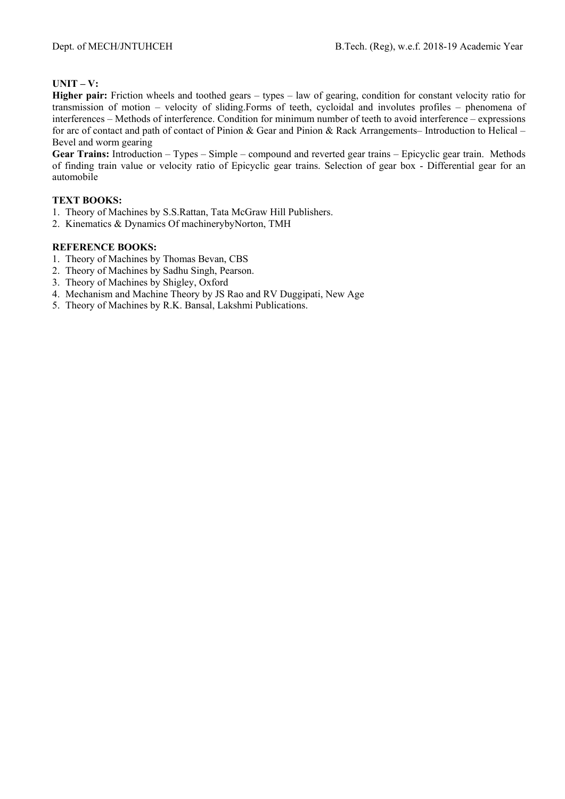# **UNIT – V:**

**Higher pair:** Friction wheels and toothed gears – types – law of gearing, condition for constant velocity ratio for transmission of motion – velocity of sliding.Forms of teeth, cycloidal and involutes profiles – phenomena of interferences – Methods of interference. Condition for minimum number of teeth to avoid interference – expressions for arc of contact and path of contact of Pinion & Gear and Pinion & Rack Arrangements– Introduction to Helical – Bevel and worm gearing

**Gear Trains:** Introduction – Types – Simple – compound and reverted gear trains – Epicyclic gear train. Methods of finding train value or velocity ratio of Epicyclic gear trains. Selection of gear box - Differential gear for an automobile

# **TEXT BOOKS:**

- 1. Theory of Machines by S.S.Rattan, Tata McGraw Hill Publishers.
- 2. Kinematics & Dynamics Of machinerybyNorton, TMH

- 1. Theory of Machines by Thomas Bevan, CBS
- 2. Theory of Machines by Sadhu Singh, Pearson.
- 3. Theory of Machines by Shigley, Oxford
- 4. Mechanism and Machine Theory by JS Rao and RV Duggipati, New Age
- 5. Theory of Machines by R.K. Bansal, Lakshmi Publications.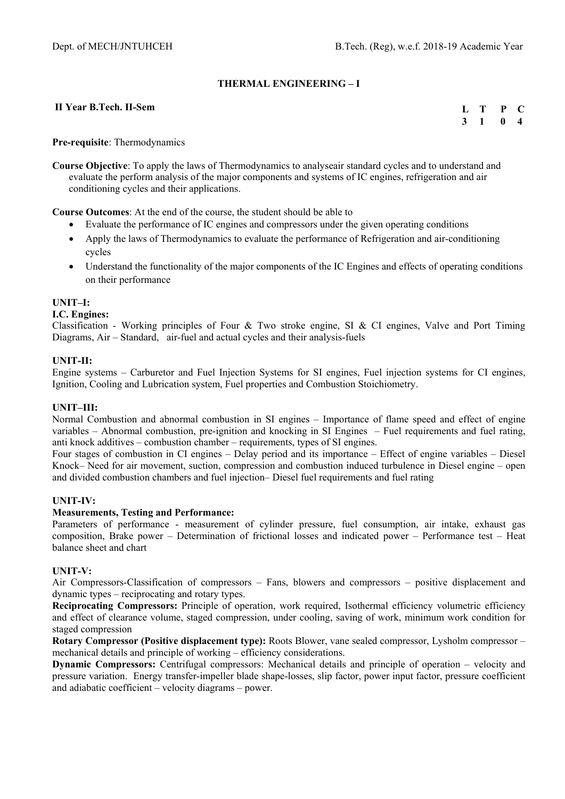## **THERMAL ENGINEERING – I**

#### **II Year B.Tech. II-Sem**

| $\mathbf{L}$ | т  | P | C. |
|--------------|----|---|----|
| 3            | -1 | 0 | 4  |

**Pre-requisite**: Thermodynamics

**Course Objective**: To apply the laws of Thermodynamics to analyseair standard cycles and to understand and evaluate the perform analysis of the major components and systems of IC engines, refrigeration and air conditioning cycles and their applications.

**Course Outcomes**: At the end of the course, the student should be able to

- Evaluate the performance of IC engines and compressors under the given operating conditions
- Apply the laws of Thermodynamics to evaluate the performance of Refrigeration and air-conditioning cycles
- Understand the functionality of the major components of the IC Engines and effects of operating conditions on their performance

## **UNIT–I:**

#### **I.C. Engines:**

Classification - Working principles of Four & Two stroke engine, SI & CI engines, Valve and Port Timing Diagrams, Air – Standard, air-fuel and actual cycles and their analysis-fuels

#### **UNIT-II:**

Engine systems – Carburetor and Fuel Injection Systems for SI engines, Fuel injection systems for CI engines, Ignition, Cooling and Lubrication system, Fuel properties and Combustion Stoichiometry.

#### **UNIT–III:**

Normal Combustion and abnormal combustion in SI engines – Importance of flame speed and effect of engine variables – Abnormal combustion, pre-ignition and knocking in SI Engines – Fuel requirements and fuel rating, anti knock additives – combustion chamber – requirements, types of SI engines.

Four stages of combustion in CI engines – Delay period and its importance – Effect of engine variables – Diesel Knock– Need for air movement, suction, compression and combustion induced turbulence in Diesel engine – open and divided combustion chambers and fuel injection– Diesel fuel requirements and fuel rating

## **UNIT-IV:**

#### **Measurements, Testing and Performance:**

Parameters of performance - measurement of cylinder pressure, fuel consumption, air intake, exhaust gas composition, Brake power – Determination of frictional losses and indicated power – Performance test – Heat balance sheet and chart

#### **UNIT-V:**

Air Compressors-Classification of compressors – Fans, blowers and compressors – positive displacement and dynamic types – reciprocating and rotary types.

**Reciprocating Compressors:** Principle of operation, work required, Isothermal efficiency volumetric efficiency and effect of clearance volume, staged compression, under cooling, saving of work, minimum work condition for staged compression

**Rotary Compressor (Positive displacement type):** Roots Blower, vane sealed compressor, Lysholm compressor – mechanical details and principle of working – efficiency considerations.

**Dynamic Compressors:** Centrifugal compressors: Mechanical details and principle of operation – velocity and pressure variation. Energy transfer-impeller blade shape-losses, slip factor, power input factor, pressure coefficient and adiabatic coefficient – velocity diagrams – power.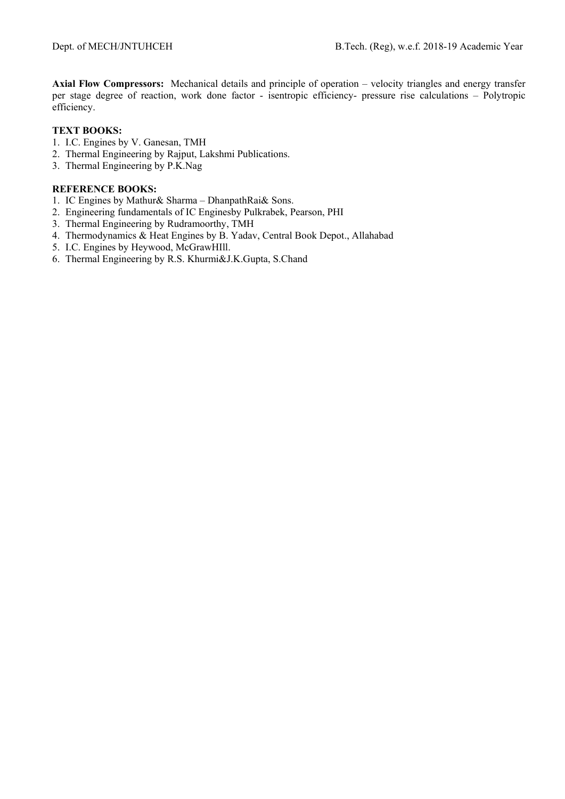**Axial Flow Compressors:** Mechanical details and principle of operation – velocity triangles and energy transfer per stage degree of reaction, work done factor - isentropic efficiency- pressure rise calculations – Polytropic efficiency.

## **TEXT BOOKS:**

- 1. I.C. Engines by V. Ganesan, TMH
- 2. Thermal Engineering by Rajput, Lakshmi Publications.
- 3. Thermal Engineering by P.K.Nag

- 1. IC Engines by Mathur& Sharma DhanpathRai& Sons.
- 2. Engineering fundamentals of IC Enginesby Pulkrabek, Pearson, PHI
- 3. Thermal Engineering by Rudramoorthy, TMH
- 4. Thermodynamics & Heat Engines by B. Yadav, Central Book Depot., Allahabad
- 5. I.C. Engines by Heywood, McGrawHIll.
- 6. Thermal Engineering by R.S. Khurmi&J.K.Gupta, S.Chand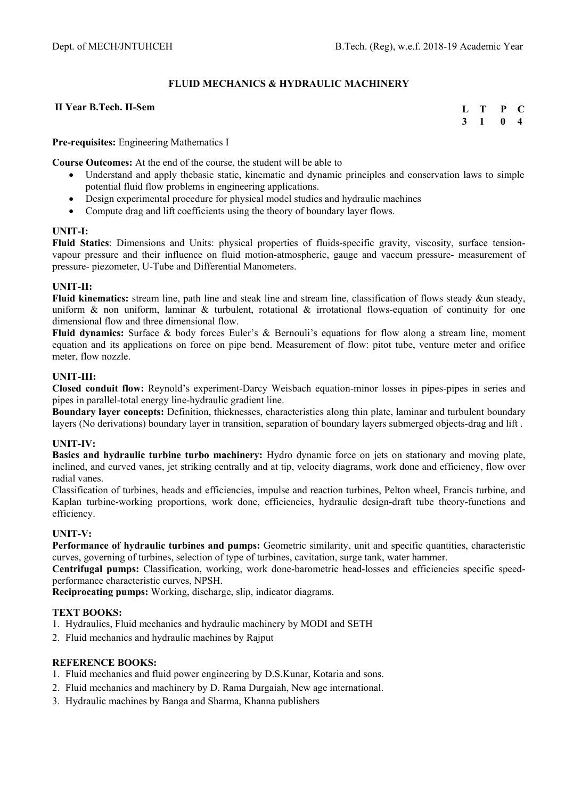# **FLUID MECHANICS & HYDRAULIC MACHINERY**

#### **II Year B.Tech. II-Sem**

**L T P C 3 1 0 4** 

## **Pre-requisites:** Engineering Mathematics I

**Course Outcomes:** At the end of the course, the student will be able to

- Understand and apply thebasic static, kinematic and dynamic principles and conservation laws to simple potential fluid flow problems in engineering applications.
- Design experimental procedure for physical model studies and hydraulic machines
- Compute drag and lift coefficients using the theory of boundary layer flows.

#### **UNIT-I:**

**Fluid Statics**: Dimensions and Units: physical properties of fluids-specific gravity, viscosity, surface tensionvapour pressure and their influence on fluid motion-atmospheric, gauge and vaccum pressure- measurement of pressure- piezometer, U-Tube and Differential Manometers.

#### **UNIT-II:**

**Fluid kinematics:** stream line, path line and steak line and stream line, classification of flows steady &un steady, uniform & non uniform, laminar & turbulent, rotational & irrotational flows-equation of continuity for one dimensional flow and three dimensional flow.

**Fluid dynamics:** Surface & body forces Euler's & Bernouli's equations for flow along a stream line, moment equation and its applications on force on pipe bend. Measurement of flow: pitot tube, venture meter and orifice meter, flow nozzle.

## **UNIT-III:**

**Closed conduit flow:** Reynold's experiment-Darcy Weisbach equation-minor losses in pipes-pipes in series and pipes in parallel-total energy line-hydraulic gradient line.

**Boundary layer concepts:** Definition, thicknesses, characteristics along thin plate, laminar and turbulent boundary layers (No derivations) boundary layer in transition, separation of boundary layers submerged objects-drag and lift .

## **UNIT-IV:**

**Basics and hydraulic turbine turbo machinery:** Hydro dynamic force on jets on stationary and moving plate, inclined, and curved vanes, jet striking centrally and at tip, velocity diagrams, work done and efficiency, flow over radial vanes.

Classification of turbines, heads and efficiencies, impulse and reaction turbines, Pelton wheel, Francis turbine, and Kaplan turbine-working proportions, work done, efficiencies, hydraulic design-draft tube theory-functions and efficiency.

## **UNIT-V:**

**Performance of hydraulic turbines and pumps:** Geometric similarity, unit and specific quantities, characteristic curves, governing of turbines, selection of type of turbines, cavitation, surge tank, water hammer.

**Centrifugal pumps:** Classification, working, work done-barometric head-losses and efficiencies specific speedperformance characteristic curves, NPSH.

**Reciprocating pumps:** Working, discharge, slip, indicator diagrams.

#### **TEXT BOOKS:**

- 1. Hydraulics, Fluid mechanics and hydraulic machinery by MODI and SETH
- 2. Fluid mechanics and hydraulic machines by Rajput

- 1. Fluid mechanics and fluid power engineering by D.S.Kunar, Kotaria and sons.
- 2. Fluid mechanics and machinery by D. Rama Durgaiah, New age international.
- 3. Hydraulic machines by Banga and Sharma, Khanna publishers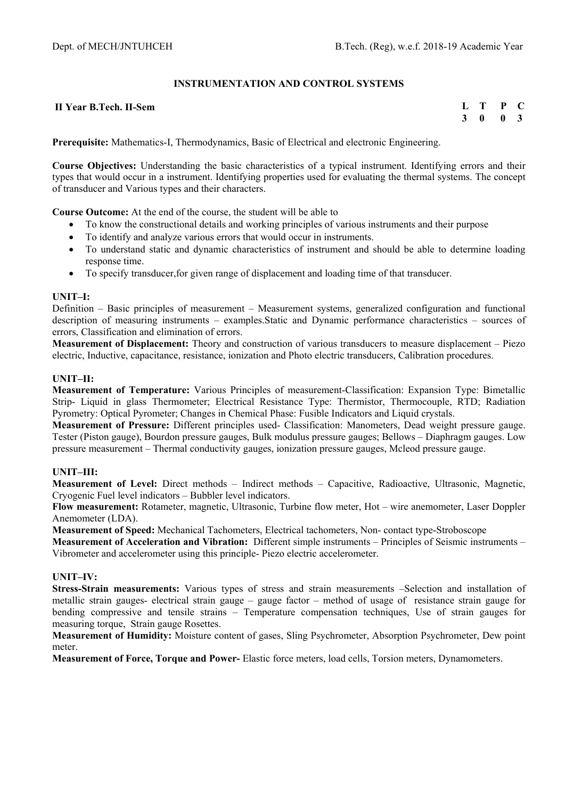## **INSTRUMENTATION AND CONTROL SYSTEMS**

#### **II Year B.Tech. II-Sem**

**L T P C 3 0 0 3** 

**Prerequisite:** Mathematics-I, Thermodynamics, Basic of Electrical and electronic Engineering.

**Course Objectives:** Understanding the basic characteristics of a typical instrument. Identifying errors and their types that would occur in a instrument. Identifying properties used for evaluating the thermal systems. The concept of transducer and Various types and their characters.

**Course Outcome:** At the end of the course, the student will be able to

- To know the constructional details and working principles of various instruments and their purpose
- To identify and analyze various errors that would occur in instruments.
- To understand static and dynamic characteristics of instrument and should be able to determine loading response time.
- To specify transducer,for given range of displacement and loading time of that transducer.

#### **UNIT–I:**

Definition – Basic principles of measurement – Measurement systems, generalized configuration and functional description of measuring instruments – examples.Static and Dynamic performance characteristics – sources of errors, Classification and elimination of errors.

**Measurement of Displacement:** Theory and construction of various transducers to measure displacement – Piezo electric, Inductive, capacitance, resistance, ionization and Photo electric transducers, Calibration procedures.

#### **UNIT–II:**

**Measurement of Temperature:** Various Principles of measurement-Classification: Expansion Type: Bimetallic Strip- Liquid in glass Thermometer; Electrical Resistance Type: Thermistor, Thermocouple, RTD; Radiation Pyrometry: Optical Pyrometer; Changes in Chemical Phase: Fusible Indicators and Liquid crystals.

**Measurement of Pressure:** Different principles used- Classification: Manometers, Dead weight pressure gauge. Tester (Piston gauge), Bourdon pressure gauges, Bulk modulus pressure gauges; Bellows – Diaphragm gauges. Low pressure measurement – Thermal conductivity gauges, ionization pressure gauges, Mcleod pressure gauge.

## **UNIT–III:**

**Measurement of Level:** Direct methods – Indirect methods – Capacitive, Radioactive, Ultrasonic, Magnetic, Cryogenic Fuel level indicators – Bubbler level indicators.

**Flow measurement:** Rotameter, magnetic, Ultrasonic, Turbine flow meter, Hot – wire anemometer, Laser Doppler Anemometer (LDA).

**Measurement of Speed:** Mechanical Tachometers, Electrical tachometers, Non- contact type-Stroboscope

**Measurement of Acceleration and Vibration:** Different simple instruments – Principles of Seismic instruments – Vibrometer and accelerometer using this principle- Piezo electric accelerometer.

#### **UNIT–IV:**

**Stress-Strain measurements:** Various types of stress and strain measurements –Selection and installation of metallic strain gauges- electrical strain gauge – gauge factor – method of usage of resistance strain gauge for bending compressive and tensile strains – Temperature compensation techniques, Use of strain gauges for measuring torque, Strain gauge Rosettes.

**Measurement of Humidity:** Moisture content of gases, Sling Psychrometer, Absorption Psychrometer, Dew point meter.

**Measurement of Force, Torque and Power-** Elastic force meters, load cells, Torsion meters, Dynamometers.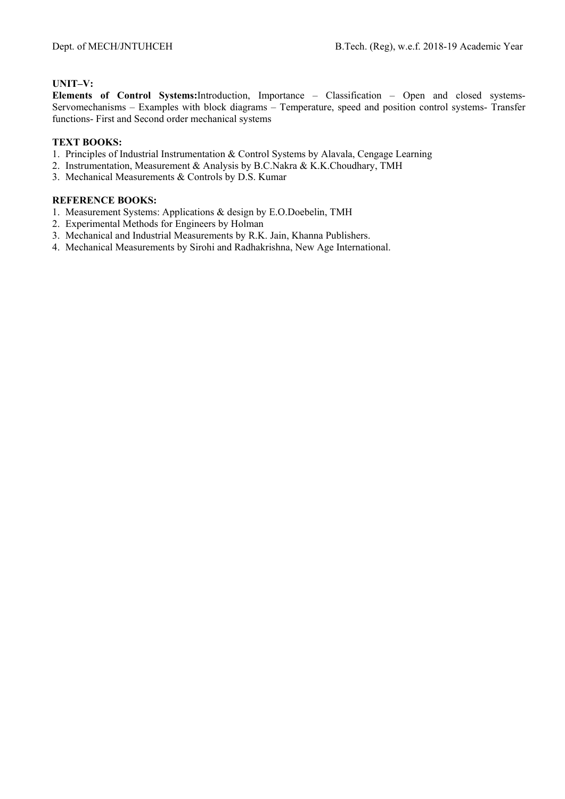# **UNIT–V:**

**Elements of Control Systems:**Introduction, Importance – Classification – Open and closed systems-Servomechanisms – Examples with block diagrams – Temperature, speed and position control systems- Transfer functions- First and Second order mechanical systems

# **TEXT BOOKS:**

- 1. Principles of Industrial Instrumentation & Control Systems by Alavala, Cengage Learning
- 2. Instrumentation, Measurement & Analysis by B.C.Nakra & K.K.Choudhary, TMH
- 3. Mechanical Measurements & Controls by D.S. Kumar

- 1. Measurement Systems: Applications & design by E.O.Doebelin, TMH
- 2. Experimental Methods for Engineers by Holman
- 3. Mechanical and Industrial Measurements by R.K. Jain, Khanna Publishers.
- 4. Mechanical Measurements by Sirohi and Radhakrishna, New Age International.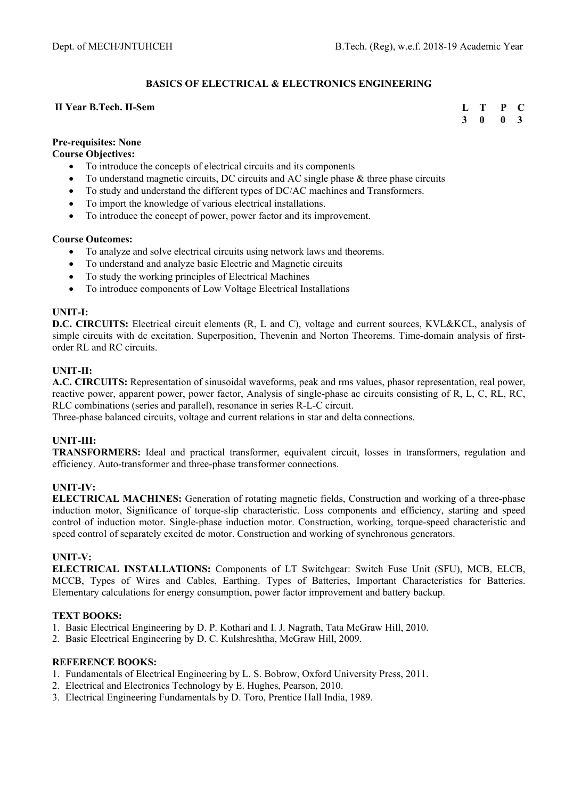# **BASICS OF ELECTRICAL & ELECTRONICS ENGINEERING**

#### **II Year B.Tech. II-Sem**

**L T P C 3 0 0 3** 

# **Pre-requisites: None**

**Course Objectives:** 

- To introduce the concepts of electrical circuits and its components
- To understand magnetic circuits, DC circuits and AC single phase & three phase circuits
- To study and understand the different types of DC/AC machines and Transformers.
- To import the knowledge of various electrical installations.
- To introduce the concept of power, power factor and its improvement.

#### **Course Outcomes:**

- To analyze and solve electrical circuits using network laws and theorems.
- To understand and analyze basic Electric and Magnetic circuits
- To study the working principles of Electrical Machines
- To introduce components of Low Voltage Electrical Installations

## **UNIT-I:**

**D.C. CIRCUITS:** Electrical circuit elements (R, L and C), voltage and current sources, KVL&KCL, analysis of simple circuits with dc excitation. Superposition, Thevenin and Norton Theorems. Time-domain analysis of firstorder RL and RC circuits.

## **UNIT-II:**

**A.C. CIRCUITS:** Representation of sinusoidal waveforms, peak and rms values, phasor representation, real power, reactive power, apparent power, power factor, Analysis of single-phase ac circuits consisting of R, L, C, RL, RC, RLC combinations (series and parallel), resonance in series R-L-C circuit.

Three-phase balanced circuits, voltage and current relations in star and delta connections.

## **UNIT-III:**

**TRANSFORMERS:** Ideal and practical transformer, equivalent circuit, losses in transformers, regulation and efficiency. Auto-transformer and three-phase transformer connections.

## **UNIT-IV:**

**ELECTRICAL MACHINES:** Generation of rotating magnetic fields, Construction and working of a three-phase induction motor, Significance of torque-slip characteristic. Loss components and efficiency, starting and speed control of induction motor. Single-phase induction motor. Construction, working, torque-speed characteristic and speed control of separately excited dc motor. Construction and working of synchronous generators.

## **UNIT-V:**

**ELECTRICAL INSTALLATIONS:** Components of LT Switchgear: Switch Fuse Unit (SFU), MCB, ELCB, MCCB, Types of Wires and Cables, Earthing. Types of Batteries, Important Characteristics for Batteries. Elementary calculations for energy consumption, power factor improvement and battery backup.

## **TEXT BOOKS:**

- 1. Basic Electrical Engineering by D. P. Kothari and I. J. Nagrath, Tata McGraw Hill, 2010.
- 2. Basic Electrical Engineering by D. C. Kulshreshtha, McGraw Hill, 2009.

- 1. Fundamentals of Electrical Engineering by L. S. Bobrow, Oxford University Press, 2011.
- 2. Electrical and Electronics Technology by E. Hughes, Pearson, 2010.
- 3. Electrical Engineering Fundamentals by D. Toro, Prentice Hall India, 1989.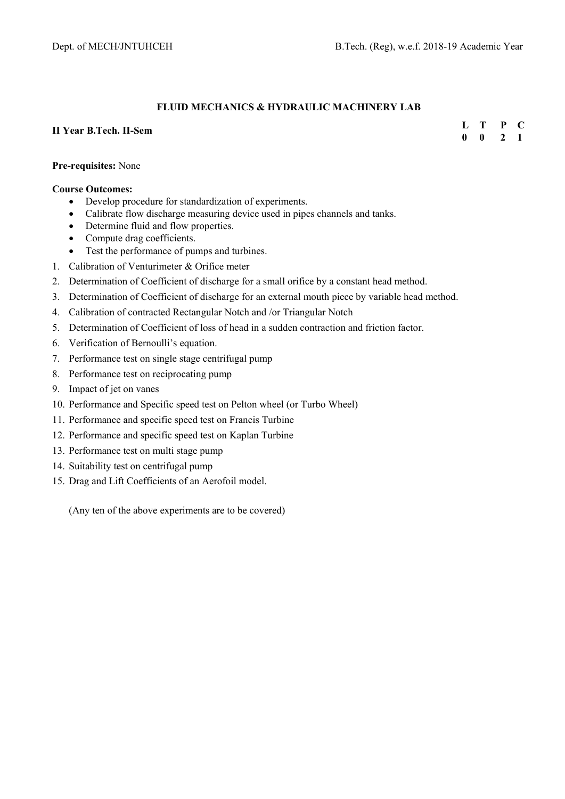## **FLUID MECHANICS & HYDRAULIC MACHINERY LAB**

## **II Year B.Tech. II-Sem**

**L T P C 0 0 2 1** 

## **Pre-requisites:** None

#### **Course Outcomes:**

- Develop procedure for standardization of experiments.
- Calibrate flow discharge measuring device used in pipes channels and tanks.
- Determine fluid and flow properties.
- Compute drag coefficients.
- Test the performance of pumps and turbines.
- 1. Calibration of Venturimeter & Orifice meter
- 2. Determination of Coefficient of discharge for a small orifice by a constant head method.
- 3. Determination of Coefficient of discharge for an external mouth piece by variable head method.
- 4. Calibration of contracted Rectangular Notch and /or Triangular Notch
- 5. Determination of Coefficient of loss of head in a sudden contraction and friction factor.
- 6. Verification of Bernoulli's equation.
- 7. Performance test on single stage centrifugal pump
- 8. Performance test on reciprocating pump
- 9. Impact of jet on vanes
- 10. Performance and Specific speed test on Pelton wheel (or Turbo Wheel)
- 11. Performance and specific speed test on Francis Turbine
- 12. Performance and specific speed test on Kaplan Turbine
- 13. Performance test on multi stage pump
- 14. Suitability test on centrifugal pump
- 15. Drag and Lift Coefficients of an Aerofoil model.

(Any ten of the above experiments are to be covered)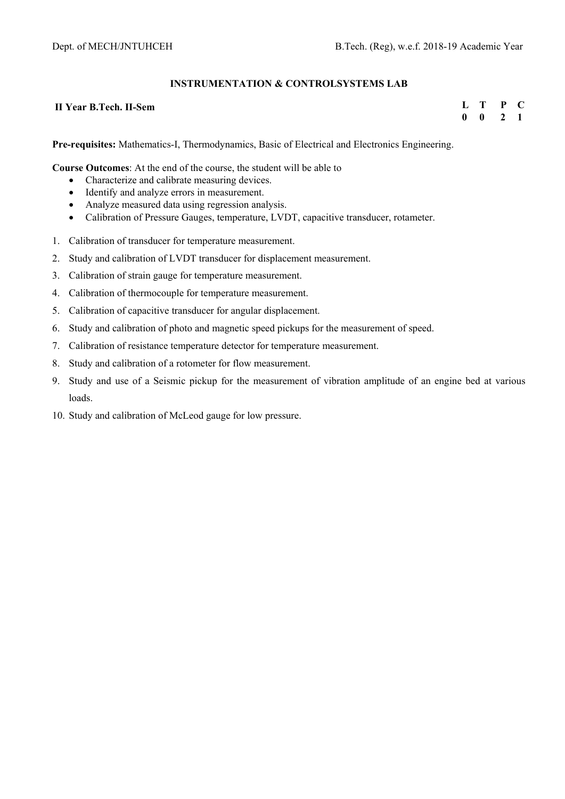## **INSTRUMENTATION & CONTROLSYSTEMS LAB**

#### **II Year B.Tech. II-Sem**

**L T P C 0 0 2 1** 

**Pre-requisites:** Mathematics-I, Thermodynamics, Basic of Electrical and Electronics Engineering.

**Course Outcomes**: At the end of the course, the student will be able to

- Characterize and calibrate measuring devices.
- Identify and analyze errors in measurement.
- Analyze measured data using regression analysis.
- Calibration of Pressure Gauges, temperature, LVDT, capacitive transducer, rotameter.
- 1. Calibration of transducer for temperature measurement.
- 2. Study and calibration of LVDT transducer for displacement measurement.
- 3. Calibration of strain gauge for temperature measurement.
- 4. Calibration of thermocouple for temperature measurement.
- 5. Calibration of capacitive transducer for angular displacement.
- 6. Study and calibration of photo and magnetic speed pickups for the measurement of speed.
- 7. Calibration of resistance temperature detector for temperature measurement.
- 8. Study and calibration of a rotometer for flow measurement.
- 9. Study and use of a Seismic pickup for the measurement of vibration amplitude of an engine bed at various loads.
- 10. Study and calibration of McLeod gauge for low pressure.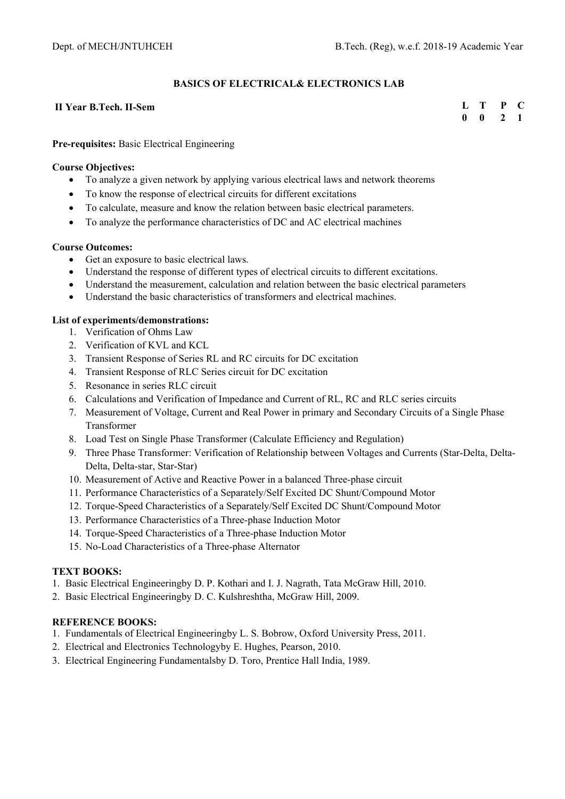## **BASICS OF ELECTRICAL& ELECTRONICS LAB**

#### **II Year B.Tech. II-Sem**

**L T P C 0 0 2 1** 

## **Pre-requisites:** Basic Electrical Engineering

#### **Course Objectives:**

- To analyze a given network by applying various electrical laws and network theorems
- To know the response of electrical circuits for different excitations
- To calculate, measure and know the relation between basic electrical parameters.
- To analyze the performance characteristics of DC and AC electrical machines

#### **Course Outcomes:**

- Get an exposure to basic electrical laws.
- Understand the response of different types of electrical circuits to different excitations.
- Understand the measurement, calculation and relation between the basic electrical parameters
- Understand the basic characteristics of transformers and electrical machines.

## **List of experiments/demonstrations:**

- 1. Verification of Ohms Law
- 2. Verification of KVL and KCL
- 3. Transient Response of Series RL and RC circuits for DC excitation
- 4. Transient Response of RLC Series circuit for DC excitation
- 5. Resonance in series RLC circuit
- 6. Calculations and Verification of Impedance and Current of RL, RC and RLC series circuits
- 7. Measurement of Voltage, Current and Real Power in primary and Secondary Circuits of a Single Phase Transformer
- 8. Load Test on Single Phase Transformer (Calculate Efficiency and Regulation)
- 9. Three Phase Transformer: Verification of Relationship between Voltages and Currents (Star-Delta, Delta-Delta, Delta-star, Star-Star)
- 10. Measurement of Active and Reactive Power in a balanced Three-phase circuit
- 11. Performance Characteristics of a Separately/Self Excited DC Shunt/Compound Motor
- 12. Torque-Speed Characteristics of a Separately/Self Excited DC Shunt/Compound Motor
- 13. Performance Characteristics of a Three-phase Induction Motor
- 14. Torque-Speed Characteristics of a Three-phase Induction Motor
- 15. No-Load Characteristics of a Three-phase Alternator

## **TEXT BOOKS:**

- 1. Basic Electrical Engineeringby D. P. Kothari and I. J. Nagrath, Tata McGraw Hill, 2010.
- 2. Basic Electrical Engineeringby D. C. Kulshreshtha, McGraw Hill, 2009.

- 1. Fundamentals of Electrical Engineeringby L. S. Bobrow, Oxford University Press, 2011.
- 2. Electrical and Electronics Technologyby E. Hughes, Pearson, 2010.
- 3. Electrical Engineering Fundamentalsby D. Toro, Prentice Hall India, 1989.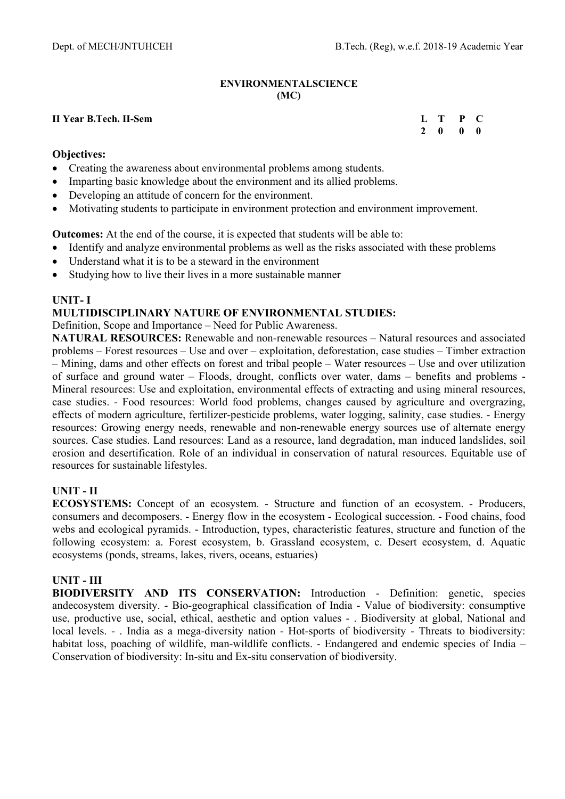## **ENVIRONMENTALSCIENCE (MC)**

## **II Year B.Tech. II-Sem**

| L T |   | P | C |
|-----|---|---|---|
| 2   | 0 | 0 | 0 |

## **Objectives:**

- Creating the awareness about environmental problems among students.
- Imparting basic knowledge about the environment and its allied problems.
- Developing an attitude of concern for the environment.
- Motivating students to participate in environment protection and environment improvement.

**Outcomes:** At the end of the course, it is expected that students will be able to:

- Identify and analyze environmental problems as well as the risks associated with these problems
- Understand what it is to be a steward in the environment
- Studying how to live their lives in a more sustainable manner

# **UNIT- I**

# **MULTIDISCIPLINARY NATURE OF ENVIRONMENTAL STUDIES:**

Definition, Scope and Importance – Need for Public Awareness.

**NATURAL RESOURCES:** Renewable and non-renewable resources – Natural resources and associated problems – Forest resources – Use and over – exploitation, deforestation, case studies – Timber extraction – Mining, dams and other effects on forest and tribal people – Water resources – Use and over utilization of surface and ground water – Floods, drought, conflicts over water, dams – benefits and problems - Mineral resources: Use and exploitation, environmental effects of extracting and using mineral resources, case studies. - Food resources: World food problems, changes caused by agriculture and overgrazing, effects of modern agriculture, fertilizer-pesticide problems, water logging, salinity, case studies. - Energy resources: Growing energy needs, renewable and non-renewable energy sources use of alternate energy sources. Case studies. Land resources: Land as a resource, land degradation, man induced landslides, soil erosion and desertification. Role of an individual in conservation of natural resources. Equitable use of resources for sustainable lifestyles.

# **UNIT - II**

**ECOSYSTEMS:** Concept of an ecosystem. - Structure and function of an ecosystem. - Producers, consumers and decomposers. - Energy flow in the ecosystem - Ecological succession. - Food chains, food webs and ecological pyramids. - Introduction, types, characteristic features, structure and function of the following ecosystem: a. Forest ecosystem, b. Grassland ecosystem, c. Desert ecosystem, d. Aquatic ecosystems (ponds, streams, lakes, rivers, oceans, estuaries)

# **UNIT - III**

**BIODIVERSITY AND ITS CONSERVATION:** Introduction - Definition: genetic, species andecosystem diversity. - Bio-geographical classification of India - Value of biodiversity: consumptive use, productive use, social, ethical, aesthetic and option values - . Biodiversity at global, National and local levels. - . India as a mega-diversity nation - Hot-sports of biodiversity - Threats to biodiversity: habitat loss, poaching of wildlife, man-wildlife conflicts. - Endangered and endemic species of India – Conservation of biodiversity: In-situ and Ex-situ conservation of biodiversity.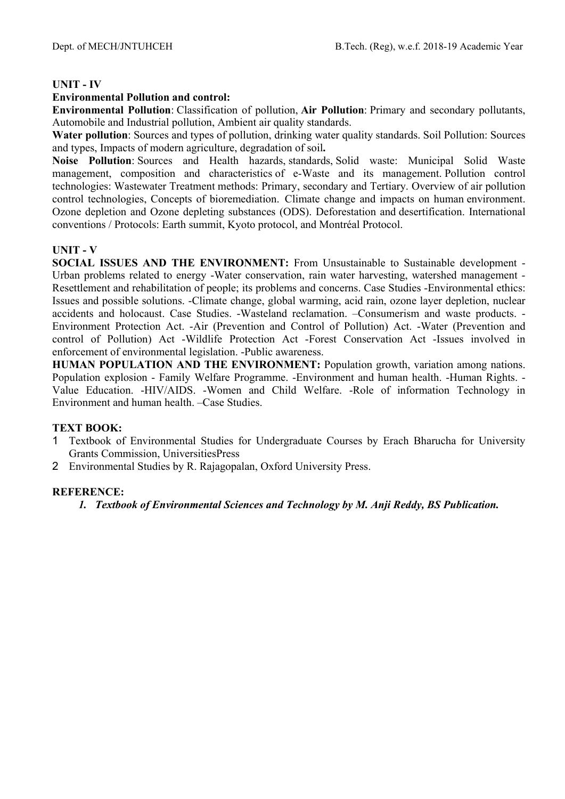# **UNIT - IV**

# **Environmental Pollution and control:**

**Environmental Pollution**: Classification of pollution, **Air Pollution**: Primary and secondary pollutants, Automobile and Industrial pollution, Ambient air quality standards.

**Water pollution**: Sources and types of pollution, drinking water quality standards. Soil Pollution: Sources and types, Impacts of modern agriculture, degradation of soil**.** 

**Noise Pollution**: Sources and Health hazards, standards, Solid waste: Municipal Solid Waste management, composition and characteristics of e-Waste and its management. Pollution control technologies: Wastewater Treatment methods: Primary, secondary and Tertiary. Overview of air pollution control technologies, Concepts of bioremediation. Climate change and impacts on human environment. Ozone depletion and Ozone depleting substances (ODS). Deforestation and desertification. International conventions / Protocols: Earth summit, Kyoto protocol, and Montréal Protocol.

# **UNIT - V**

**SOCIAL ISSUES AND THE ENVIRONMENT:** From Unsustainable to Sustainable development - Urban problems related to energy -Water conservation, rain water harvesting, watershed management - Resettlement and rehabilitation of people; its problems and concerns. Case Studies -Environmental ethics: Issues and possible solutions. -Climate change, global warming, acid rain, ozone layer depletion, nuclear accidents and holocaust. Case Studies. -Wasteland reclamation. –Consumerism and waste products. - Environment Protection Act. -Air (Prevention and Control of Pollution) Act. -Water (Prevention and control of Pollution) Act -Wildlife Protection Act -Forest Conservation Act -Issues involved in enforcement of environmental legislation. -Public awareness.

**HUMAN POPULATION AND THE ENVIRONMENT:** Population growth, variation among nations. Population explosion - Family Welfare Programme. -Environment and human health. -Human Rights. - Value Education. -HIV/AIDS. -Women and Child Welfare. -Role of information Technology in Environment and human health. –Case Studies.

# **TEXT BOOK:**

- 1 Textbook of Environmental Studies for Undergraduate Courses by Erach Bharucha for University Grants Commission, UniversitiesPress
- 2 Environmental Studies by R. Rajagopalan, Oxford University Press.

# **REFERENCE:**

*1. Textbook of Environmental Sciences and Technology by M. Anji Reddy, BS Publication.*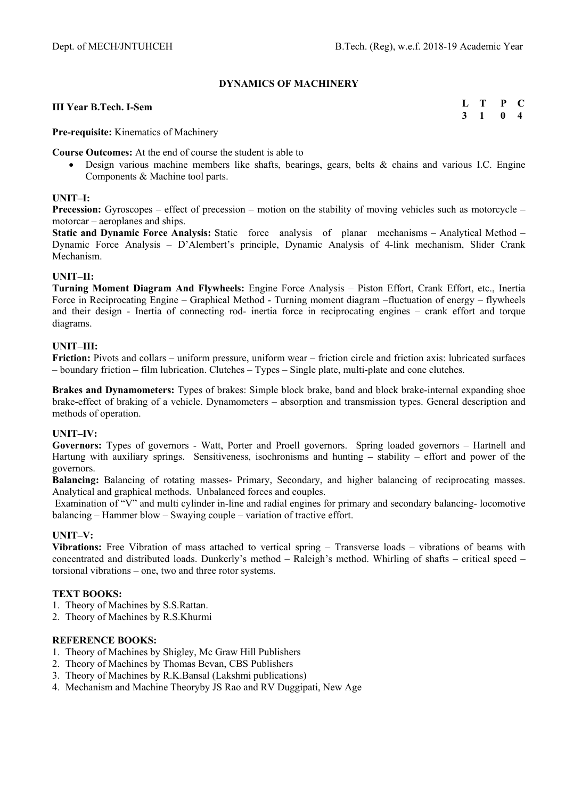## **DYNAMICS OF MACHINERY**

#### **III Year B.Tech. I-Sem**

**L T P C 3 1 0 4** 

**Pre-requisite:** Kinematics of Machinery

**Course Outcomes:** At the end of course the student is able to

 Design various machine members like shafts, bearings, gears, belts & chains and various I.C. Engine Components & Machine tool parts.

#### **UNIT–I:**

**Precession:** Gyroscopes – effect of precession – motion on the stability of moving vehicles such as motorcycle – motorcar – aeroplanes and ships.

**Static and Dynamic Force Analysis:** Static force analysis of planar mechanisms – Analytical Method – Dynamic Force Analysis – D'Alembert's principle, Dynamic Analysis of 4-link mechanism, Slider Crank Mechanism.

#### **UNIT–II:**

**Turning Moment Diagram And Flywheels:** Engine Force Analysis – Piston Effort, Crank Effort, etc., Inertia Force in Reciprocating Engine – Graphical Method - Turning moment diagram –fluctuation of energy – flywheels and their design - Inertia of connecting rod- inertia force in reciprocating engines – crank effort and torque diagrams.

#### **UNIT–III:**

**Friction:** Pivots and collars – uniform pressure, uniform wear – friction circle and friction axis: lubricated surfaces – boundary friction – film lubrication. Clutches – Types – Single plate, multi-plate and cone clutches.

**Brakes and Dynamometers:** Types of brakes: Simple block brake, band and block brake-internal expanding shoe brake-effect of braking of a vehicle. Dynamometers – absorption and transmission types. General description and methods of operation.

## **UNIT–IV:**

**Governors:** Types of governors - Watt, Porter and Proell governors. Spring loaded governors – Hartnell and Hartung with auxiliary springs. Sensitiveness, isochronisms and hunting **–** stability – effort and power of the governors.

**Balancing:** Balancing of rotating masses- Primary, Secondary, and higher balancing of reciprocating masses. Analytical and graphical methods. Unbalanced forces and couples.

 Examination of "V" and multi cylinder in-line and radial engines for primary and secondary balancing- locomotive balancing – Hammer blow – Swaying couple – variation of tractive effort.

## **UNIT–V:**

**Vibrations:** Free Vibration of mass attached to vertical spring – Transverse loads – vibrations of beams with concentrated and distributed loads. Dunkerly's method – Raleigh's method. Whirling of shafts – critical speed – torsional vibrations – one, two and three rotor systems.

## **TEXT BOOKS:**

- 1. Theory of Machines by S.S.Rattan.
- 2. Theory of Machines by R.S.Khurmi

- 1. Theory of Machines by Shigley, Mc Graw Hill Publishers
- 2. Theory of Machines by Thomas Bevan, CBS Publishers
- 3. Theory of Machines by R.K.Bansal (Lakshmi publications)
- 4. Mechanism and Machine Theoryby JS Rao and RV Duggipati, New Age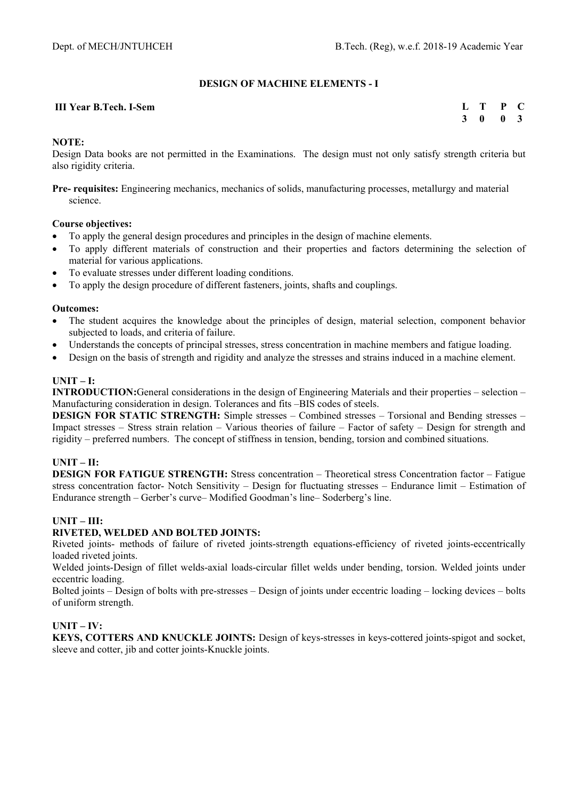# **DESIGN OF MACHINE ELEMENTS - I**

#### **III Year B.Tech. I-Sem**

| Ъ. | T | P | C.  |
|----|---|---|-----|
| 3  | 0 | 0 | - 3 |

## **NOTE:**

Design Data books are not permitted in the Examinations. The design must not only satisfy strength criteria but also rigidity criteria.

**Pre- requisites:** Engineering mechanics, mechanics of solids, manufacturing processes, metallurgy and material science.

## **Course objectives:**

- To apply the general design procedures and principles in the design of machine elements.
- To apply different materials of construction and their properties and factors determining the selection of material for various applications.
- To evaluate stresses under different loading conditions.
- To apply the design procedure of different fasteners, joints, shafts and couplings.

#### **Outcomes:**

- The student acquires the knowledge about the principles of design, material selection, component behavior subjected to loads, and criteria of failure.
- Understands the concepts of principal stresses, stress concentration in machine members and fatigue loading.
- Design on the basis of strength and rigidity and analyze the stresses and strains induced in a machine element.

# $\mathbf{I}\mathbf{I}\mathbf{N}\mathbf{I}\mathbf{T} - \mathbf{I}$ :

**INTRODUCTION:**General considerations in the design of Engineering Materials and their properties – selection – Manufacturing consideration in design. Tolerances and fits –BIS codes of steels.

**DESIGN FOR STATIC STRENGTH:** Simple stresses – Combined stresses – Torsional and Bending stresses – Impact stresses – Stress strain relation – Various theories of failure – Factor of safety – Design for strength and rigidity – preferred numbers. The concept of stiffness in tension, bending, torsion and combined situations.

# **UNIT – II:**

**DESIGN FOR FATIGUE STRENGTH:** Stress concentration – Theoretical stress Concentration factor – Fatigue stress concentration factor- Notch Sensitivity – Design for fluctuating stresses – Endurance limit – Estimation of Endurance strength – Gerber's curve– Modified Goodman's line– Soderberg's line.

## **UNIT – III:**

## **RIVETED, WELDED AND BOLTED JOINTS:**

Riveted joints- methods of failure of riveted joints-strength equations-efficiency of riveted joints-eccentrically loaded riveted joints.

Welded joints-Design of fillet welds-axial loads-circular fillet welds under bending, torsion. Welded joints under eccentric loading.

Bolted joints – Design of bolts with pre-stresses – Design of joints under eccentric loading – locking devices – bolts of uniform strength.

## **UNIT – IV:**

**KEYS, COTTERS AND KNUCKLE JOINTS:** Design of keys-stresses in keys-cottered joints-spigot and socket, sleeve and cotter, jib and cotter joints-Knuckle joints.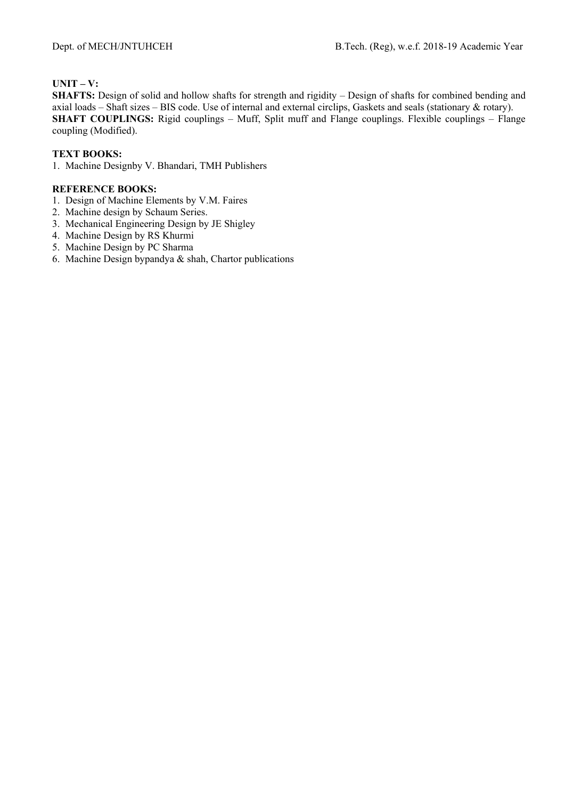# **UNIT – V:**

**SHAFTS:** Design of solid and hollow shafts for strength and rigidity – Design of shafts for combined bending and axial loads – Shaft sizes – BIS code. Use of internal and external circlips, Gaskets and seals (stationary & rotary). **SHAFT COUPLINGS:** Rigid couplings – Muff, Split muff and Flange couplings. Flexible couplings – Flange coupling (Modified).

## **TEXT BOOKS:**

1. Machine Designby V. Bhandari, TMH Publishers

- 1. Design of Machine Elements by V.M. Faires
- 2. Machine design by Schaum Series.
- 3. Mechanical Engineering Design by JE Shigley
- 4. Machine Design by RS Khurmi
- 5. Machine Design by PC Sharma
- 6. Machine Design bypandya & shah, Chartor publications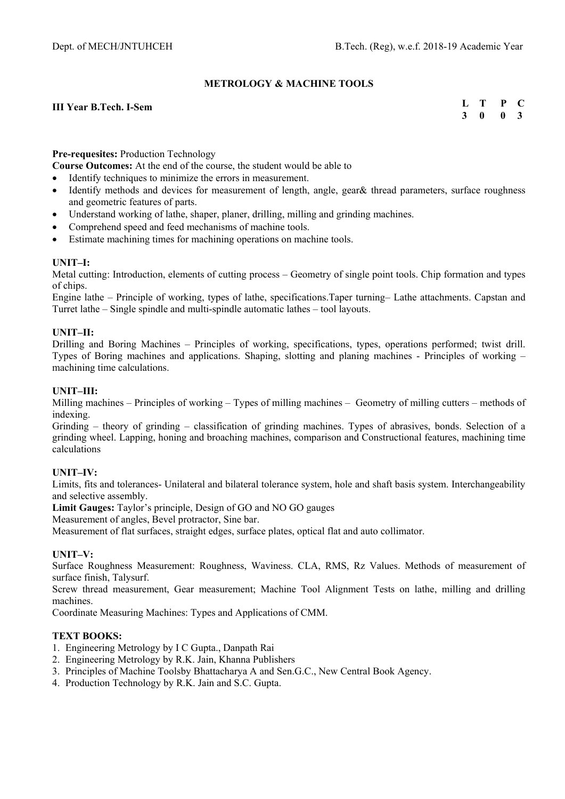## **METROLOGY & MACHINE TOOLS**

#### **III Year B.Tech. I-Sem**

**L T P C 3 0 0 3** 

#### **Pre-requesites:** Production Technology

**Course Outcomes:** At the end of the course, the student would be able to

- Identify techniques to minimize the errors in measurement.
- Identify methods and devices for measurement of length, angle, gear& thread parameters, surface roughness and geometric features of parts.
- Understand working of lathe, shaper, planer, drilling, milling and grinding machines.
- Comprehend speed and feed mechanisms of machine tools.
- Estimate machining times for machining operations on machine tools.

## **UNIT–I:**

Metal cutting: Introduction, elements of cutting process – Geometry of single point tools. Chip formation and types of chips.

Engine lathe – Principle of working, types of lathe, specifications.Taper turning– Lathe attachments. Capstan and Turret lathe – Single spindle and multi-spindle automatic lathes – tool layouts.

#### **UNIT–II:**

Drilling and Boring Machines – Principles of working, specifications, types, operations performed; twist drill. Types of Boring machines and applications. Shaping, slotting and planing machines - Principles of working – machining time calculations.

#### **UNIT–III:**

Milling machines – Principles of working – Types of milling machines – Geometry of milling cutters – methods of indexing.

Grinding – theory of grinding – classification of grinding machines. Types of abrasives, bonds. Selection of a grinding wheel. Lapping, honing and broaching machines, comparison and Constructional features, machining time calculations

## **UNIT–IV:**

Limits, fits and tolerances- Unilateral and bilateral tolerance system, hole and shaft basis system. Interchangeability and selective assembly.

**Limit Gauges:** Taylor's principle, Design of GO and NO GO gauges

Measurement of angles, Bevel protractor, Sine bar.

Measurement of flat surfaces, straight edges, surface plates, optical flat and auto collimator.

#### **UNIT–V:**

Surface Roughness Measurement: Roughness, Waviness. CLA, RMS, Rz Values. Methods of measurement of surface finish, Talysurf.

Screw thread measurement, Gear measurement; Machine Tool Alignment Tests on lathe, milling and drilling machines.

Coordinate Measuring Machines: Types and Applications of CMM.

#### **TEXT BOOKS:**

- 1. Engineering Metrology by I C Gupta., Danpath Rai
- 2. Engineering Metrology by R.K. Jain, Khanna Publishers
- 3. Principles of Machine Toolsby Bhattacharya A and Sen.G.C., New Central Book Agency.
- 4. Production Technology by R.K. Jain and S.C. Gupta.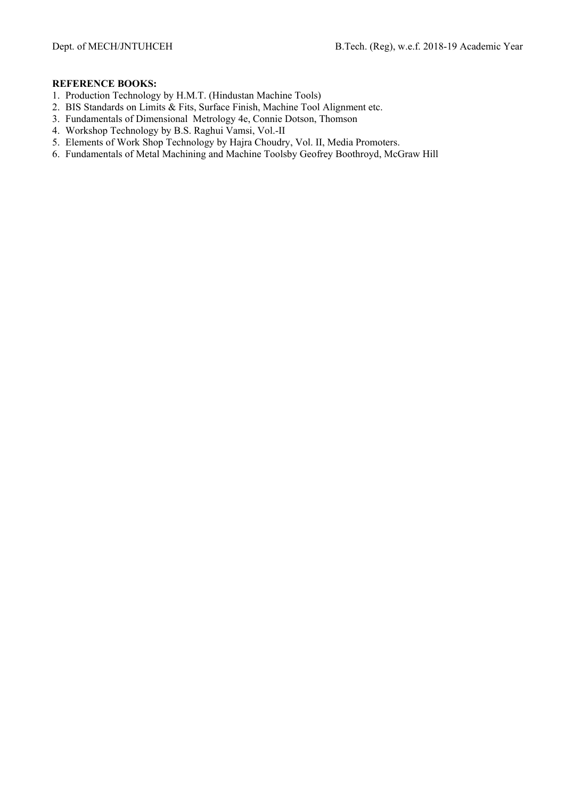- 1. Production Technology by H.M.T. (Hindustan Machine Tools)
- 2. BIS Standards on Limits & Fits, Surface Finish, Machine Tool Alignment etc.
- 3. Fundamentals of Dimensional Metrology 4e, Connie Dotson, Thomson
- 4. Workshop Technology by B.S. Raghui Vamsi, Vol.-II
- 5. Elements of Work Shop Technology by Hajra Choudry, Vol. II, Media Promoters.
- 6. Fundamentals of Metal Machining and Machine Toolsby Geofrey Boothroyd, McGraw Hill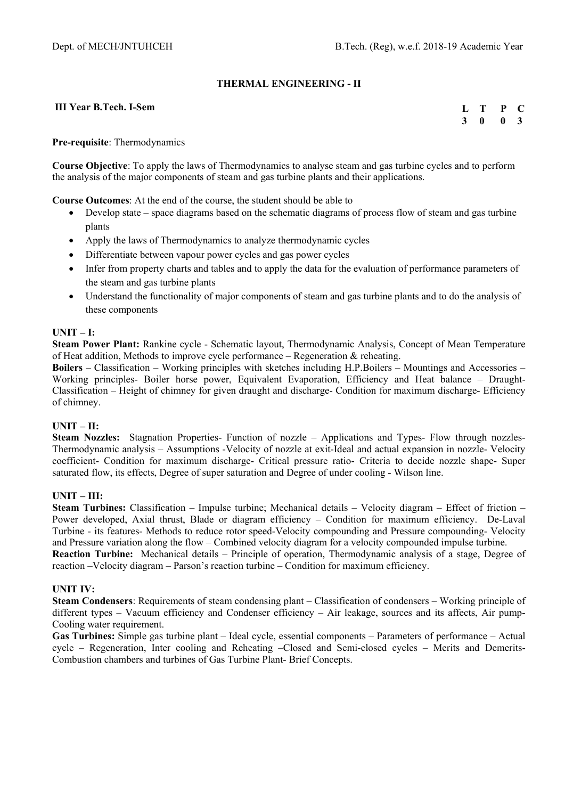# **THERMAL ENGINEERING - II**

#### **III Year B.Tech. I-Sem**

| Ъ.           | Т | P | $\mathbf{C}$ |
|--------------|---|---|--------------|
| $\mathbf{3}$ | 0 | 0 | $\mathbf{3}$ |

#### **Pre-requisite**: Thermodynamics

**Course Objective**: To apply the laws of Thermodynamics to analyse steam and gas turbine cycles and to perform the analysis of the major components of steam and gas turbine plants and their applications.

**Course Outcomes**: At the end of the course, the student should be able to

- Develop state space diagrams based on the schematic diagrams of process flow of steam and gas turbine plants
- Apply the laws of Thermodynamics to analyze thermodynamic cycles
- Differentiate between vapour power cycles and gas power cycles
- Infer from property charts and tables and to apply the data for the evaluation of performance parameters of the steam and gas turbine plants
- Understand the functionality of major components of steam and gas turbine plants and to do the analysis of these components

#### **UNIT – I:**

**Steam Power Plant:** Rankine cycle - Schematic layout, Thermodynamic Analysis, Concept of Mean Temperature of Heat addition, Methods to improve cycle performance – Regeneration & reheating.

**Boilers** – Classification – Working principles with sketches including H.P.Boilers – Mountings and Accessories – Working principles- Boiler horse power, Equivalent Evaporation, Efficiency and Heat balance – Draught-Classification – Height of chimney for given draught and discharge- Condition for maximum discharge- Efficiency of chimney.

## **UNIT – II:**

**Steam Nozzles:** Stagnation Properties- Function of nozzle – Applications and Types- Flow through nozzles-Thermodynamic analysis – Assumptions -Velocity of nozzle at exit-Ideal and actual expansion in nozzle- Velocity coefficient- Condition for maximum discharge- Critical pressure ratio- Criteria to decide nozzle shape- Super saturated flow, its effects, Degree of super saturation and Degree of under cooling - Wilson line.

## **UNIT – III:**

**Steam Turbines:** Classification – Impulse turbine; Mechanical details – Velocity diagram – Effect of friction – Power developed, Axial thrust, Blade or diagram efficiency – Condition for maximum efficiency. De-Laval Turbine - its features- Methods to reduce rotor speed-Velocity compounding and Pressure compounding- Velocity and Pressure variation along the flow – Combined velocity diagram for a velocity compounded impulse turbine. **Reaction Turbine:** Mechanical details – Principle of operation, Thermodynamic analysis of a stage, Degree of reaction –Velocity diagram – Parson's reaction turbine – Condition for maximum efficiency.

#### **UNIT IV:**

**Steam Condensers**: Requirements of steam condensing plant – Classification of condensers – Working principle of different types – Vacuum efficiency and Condenser efficiency – Air leakage, sources and its affects, Air pump-Cooling water requirement.

**Gas Turbines:** Simple gas turbine plant – Ideal cycle, essential components – Parameters of performance – Actual cycle – Regeneration, Inter cooling and Reheating –Closed and Semi-closed cycles – Merits and Demerits-Combustion chambers and turbines of Gas Turbine Plant- Brief Concepts.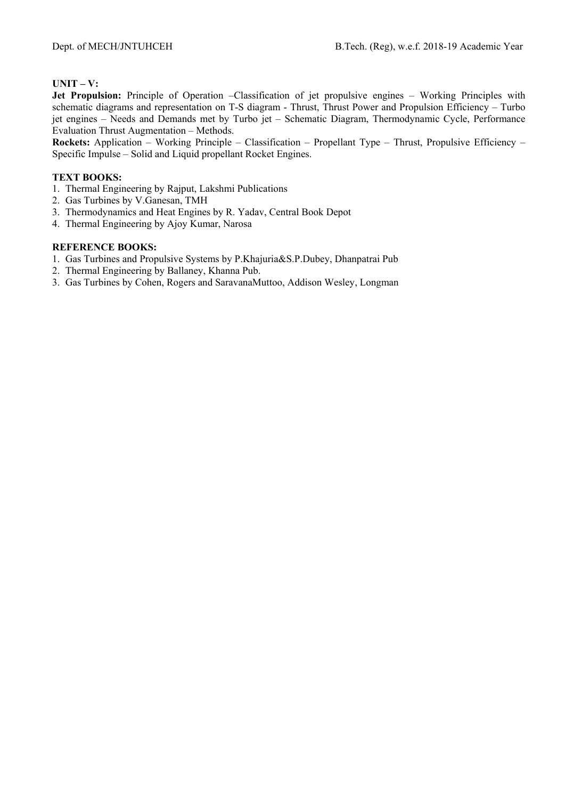# **UNIT – V:**

**Jet Propulsion:** Principle of Operation –Classification of jet propulsive engines – Working Principles with schematic diagrams and representation on T-S diagram - Thrust, Thrust Power and Propulsion Efficiency – Turbo jet engines – Needs and Demands met by Turbo jet – Schematic Diagram, Thermodynamic Cycle, Performance Evaluation Thrust Augmentation – Methods.

**Rockets:** Application – Working Principle – Classification – Propellant Type – Thrust, Propulsive Efficiency – Specific Impulse – Solid and Liquid propellant Rocket Engines.

## **TEXT BOOKS:**

- 1. Thermal Engineering by Rajput, Lakshmi Publications
- 2. Gas Turbines by V.Ganesan, TMH
- 3. Thermodynamics and Heat Engines by R. Yadav, Central Book Depot
- 4. Thermal Engineering by Ajoy Kumar, Narosa

- 1. Gas Turbines and Propulsive Systems by P.Khajuria&S.P.Dubey, Dhanpatrai Pub
- 2. Thermal Engineering by Ballaney, Khanna Pub.
- 3. Gas Turbines by Cohen, Rogers and SaravanaMuttoo, Addison Wesley, Longman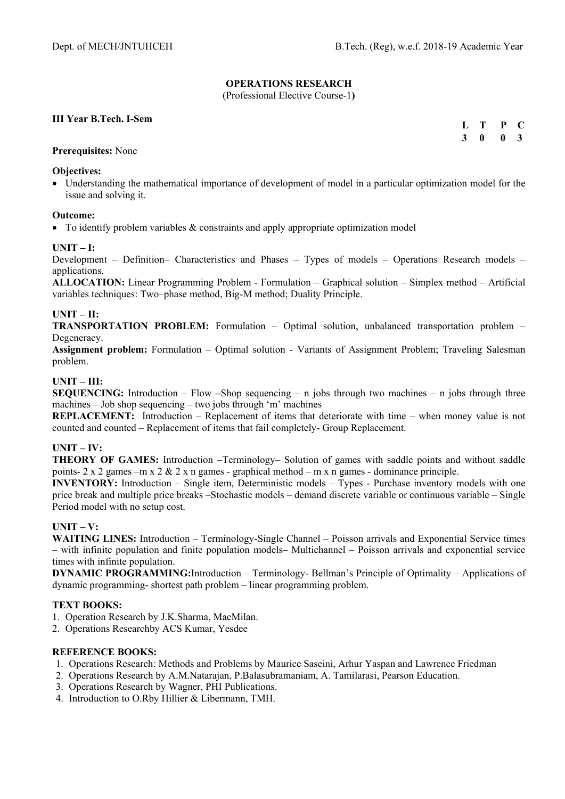# **OPERATIONS RESEARCH**

(Professional Elective Course-1**)** 

## **III Year B.Tech. I-Sem**

| L T | $\mathbf{P}$ | <sup>-</sup> C          |
|-----|--------------|-------------------------|
| 3 O | 0            | $\overline{\mathbf{3}}$ |

#### **Prerequisites:** None

#### **Objectives:**

 Understanding the mathematical importance of development of model in a particular optimization model for the issue and solving it.

#### **Outcome:**

To identify problem variables & constraints and apply appropriate optimization model

#### **UNIT – I:**

Development – Definition– Characteristics and Phases – Types of models – Operations Research models – applications.

**ALLOCATION:** Linear Programming Problem - Formulation – Graphical solution – Simplex method – Artificial variables techniques: Two–phase method, Big-M method; Duality Principle.

## **UNIT – II:**

**TRANSPORTATION PROBLEM:** Formulation – Optimal solution, unbalanced transportation problem – Degeneracy.

**Assignment problem:** Formulation – Optimal solution - Variants of Assignment Problem; Traveling Salesman problem.

## **UNIT – III:**

**SEQUENCING:** Introduction – Flow **–**Shop sequencing – n jobs through two machines – n jobs through three machines – Job shop sequencing – two jobs through 'm' machines

**REPLACEMENT:** Introduction – Replacement of items that deteriorate with time – when money value is not counted and counted – Replacement of items that fail completely- Group Replacement.

## **UNIT – IV:**

**THEORY OF GAMES:** Introduction –Terminology– Solution of games with saddle points and without saddle points- 2 x 2 games –m x 2  $\&$  2 x n games - graphical method – m x n games - dominance principle.

**INVENTORY:** Introduction – Single item, Deterministic models – Types - Purchase inventory models with one price break and multiple price breaks –Stochastic models – demand discrete variable or continuous variable – Single Period model with no setup cost.

## **UNIT – V:**

**WAITING LINES:** Introduction – Terminology-Single Channel – Poisson arrivals and Exponential Service times – with infinite population and finite population models– Multichannel – Poisson arrivals and exponential service times with infinite population.

**DYNAMIC PROGRAMMING:**Introduction – Terminology- Bellman's Principle of Optimality – Applications of dynamic programming- shortest path problem – linear programming problem.

#### **TEXT BOOKS:**

- 1. Operation Research by J.K.Sharma, MacMilan.
- 2. Operations Researchby ACS Kumar, Yesdee

- 1. Operations Research: Methods and Problems by Maurice Saseini, Arhur Yaspan and Lawrence Friedman
- 2. Operations Research by A.M.Natarajan, P.Balasubramaniam, A. Tamilarasi, Pearson Education.
- 3. Operations Research by Wagner, PHI Publications.
- 4. Introduction to O.Rby Hillier & Libermann, TMH.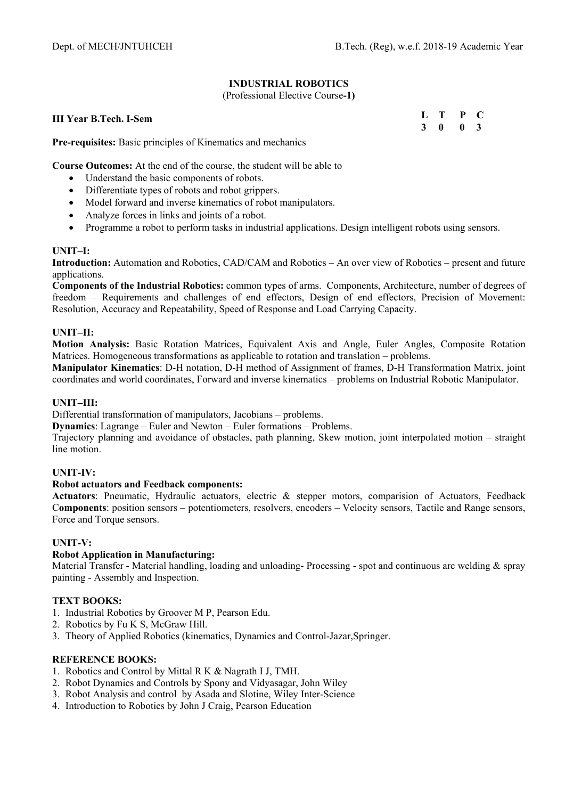# **INDUSTRIAL ROBOTICS**

(Professional Elective Course**-1)** 

**III Year B.Tech. I-Sem** 

**Pre-requisites:** Basic principles of Kinematics and mechanics

**Course Outcomes:** At the end of the course, the student will be able to

- Understand the basic components of robots.
- Differentiate types of robots and robot grippers.
- Model forward and inverse kinematics of robot manipulators.
- Analyze forces in links and joints of a robot.
- Programme a robot to perform tasks in industrial applications. Design intelligent robots using sensors.

## **UNIT–I:**

**Introduction:** Automation and Robotics, CAD/CAM and Robotics – An over view of Robotics – present and future applications.

**Components of the Industrial Robotics:** common types of arms. Components, Architecture, number of degrees of freedom – Requirements and challenges of end effectors, Design of end effectors, Precision of Movement: Resolution, Accuracy and Repeatability, Speed of Response and Load Carrying Capacity.

# **UNIT–II:**

**Motion Analysis:** Basic Rotation Matrices, Equivalent Axis and Angle, Euler Angles, Composite Rotation Matrices. Homogeneous transformations as applicable to rotation and translation – problems.

**Manipulator Kinematics**: D-H notation, D-H method of Assignment of frames, D-H Transformation Matrix, joint coordinates and world coordinates, Forward and inverse kinematics – problems on Industrial Robotic Manipulator.

## **UNIT–III:**

Differential transformation of manipulators, Jacobians – problems.

**Dynamics**: Lagrange – Euler and Newton – Euler formations – Problems.

Trajectory planning and avoidance of obstacles, path planning, Skew motion, joint interpolated motion – straight line motion.

## **UNIT-IV:**

## **Robot actuators and Feedback components:**

**Actuators**: Pneumatic, Hydraulic actuators, electric & stepper motors, comparision of Actuators, Feedback C**omponents**: position sensors – potentiometers, resolvers, encoders – Velocity sensors, Tactile and Range sensors, Force and Torque sensors.

## **UNIT-V:**

## **Robot Application in Manufacturing:**

Material Transfer - Material handling, loading and unloading- Processing - spot and continuous arc welding & spray painting - Assembly and Inspection.

## **TEXT BOOKS:**

- 1. Industrial Robotics by Groover M P, Pearson Edu.
- 2. Robotics by Fu K S, McGraw Hill.
- 3. Theory of Applied Robotics (kinematics, Dynamics and Control-Jazar,Springer.

- 1. Robotics and Control by Mittal R K & Nagrath I J, TMH.
- 2. Robot Dynamics and Controls by Spony and Vidyasagar, John Wiley
- 3. Robot Analysis and control by Asada and Slotine, Wiley Inter-Science
- 4. Introduction to Robotics by John J Craig, Pearson Education

| L | т | P | C              |
|---|---|---|----------------|
| 3 | 0 | 0 | 3 <sup>1</sup> |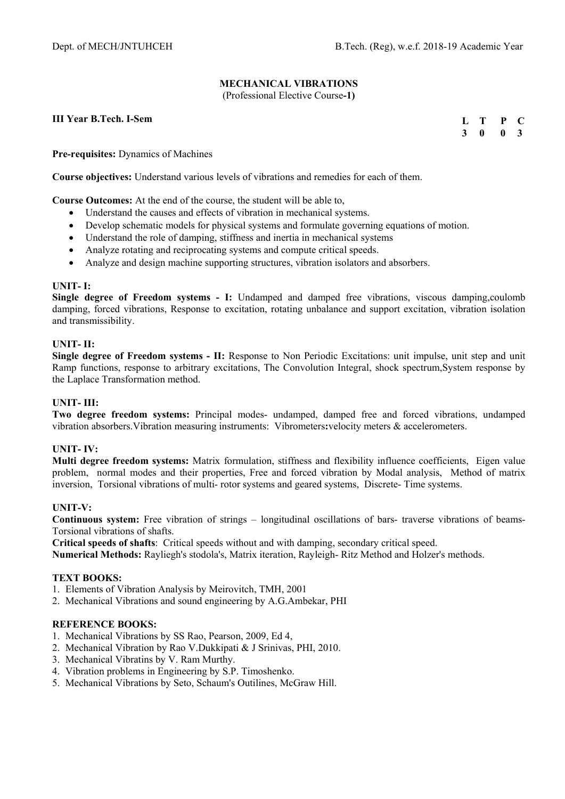# **MECHANICAL VIBRATIONS**

(Professional Elective Course**-1)** 

**III Year B.Tech. I-Sem** 

| Ъ. | т | P | - 0          |
|----|---|---|--------------|
| 3  | 0 | 0 | $\mathbf{3}$ |

**Pre-requisites:** Dynamics of Machines

**Course objectives:** Understand various levels of vibrations and remedies for each of them.

**Course Outcomes:** At the end of the course, the student will be able to,

- Understand the causes and effects of vibration in mechanical systems.
- Develop schematic models for physical systems and formulate governing equations of motion.
- Understand the role of damping, stiffness and inertia in mechanical systems
- Analyze rotating and reciprocating systems and compute critical speeds.
- Analyze and design machine supporting structures, vibration isolators and absorbers.

#### **UNIT- I:**

**Single degree of Freedom systems - I:** Undamped and damped free vibrations, viscous damping,coulomb damping, forced vibrations, Response to excitation, rotating unbalance and support excitation, vibration isolation and transmissibility.

#### **UNIT- II:**

**Single degree of Freedom systems - II:** Response to Non Periodic Excitations: unit impulse, unit step and unit Ramp functions, response to arbitrary excitations, The Convolution Integral, shock spectrum,System response by the Laplace Transformation method.

#### **UNIT- III:**

**Two degree freedom systems:** Principal modes- undamped, damped free and forced vibrations, undamped vibration absorbers.Vibration measuring instruments: Vibrometers**:**velocity meters & accelerometers.

## **UNIT- IV:**

**Multi degree freedom systems:** Matrix formulation, stiffness and flexibility influence coefficients, Eigen value problem, normal modes and their properties, Free and forced vibration by Modal analysis, Method of matrix inversion, Torsional vibrations of multi- rotor systems and geared systems, Discrete- Time systems.

#### **UNIT-V:**

**Continuous system:** Free vibration of strings – longitudinal oscillations of bars- traverse vibrations of beams-Torsional vibrations of shafts.

**Critical speeds of shafts**: Critical speeds without and with damping, secondary critical speed.

**Numerical Methods:** Rayliegh's stodola's, Matrix iteration, Rayleigh- Ritz Method and Holzer's methods.

#### **TEXT BOOKS:**

- 1. Elements of Vibration Analysis by Meirovitch, TMH, 2001
- 2. Mechanical Vibrations and sound engineering by A.G.Ambekar, PHI

- 1. Mechanical Vibrations by SS Rao, Pearson, 2009, Ed 4,
- 2. Mechanical Vibration by Rao V.Dukkipati & J Srinivas, PHI, 2010.
- 3. Mechanical Vibratins by V. Ram Murthy.
- 4. Vibration problems in Engineering by S.P. Timoshenko.
- 5. Mechanical Vibrations by Seto, Schaum's Outilines, McGraw Hill.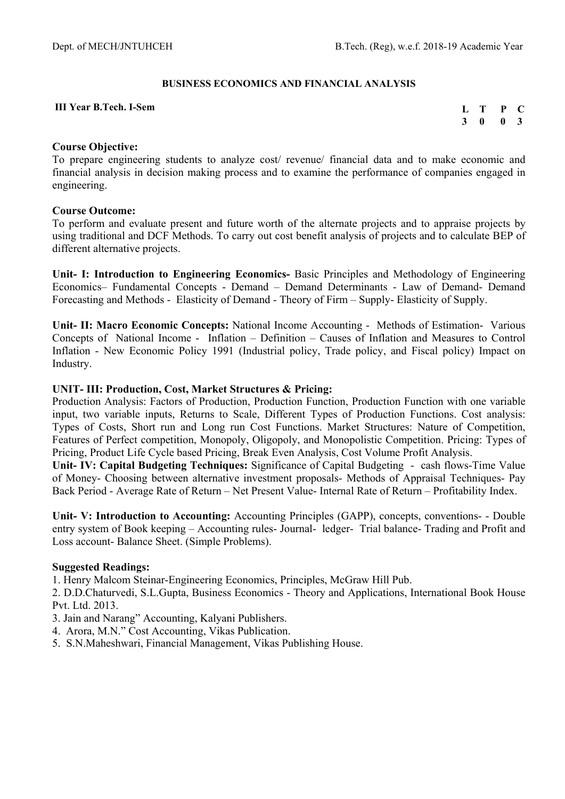## **BUSINESS ECONOMICS AND FINANCIAL ANALYSIS**

#### **III Year B.Tech. I-Sem**

| $\mathbf{L}$ | T | P | $\mathbf C$             |
|--------------|---|---|-------------------------|
| $\mathbf{3}$ | 0 | 0 | $\overline{\mathbf{3}}$ |

# **Course Objective:**

To prepare engineering students to analyze cost/ revenue/ financial data and to make economic and financial analysis in decision making process and to examine the performance of companies engaged in engineering.

# **Course Outcome:**

To perform and evaluate present and future worth of the alternate projects and to appraise projects by using traditional and DCF Methods. To carry out cost benefit analysis of projects and to calculate BEP of different alternative projects.

**Unit- I: Introduction to Engineering Economics-** Basic Principles and Methodology of Engineering Economics– Fundamental Concepts - Demand – Demand Determinants - Law of Demand- Demand Forecasting and Methods - Elasticity of Demand - Theory of Firm – Supply- Elasticity of Supply.

**Unit- II: Macro Economic Concepts:** National Income Accounting - Methods of Estimation- Various Concepts of National Income - Inflation – Definition – Causes of Inflation and Measures to Control Inflation - New Economic Policy 1991 (Industrial policy, Trade policy, and Fiscal policy) Impact on Industry.

# **UNIT- III: Production, Cost, Market Structures & Pricing:**

Production Analysis: Factors of Production, Production Function, Production Function with one variable input, two variable inputs, Returns to Scale, Different Types of Production Functions. Cost analysis: Types of Costs, Short run and Long run Cost Functions. Market Structures: Nature of Competition, Features of Perfect competition, Monopoly, Oligopoly, and Monopolistic Competition. Pricing: Types of Pricing, Product Life Cycle based Pricing, Break Even Analysis, Cost Volume Profit Analysis.

**Unit- IV: Capital Budgeting Techniques:** Significance of Capital Budgeting - cash flows-Time Value of Money- Choosing between alternative investment proposals- Methods of Appraisal Techniques- Pay Back Period - Average Rate of Return – Net Present Value- Internal Rate of Return – Profitability Index.

**Unit- V: Introduction to Accounting:** Accounting Principles (GAPP), concepts, conventions- - Double entry system of Book keeping – Accounting rules- Journal- ledger- Trial balance- Trading and Profit and Loss account- Balance Sheet. (Simple Problems).

## **Suggested Readings:**

1. Henry Malcom Steinar-Engineering Economics, Principles, McGraw Hill Pub.

2. D.D.Chaturvedi, S.L.Gupta, Business Economics - Theory and Applications, International Book House Pvt. Ltd. 2013.

- 3. Jain and Narang" Accounting, Kalyani Publishers.
- 4. Arora, M.N." Cost Accounting, Vikas Publication.
- 5. S.N.Maheshwari, Financial Management, Vikas Publishing House.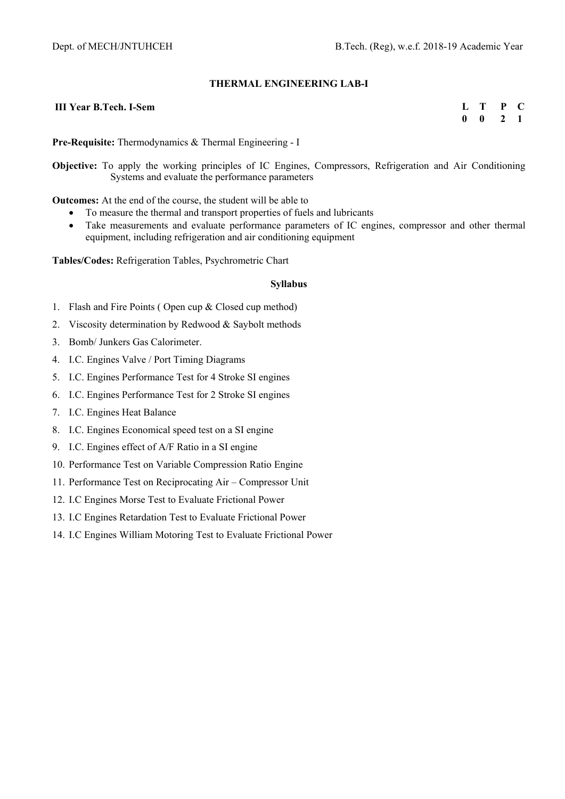## **THERMAL ENGINEERING LAB-I**

#### **III Year B.Tech. I-Sem**

| L | Г | P | U |
|---|---|---|---|
| 0 | 0 | 7 | 1 |

**Pre-Requisite:** Thermodynamics & Thermal Engineering - I

**Objective:** To apply the working principles of IC Engines, Compressors, Refrigeration and Air Conditioning Systems and evaluate the performance parameters

**Outcomes:** At the end of the course, the student will be able to

- To measure the thermal and transport properties of fuels and lubricants
	- Take measurements and evaluate performance parameters of IC engines, compressor and other thermal equipment, including refrigeration and air conditioning equipment

**Tables/Codes:** Refrigeration Tables, Psychrometric Chart

#### **Syllabus**

- 1. Flash and Fire Points ( Open cup & Closed cup method)
- 2. Viscosity determination by Redwood & Saybolt methods
- 3. Bomb/ Junkers Gas Calorimeter.
- 4. I.C. Engines Valve / Port Timing Diagrams
- 5. I.C. Engines Performance Test for 4 Stroke SI engines
- 6. I.C. Engines Performance Test for 2 Stroke SI engines
- 7. I.C. Engines Heat Balance
- 8. I.C. Engines Economical speed test on a SI engine
- 9. I.C. Engines effect of A/F Ratio in a SI engine
- 10. Performance Test on Variable Compression Ratio Engine
- 11. Performance Test on Reciprocating Air Compressor Unit
- 12. I.C Engines Morse Test to Evaluate Frictional Power
- 13. I.C Engines Retardation Test to Evaluate Frictional Power
- 14. I.C Engines William Motoring Test to Evaluate Frictional Power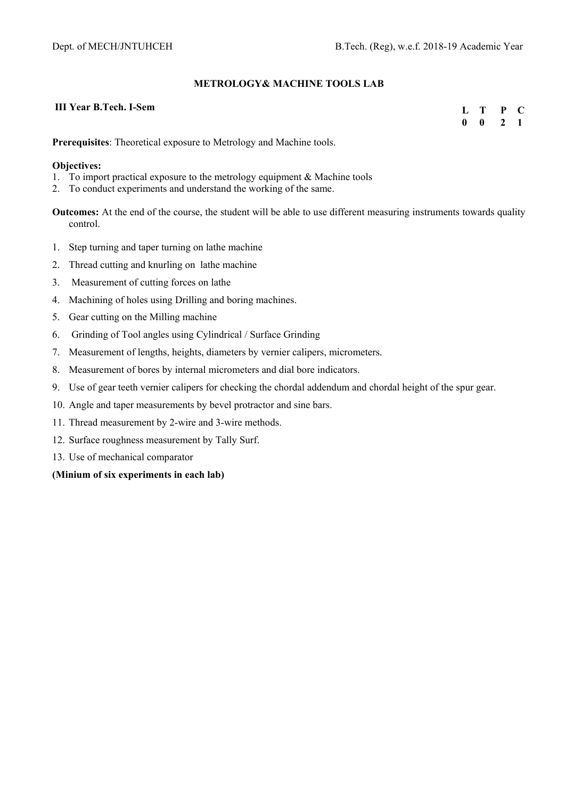## **METROLOGY& MACHINE TOOLS LAB**

# **III Year B.Tech. I-Sem**

| III Year B. Lech. I-Sem | L T P C                     |  |
|-------------------------|-----------------------------|--|
|                         | $0 \quad 0 \quad 2 \quad 1$ |  |
|                         |                             |  |

**Prerequisites**: Theoretical exposure to Metrology and Machine tools.

#### **Objectives:**

- 1. To import practical exposure to the metrology equipment & Machine tools
- 2. To conduct experiments and understand the working of the same.

**Outcomes:** At the end of the course, the student will be able to use different measuring instruments towards quality control.

- 1. Step turning and taper turning on lathe machine
- 2. Thread cutting and knurling on lathe machine
- 3. Measurement of cutting forces on lathe
- 4. Machining of holes using Drilling and boring machines.
- 5. Gear cutting on the Milling machine
- 6. Grinding of Tool angles using Cylindrical / Surface Grinding
- 7. Measurement of lengths, heights, diameters by vernier calipers, micrometers.
- 8. Measurement of bores by internal micrometers and dial bore indicators.
- 9. Use of gear teeth vernier calipers for checking the chordal addendum and chordal height of the spur gear.
- 10. Angle and taper measurements by bevel protractor and sine bars.
- 11. Thread measurement by 2-wire and 3-wire methods.
- 12. Surface roughness measurement by Tally Surf.
- 13. Use of mechanical comparator

## **(Minium of six experiments in each lab)**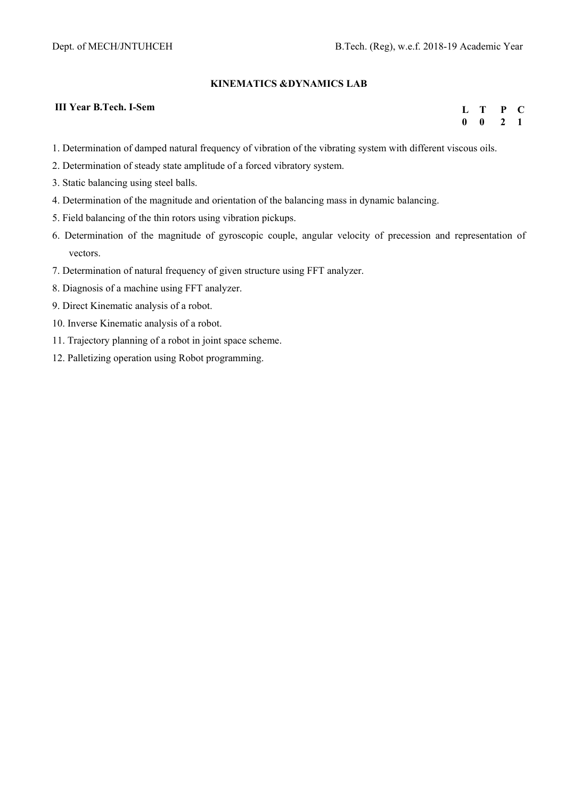## **KINEMATICS &DYNAMICS LAB**

#### **III Year B.Tech. I-Sem**

**L T P C 0 0 2 1** 

- 1. Determination of damped natural frequency of vibration of the vibrating system with different viscous oils.
- 2. Determination of steady state amplitude of a forced vibratory system.
- 3. Static balancing using steel balls.
- 4. Determination of the magnitude and orientation of the balancing mass in dynamic balancing.
- 5. Field balancing of the thin rotors using vibration pickups.
- 6. Determination of the magnitude of gyroscopic couple, angular velocity of precession and representation of vectors.
- 7. Determination of natural frequency of given structure using FFT analyzer.
- 8. Diagnosis of a machine using FFT analyzer.
- 9. Direct Kinematic analysis of a robot.
- 10. Inverse Kinematic analysis of a robot.
- 11. Trajectory planning of a robot in joint space scheme.
- 12. Palletizing operation using Robot programming.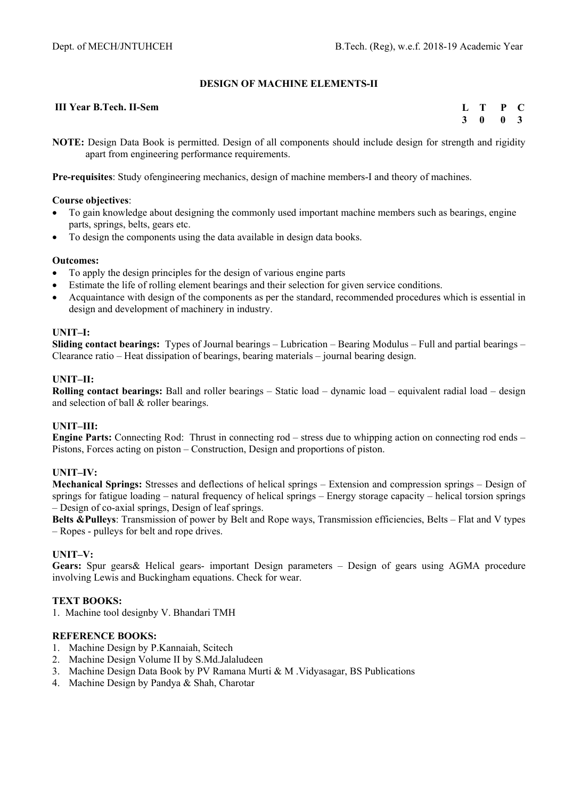# **DESIGN OF MACHINE ELEMENTS-II**

#### **III Year B.Tech. II-Sem**

**L T P C 3 0 0 3** 

**NOTE:** Design Data Book is permitted. Design of all components should include design for strength and rigidity apart from engineering performance requirements.

**Pre-requisites**: Study ofengineering mechanics, design of machine members-I and theory of machines.

#### **Course objectives**:

- To gain knowledge about designing the commonly used important machine members such as bearings, engine parts, springs, belts, gears etc.
- To design the components using the data available in design data books.

#### **Outcomes:**

- To apply the design principles for the design of various engine parts
- Estimate the life of rolling element bearings and their selection for given service conditions.
- Acquaintance with design of the components as per the standard, recommended procedures which is essential in design and development of machinery in industry.

#### **UNIT–I:**

**Sliding contact bearings:** Types of Journal bearings – Lubrication – Bearing Modulus – Full and partial bearings – Clearance ratio – Heat dissipation of bearings, bearing materials – journal bearing design.

#### **UNIT–II:**

**Rolling contact bearings:** Ball and roller bearings – Static load – dynamic load – equivalent radial load – design and selection of ball & roller bearings.

## **UNIT–III:**

**Engine Parts:** Connecting Rod: Thrust in connecting rod – stress due to whipping action on connecting rod ends – Pistons, Forces acting on piston – Construction, Design and proportions of piston.

## **UNIT–IV:**

**Mechanical Springs:** Stresses and deflections of helical springs – Extension and compression springs – Design of springs for fatigue loading – natural frequency of helical springs – Energy storage capacity – helical torsion springs – Design of co-axial springs, Design of leaf springs.

**Belts &Pulleys**: Transmission of power by Belt and Rope ways, Transmission efficiencies, Belts – Flat and V types – Ropes - pulleys for belt and rope drives.

## **UNIT–V:**

**Gears:** Spur gears& Helical gears- important Design parameters – Design of gears using AGMA procedure involving Lewis and Buckingham equations. Check for wear.

#### **TEXT BOOKS:**

1. Machine tool designby V. Bhandari TMH

- 1. Machine Design by P.Kannaiah, Scitech
- 2. Machine Design Volume II by S.Md.Jalaludeen
- 3. Machine Design Data Book by PV Ramana Murti & M .Vidyasagar, BS Publications
- 4. Machine Design by Pandya & Shah, Charotar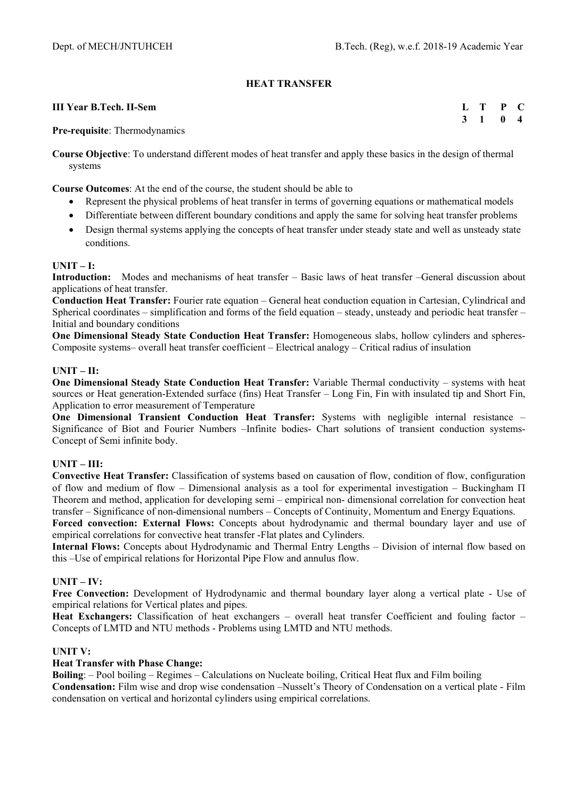# **HEAT TRANSFER**

#### **III Year B.Tech. II-Sem**

**L T P C 3 1 0 4** 

**Pre-requisite**: Thermodynamics

**Course Objective**: To understand different modes of heat transfer and apply these basics in the design of thermal systems

**Course Outcomes**: At the end of the course, the student should be able to

- Represent the physical problems of heat transfer in terms of governing equations or mathematical models
- Differentiate between different boundary conditions and apply the same for solving heat transfer problems
- Design thermal systems applying the concepts of heat transfer under steady state and well as unsteady state conditions.

#### **UNIT – I:**

**Introduction:** Modes and mechanisms of heat transfer – Basic laws of heat transfer –General discussion about applications of heat transfer.

**Conduction Heat Transfer:** Fourier rate equation – General heat conduction equation in Cartesian, Cylindrical and Spherical coordinates – simplification and forms of the field equation – steady, unsteady and periodic heat transfer – Initial and boundary conditions

**One Dimensional Steady State Conduction Heat Transfer:** Homogeneous slabs, hollow cylinders and spheres-Composite systems– overall heat transfer coefficient – Electrical analogy – Critical radius of insulation

#### **UNIT – II:**

**One Dimensional Steady State Conduction Heat Transfer:** Variable Thermal conductivity – systems with heat sources or Heat generation-Extended surface (fins) Heat Transfer – Long Fin, Fin with insulated tip and Short Fin, Application to error measurement of Temperature

**One Dimensional Transient Conduction Heat Transfer:** Systems with negligible internal resistance – Significance of Biot and Fourier Numbers –Infinite bodies- Chart solutions of transient conduction systems-Concept of Semi infinite body.

## **UNIT – III:**

**Convective Heat Transfer:** Classification of systems based on causation of flow, condition of flow, configuration of flow and medium of flow – Dimensional analysis as a tool for experimental investigation – Buckingham Theorem and method, application for developing semi – empirical non- dimensional correlation for convection heat transfer – Significance of non-dimensional numbers – Concepts of Continuity, Momentum and Energy Equations.

**Forced convection: External Flows:** Concepts about hydrodynamic and thermal boundary layer and use of empirical correlations for convective heat transfer -Flat plates and Cylinders.

**Internal Flows:** Concepts about Hydrodynamic and Thermal Entry Lengths – Division of internal flow based on this –Use of empirical relations for Horizontal Pipe Flow and annulus flow.

## **UNIT – IV:**

**Free Convection:** Development of Hydrodynamic and thermal boundary layer along a vertical plate - Use of empirical relations for Vertical plates and pipes.

**Heat Exchangers:** Classification of heat exchangers – overall heat transfer Coefficient and fouling factor – Concepts of LMTD and NTU methods - Problems using LMTD and NTU methods.

## **UNIT V:**

## **Heat Transfer with Phase Change:**

**Boiling**: – Pool boiling – Regimes – Calculations on Nucleate boiling, Critical Heat flux and Film boiling **Condensation:** Film wise and drop wise condensation –Nusselt's Theory of Condensation on a vertical plate - Film condensation on vertical and horizontal cylinders using empirical correlations.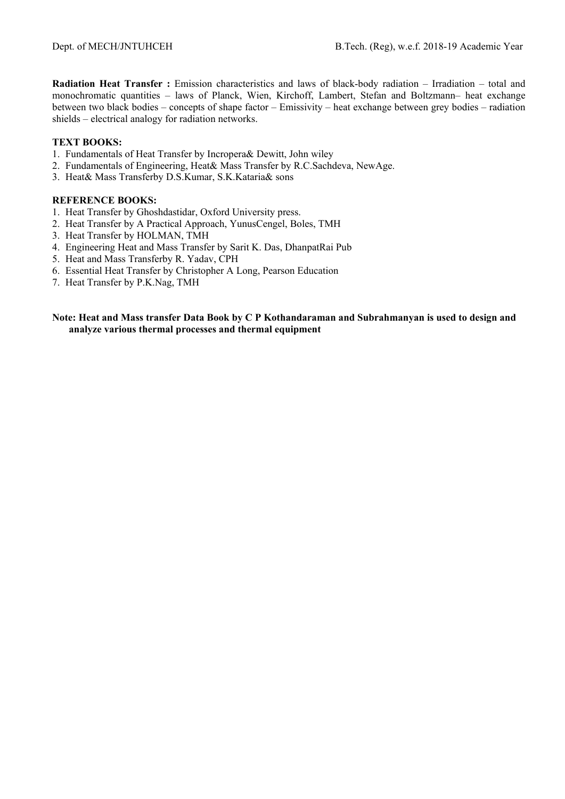**Radiation Heat Transfer :** Emission characteristics and laws of black-body radiation – Irradiation – total and monochromatic quantities – laws of Planck, Wien, Kirchoff, Lambert, Stefan and Boltzmann– heat exchange between two black bodies – concepts of shape factor – Emissivity – heat exchange between grey bodies – radiation shields – electrical analogy for radiation networks.

## **TEXT BOOKS:**

- 1. Fundamentals of Heat Transfer by Incropera& Dewitt, John wiley
- 2. Fundamentals of Engineering, Heat& Mass Transfer by R.C.Sachdeva, NewAge.
- 3. Heat& Mass Transferby D.S.Kumar, S.K.Kataria& sons

#### **REFERENCE BOOKS:**

- 1. Heat Transfer by Ghoshdastidar, Oxford University press.
- 2. Heat Transfer by A Practical Approach, YunusCengel, Boles, TMH
- 3. Heat Transfer by HOLMAN, TMH
- 4. Engineering Heat and Mass Transfer by Sarit K. Das, DhanpatRai Pub
- 5. Heat and Mass Transferby R. Yadav, CPH
- 6. Essential Heat Transfer by Christopher A Long, Pearson Education
- 7. Heat Transfer by P.K.Nag, TMH

#### **Note: Heat and Mass transfer Data Book by C P Kothandaraman and Subrahmanyan is used to design and analyze various thermal processes and thermal equipment**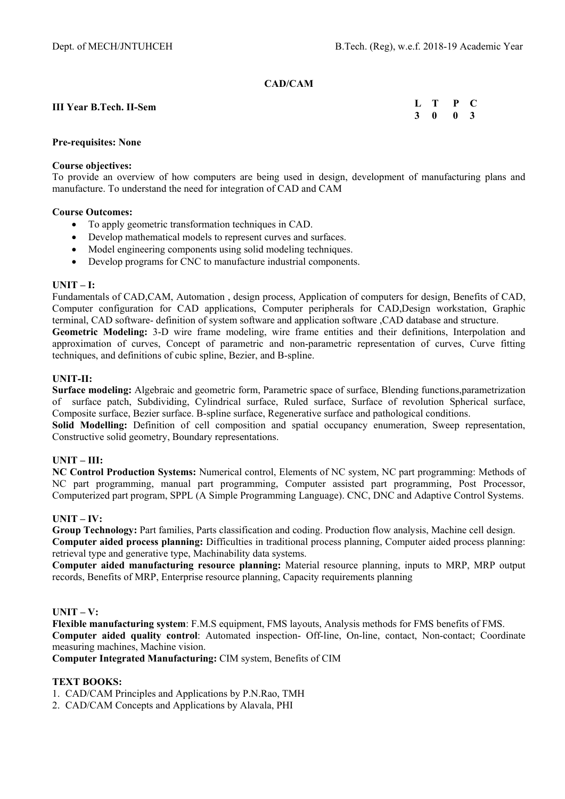#### **CAD/CAM**

#### **III Year B.Tech. II-Sem L T P C 3 0 0 3**

## **Pre-requisites: None**

#### **Course objectives:**

To provide an overview of how computers are being used in design, development of manufacturing plans and manufacture. To understand the need for integration of CAD and CAM

#### **Course Outcomes:**

- To apply geometric transformation techniques in CAD.
- Develop mathematical models to represent curves and surfaces.
- Model engineering components using solid modeling techniques.
- Develop programs for CNC to manufacture industrial components.

## **UNIT – I:**

Fundamentals of CAD,CAM, Automation , design process, Application of computers for design, Benefits of CAD, Computer configuration for CAD applications, Computer peripherals for CAD,Design workstation, Graphic terminal, CAD software- definition of system software and application software ,CAD database and structure.

**Geometric Modeling:** 3-D wire frame modeling, wire frame entities and their definitions, Interpolation and approximation of curves, Concept of parametric and non-parametric representation of curves, Curve fitting techniques, and definitions of cubic spline, Bezier, and B-spline.

# **UNIT-II:**

**Surface modeling:** Algebraic and geometric form, Parametric space of surface, Blending functions,parametrization of surface patch, Subdividing, Cylindrical surface, Ruled surface, Surface of revolution Spherical surface, Composite surface, Bezier surface. B-spline surface, Regenerative surface and pathological conditions.

**Solid Modelling:** Definition of cell composition and spatial occupancy enumeration, Sweep representation, Constructive solid geometry, Boundary representations.

# **UNIT – III:**

**NC Control Production Systems:** Numerical control, Elements of NC system, NC part programming: Methods of NC part programming, manual part programming, Computer assisted part programming, Post Processor, Computerized part program, SPPL (A Simple Programming Language). CNC, DNC and Adaptive Control Systems.

# **UNIT – IV:**

**Group Technology:** Part families, Parts classification and coding. Production flow analysis, Machine cell design. **Computer aided process planning:** Difficulties in traditional process planning, Computer aided process planning: retrieval type and generative type, Machinability data systems.

**Computer aided manufacturing resource planning:** Material resource planning, inputs to MRP, MRP output records, Benefits of MRP, Enterprise resource planning, Capacity requirements planning

#### **UNIT – V:**

**Flexible manufacturing system**: F.M.S equipment, FMS layouts, Analysis methods for FMS benefits of FMS. **Computer aided quality control**: Automated inspection- Off-line, On-line, contact, Non-contact; Coordinate measuring machines, Machine vision.

**Computer Integrated Manufacturing:** CIM system, Benefits of CIM

# **TEXT BOOKS:**

- 1. CAD/CAM Principles and Applications by P.N.Rao, TMH
- 2. CAD/CAM Concepts and Applications by Alavala, PHI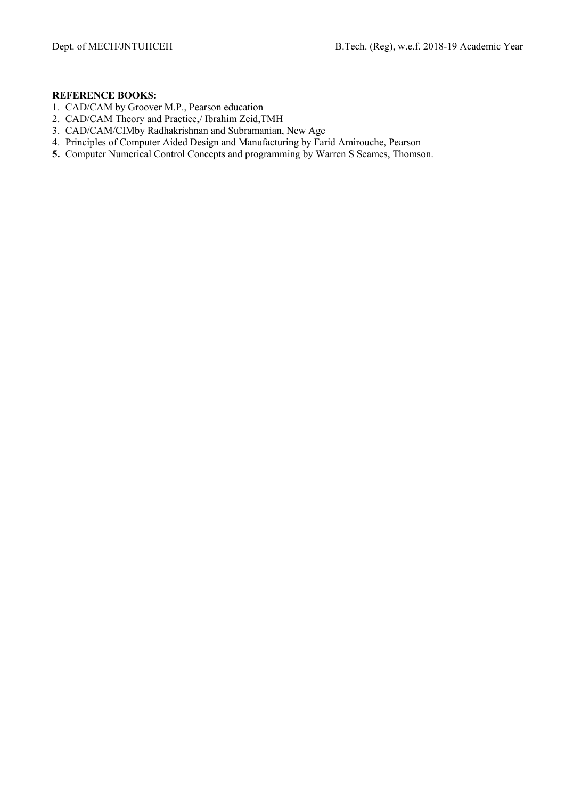- 1. CAD/CAM by Groover M.P., Pearson education
- 2. CAD/CAM Theory and Practice,/ Ibrahim Zeid,TMH
- 3. CAD/CAM/CIMby Radhakrishnan and Subramanian, New Age
- 4. Principles of Computer Aided Design and Manufacturing by Farid Amirouche, Pearson
- **5.** Computer Numerical Control Concepts and programming by Warren S Seames, Thomson.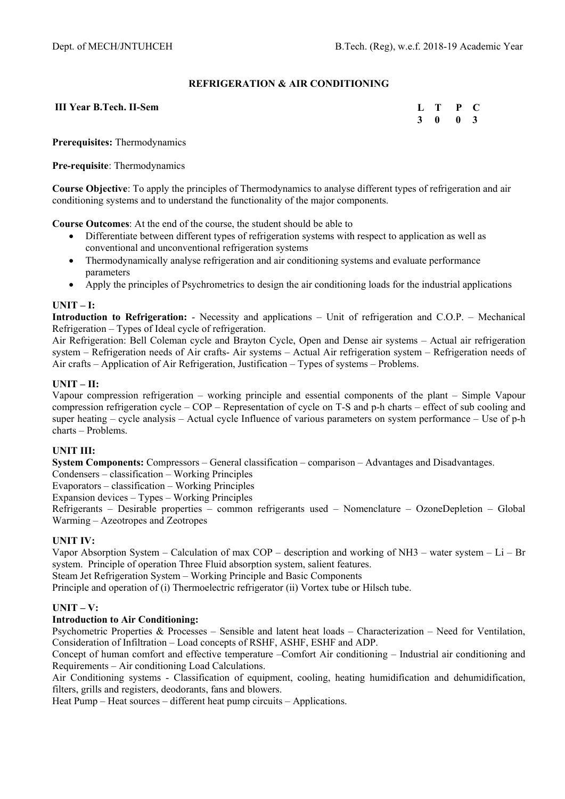# **REFRIGERATION & AIR CONDITIONING**

## **III Year B.Tech. II-Sem**

**L T P C 3 0 0 3** 

**Prerequisites:** Thermodynamics

## **Pre-requisite**: Thermodynamics

**Course Objective**: To apply the principles of Thermodynamics to analyse different types of refrigeration and air conditioning systems and to understand the functionality of the major components.

**Course Outcomes**: At the end of the course, the student should be able to

- Differentiate between different types of refrigeration systems with respect to application as well as conventional and unconventional refrigeration systems
- Thermodynamically analyse refrigeration and air conditioning systems and evaluate performance parameters
- Apply the principles of Psychrometrics to design the air conditioning loads for the industrial applications

# **UNIT – I:**

**Introduction to Refrigeration:** - Necessity and applications – Unit of refrigeration and C.O.P. – Mechanical Refrigeration – Types of Ideal cycle of refrigeration.

Air Refrigeration: Bell Coleman cycle and Brayton Cycle, Open and Dense air systems – Actual air refrigeration system – Refrigeration needs of Air crafts- Air systems – Actual Air refrigeration system – Refrigeration needs of Air crafts – Application of Air Refrigeration, Justification – Types of systems – Problems.

# **UNIT – II:**

Vapour compression refrigeration – working principle and essential components of the plant – Simple Vapour compression refrigeration cycle – COP – Representation of cycle on T-S and p-h charts – effect of sub cooling and super heating – cycle analysis – Actual cycle Influence of various parameters on system performance – Use of p-h charts – Problems.

# **UNIT III:**

**System Components:** Compressors – General classification – comparison – Advantages and Disadvantages.

Condensers – classification – Working Principles

Evaporators – classification – Working Principles

Expansion devices – Types – Working Principles

Refrigerants – Desirable properties – common refrigerants used – Nomenclature – OzoneDepletion – Global Warming – Azeotropes and Zeotropes

# **UNIT IV:**

Vapor Absorption System – Calculation of max COP – description and working of NH3 – water system – Li – Br system. Principle of operation Three Fluid absorption system, salient features.

Steam Jet Refrigeration System – Working Principle and Basic Components

Principle and operation of (i) Thermoelectric refrigerator (ii) Vortex tube or Hilsch tube.

# **UNIT – V:**

#### **Introduction to Air Conditioning:**

Psychometric Properties & Processes – Sensible and latent heat loads – Characterization – Need for Ventilation, Consideration of Infiltration – Load concepts of RSHF, ASHF, ESHF and ADP.

Concept of human comfort and effective temperature –Comfort Air conditioning – Industrial air conditioning and Requirements – Air conditioning Load Calculations.

Air Conditioning systems - Classification of equipment, cooling, heating humidification and dehumidification, filters, grills and registers, deodorants, fans and blowers.

Heat Pump – Heat sources – different heat pump circuits – Applications.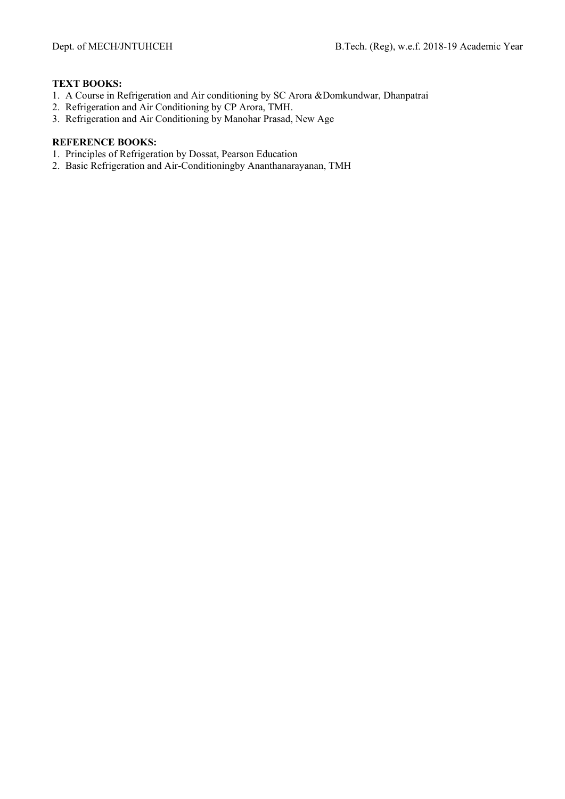# **TEXT BOOKS:**

- 1. A Course in Refrigeration and Air conditioning by SC Arora &Domkundwar, Dhanpatrai
- 2. Refrigeration and Air Conditioning by CP Arora, TMH.
- 3. Refrigeration and Air Conditioning by Manohar Prasad, New Age

- 1. Principles of Refrigeration by Dossat, Pearson Education
- 2. Basic Refrigeration and Air-Conditioningby Ananthanarayanan, TMH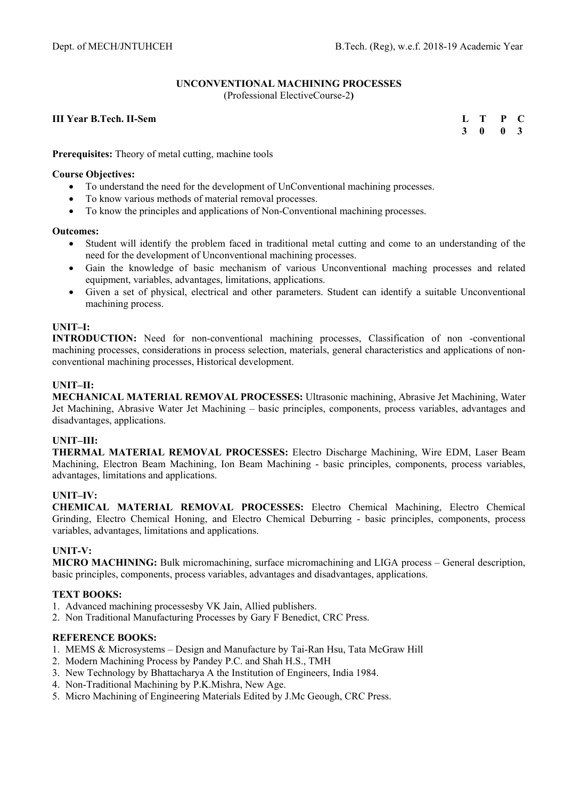# **UNCONVENTIONAL MACHINING PROCESSES**

(Professional ElectiveCourse-2**)** 

## **III Year B.Tech. II-Sem**

| $\mathbf{L}$ | т | P | <b>C</b>     |
|--------------|---|---|--------------|
| 3            | 0 | 0 | $\mathbf{3}$ |

**Prerequisites:** Theory of metal cutting, machine tools

#### **Course Objectives:**

- To understand the need for the development of UnConventional machining processes.
- To know various methods of material removal processes.
- To know the principles and applications of Non-Conventional machining processes.

#### **Outcomes:**

- Student will identify the problem faced in traditional metal cutting and come to an understanding of the need for the development of Unconventional machining processes.
- Gain the knowledge of basic mechanism of various Unconventional maching processes and related equipment, variables, advantages, limitations, applications.
- Given a set of physical, electrical and other parameters. Student can identify a suitable Unconventional machining process.

## **UNIT–I:**

**INTRODUCTION:** Need for non-conventional machining processes, Classification of non -conventional machining processes, considerations in process selection, materials, general characteristics and applications of nonconventional machining processes, Historical development.

# **UNIT–II:**

**MECHANICAL MATERIAL REMOVAL PROCESSES:** Ultrasonic machining, Abrasive Jet Machining, Water Jet Machining, Abrasive Water Jet Machining – basic principles, components, process variables, advantages and disadvantages, applications.

# **UNIT–III:**

**THERMAL MATERIAL REMOVAL PROCESSES:** Electro Discharge Machining, Wire EDM, Laser Beam Machining, Electron Beam Machining, Ion Beam Machining - basic principles, components, process variables, advantages, limitations and applications.

# **UNIT–IV:**

**CHEMICAL MATERIAL REMOVAL PROCESSES:** Electro Chemical Machining, Electro Chemical Grinding, Electro Chemical Honing, and Electro Chemical Deburring - basic principles, components, process variables, advantages, limitations and applications.

# **UNIT-V:**

**MICRO MACHINING:** Bulk micromachining, surface micromachining and LIGA process – General description, basic principles, components, process variables, advantages and disadvantages, applications.

# **TEXT BOOKS:**

- 1. Advanced machining processesby VK Jain, Allied publishers.
- 2. Non Traditional Manufacturing Processes by Gary F Benedict, CRC Press.

- 1. MEMS & Microsystems Design and Manufacture by Tai-Ran Hsu, Tata McGraw Hill
- 2. Modern Machining Process by Pandey P.C. and Shah H.S., TMH
- 3. New Technology by Bhattacharya A the Institution of Engineers, India 1984.
- 4. Non-Traditional Machining by P.K.Mishra, New Age.
- 5. Micro Machining of Engineering Materials Edited by J.Mc Geough, CRC Press.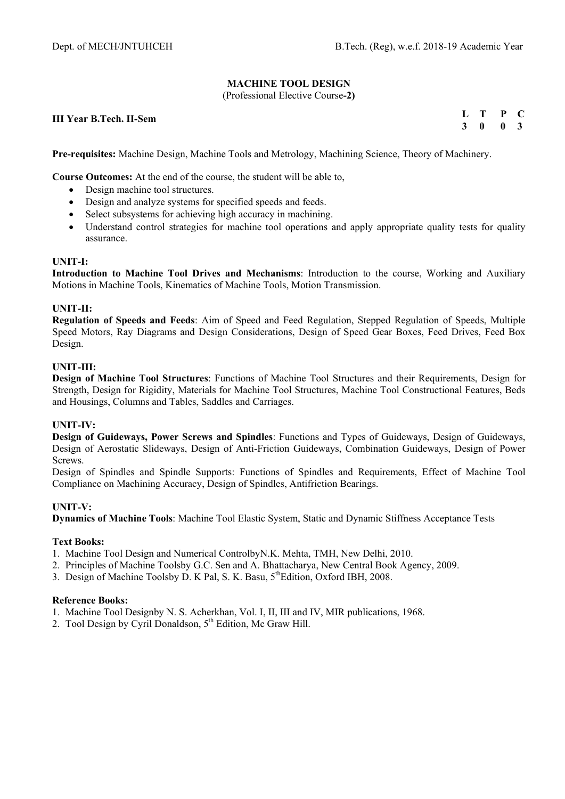# **MACHINE TOOL DESIGN**

(Professional Elective Course**-2)** 

**III Year B.Tech. II-Sem** 

**L T P C 3 0 0 3** 

**Pre-requisites:** Machine Design, Machine Tools and Metrology, Machining Science, Theory of Machinery.

**Course Outcomes:** At the end of the course, the student will be able to,

- Design machine tool structures.
- Design and analyze systems for specified speeds and feeds.
- Select subsystems for achieving high accuracy in machining.
- Understand control strategies for machine tool operations and apply appropriate quality tests for quality assurance.

## **UNIT-I:**

**Introduction to Machine Tool Drives and Mechanisms**: Introduction to the course, Working and Auxiliary Motions in Machine Tools, Kinematics of Machine Tools, Motion Transmission.

## **UNIT-II:**

**Regulation of Speeds and Feeds**: Aim of Speed and Feed Regulation, Stepped Regulation of Speeds, Multiple Speed Motors, Ray Diagrams and Design Considerations, Design of Speed Gear Boxes, Feed Drives, Feed Box Design.

# **UNIT-III:**

**Design of Machine Tool Structures**: Functions of Machine Tool Structures and their Requirements, Design for Strength, Design for Rigidity, Materials for Machine Tool Structures, Machine Tool Constructional Features, Beds and Housings, Columns and Tables, Saddles and Carriages.

# **UNIT-IV:**

**Design of Guideways, Power Screws and Spindles**: Functions and Types of Guideways, Design of Guideways, Design of Aerostatic Slideways, Design of Anti-Friction Guideways, Combination Guideways, Design of Power Screws.

Design of Spindles and Spindle Supports: Functions of Spindles and Requirements, Effect of Machine Tool Compliance on Machining Accuracy, Design of Spindles, Antifriction Bearings.

#### **UNIT-V:**

**Dynamics of Machine Tools**: Machine Tool Elastic System, Static and Dynamic Stiffness Acceptance Tests

#### **Text Books:**

- 1. Machine Tool Design and Numerical ControlbyN.K. Mehta, TMH, New Delhi, 2010.
- 2. Principles of Machine Toolsby G.C. Sen and A. Bhattacharya, New Central Book Agency, 2009.
- 3. Design of Machine Toolsby D. K Pal, S. K. Basu, 5<sup>th</sup>Edition, Oxford IBH, 2008.

#### **Reference Books:**

- 1. Machine Tool Designby N. S. Acherkhan, Vol. I, II, III and IV, MIR publications, 1968.
- 2. Tool Design by Cyril Donaldson, 5<sup>th</sup> Edition, Mc Graw Hill.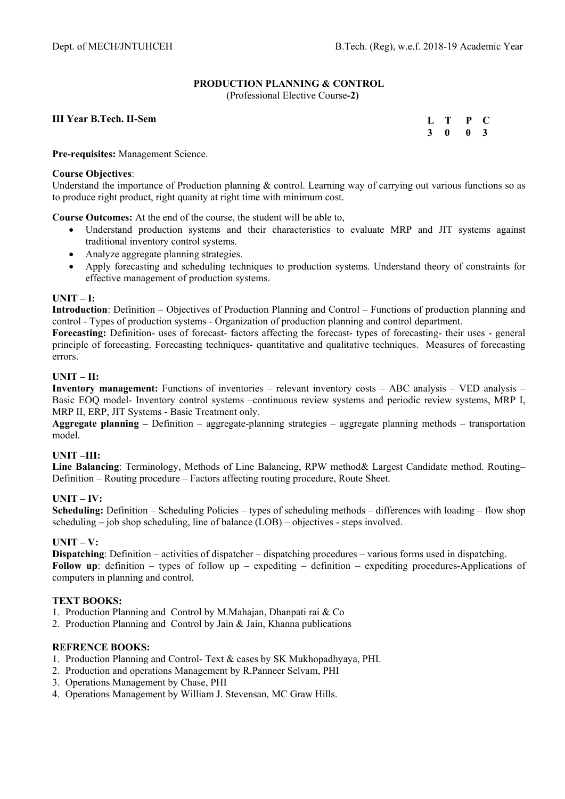# **PRODUCTION PLANNING & CONTROL**

(Professional Elective Course**-2)** 

# **III Year B.Tech. II-Sem**

**L T P C 3 0 0 3** 

**Pre-requisites:** Management Science.

## **Course Objectives**:

Understand the importance of Production planning & control. Learning way of carrying out various functions so as to produce right product, right quanity at right time with minimum cost.

**Course Outcomes:** At the end of the course, the student will be able to,

- Understand production systems and their characteristics to evaluate MRP and JIT systems against traditional inventory control systems.
- Analyze aggregate planning strategies.
- Apply forecasting and scheduling techniques to production systems. Understand theory of constraints for effective management of production systems.

## **UNIT – I:**

**Introduction**: Definition – Objectives of Production Planning and Control – Functions of production planning and control - Types of production systems - Organization of production planning and control department.

Forecasting: Definition- uses of forecast- factors affecting the forecast- types of forecasting- their uses - general principle of forecasting. Forecasting techniques- quantitative and qualitative techniques. Measures of forecasting errors.

## **UNIT – II:**

**Inventory management:** Functions of inventories – relevant inventory costs – ABC analysis – VED analysis – Basic EOQ model- Inventory control systems –continuous review systems and periodic review systems, MRP I, MRP II, ERP, JIT Systems - Basic Treatment only.

**Aggregate planning –** Definition – aggregate-planning strategies – aggregate planning methods – transportation model.

#### **UNIT –III:**

**Line Balancing**: Terminology, Methods of Line Balancing, RPW method& Largest Candidate method. Routing– Definition – Routing procedure – Factors affecting routing procedure, Route Sheet.

# **UNIT – IV:**

**Scheduling:** Definition – Scheduling Policies – types of scheduling methods – differences with loading – flow shop scheduling **–** job shop scheduling, line of balance (LOB) – objectives - steps involved.

#### **UNIT – V:**

**Dispatching**: Definition – activities of dispatcher – dispatching procedures – various forms used in dispatching. **Follow up**: definition – types of follow up – expediting – definition – expediting procedures-Applications of computers in planning and control.

# **TEXT BOOKS:**

- 1. Production Planning and Control by M.Mahajan, Dhanpati rai & Co
- 2. Production Planning and Control by Jain & Jain, Khanna publications

- 1. Production Planning and Control- Text & cases by SK Mukhopadhyaya, PHI.
- 2. Production and operations Management by R.Panneer Selvam, PHI
- 3. Operations Management by Chase, PHI
- 4. Operations Management by William J. Stevensan, MC Graw Hills.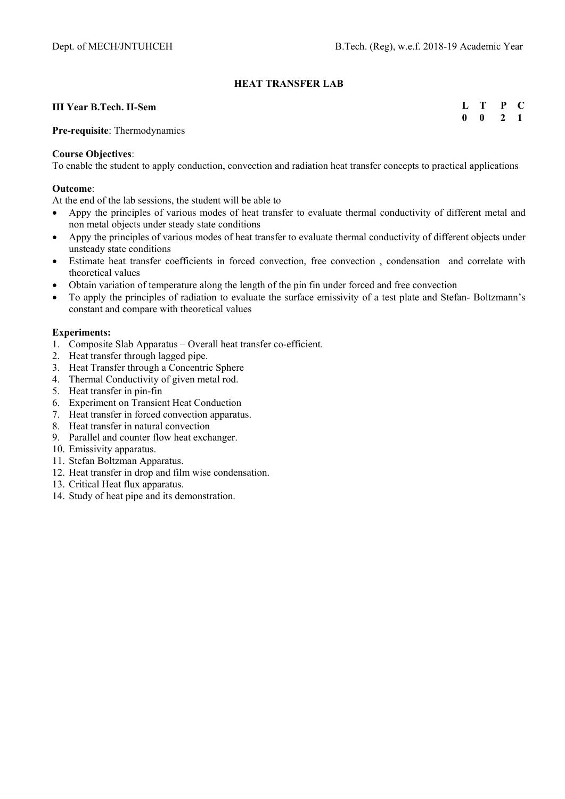# **HEAT TRANSFER LAB**

#### **III Year B.Tech. II-Sem**

**L T P C 0 0 2 1** 

**Pre-requisite**: Thermodynamics

#### **Course Objectives**:

To enable the student to apply conduction, convection and radiation heat transfer concepts to practical applications

## **Outcome**:

At the end of the lab sessions, the student will be able to

- Appy the principles of various modes of heat transfer to evaluate thermal conductivity of different metal and non metal objects under steady state conditions
- Appy the principles of various modes of heat transfer to evaluate thermal conductivity of different objects under unsteady state conditions
- Estimate heat transfer coefficients in forced convection, free convection , condensation and correlate with theoretical values
- Obtain variation of temperature along the length of the pin fin under forced and free convection
- To apply the principles of radiation to evaluate the surface emissivity of a test plate and Stefan- Boltzmann's constant and compare with theoretical values

## **Experiments:**

- 1. Composite Slab Apparatus Overall heat transfer co-efficient.
- 2. Heat transfer through lagged pipe.
- 3. Heat Transfer through a Concentric Sphere
- 4. Thermal Conductivity of given metal rod.
- 5. Heat transfer in pin-fin
- 6. Experiment on Transient Heat Conduction
- 7. Heat transfer in forced convection apparatus.
- 8. Heat transfer in natural convection
- 9. Parallel and counter flow heat exchanger.
- 10. Emissivity apparatus.
- 11. Stefan Boltzman Apparatus.
- 12. Heat transfer in drop and film wise condensation.
- 13. Critical Heat flux apparatus.
- 14. Study of heat pipe and its demonstration.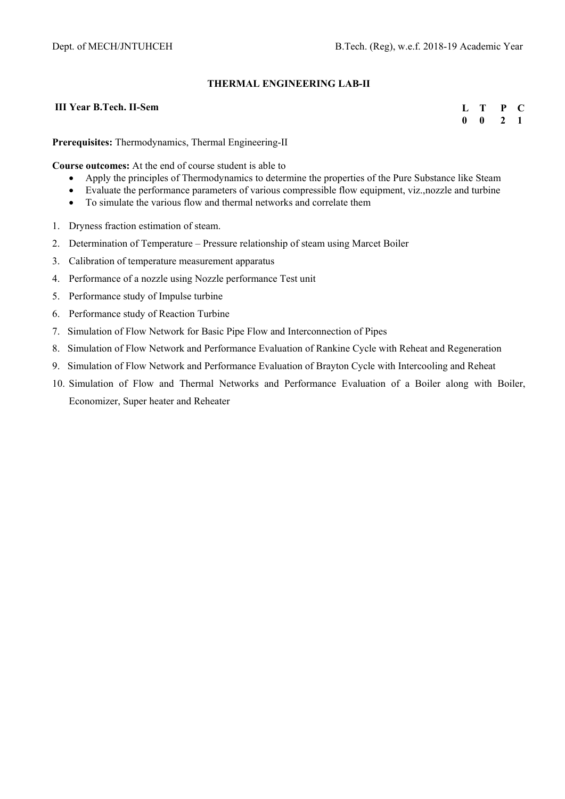# **THERMAL ENGINEERING LAB-II**

## **III Year B.Tech. II-Sem**

**L T P C 0 0 2 1** 

**Prerequisites:** Thermodynamics, Thermal Engineering-II

**Course outcomes:** At the end of course student is able to

- Apply the principles of Thermodynamics to determine the properties of the Pure Substance like Steam
- Evaluate the performance parameters of various compressible flow equipment, viz.,nozzle and turbine
- To simulate the various flow and thermal networks and correlate them
- 1. Dryness fraction estimation of steam.
- 2. Determination of Temperature Pressure relationship of steam using Marcet Boiler
- 3. Calibration of temperature measurement apparatus
- 4. Performance of a nozzle using Nozzle performance Test unit
- 5. Performance study of Impulse turbine
- 6. Performance study of Reaction Turbine
- 7. Simulation of Flow Network for Basic Pipe Flow and Interconnection of Pipes
- 8. Simulation of Flow Network and Performance Evaluation of Rankine Cycle with Reheat and Regeneration
- 9. Simulation of Flow Network and Performance Evaluation of Brayton Cycle with Intercooling and Reheat
- 10. Simulation of Flow and Thermal Networks and Performance Evaluation of a Boiler along with Boiler, Economizer, Super heater and Reheater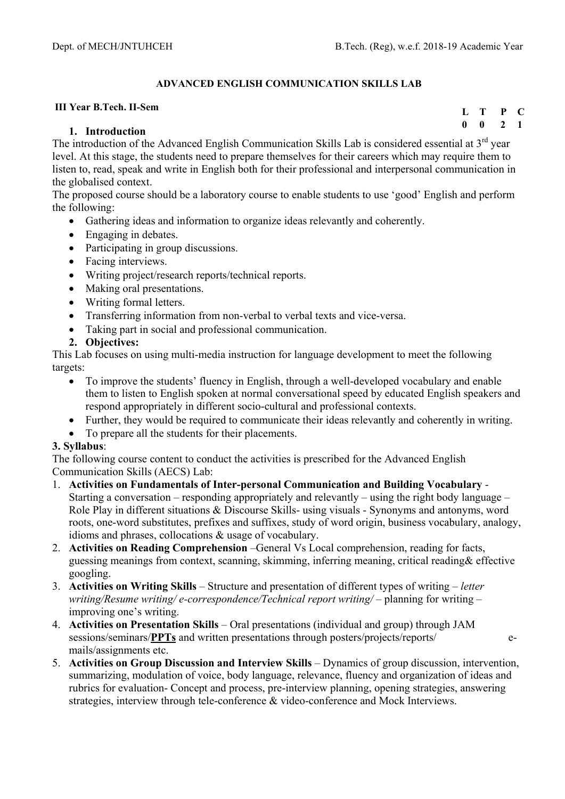# **ADVANCED ENGLISH COMMUNICATION SKILLS LAB**

# **III Year B.Tech. II-Sem**

# **1. Introduction**

**L T P C 0 0 2 1** 

The introduction of the Advanced English Communication Skills Lab is considered essential at  $3<sup>rd</sup>$  year level. At this stage, the students need to prepare themselves for their careers which may require them to listen to, read, speak and write in English both for their professional and interpersonal communication in the globalised context.

The proposed course should be a laboratory course to enable students to use 'good' English and perform the following:

- Gathering ideas and information to organize ideas relevantly and coherently.
- Engaging in debates.
- Participating in group discussions.
- Facing interviews.
- Writing project/research reports/technical reports.
- Making oral presentations.
- Writing formal letters.
- Transferring information from non-verbal to verbal texts and vice-versa.
- Taking part in social and professional communication.
- **2. Objectives:**

This Lab focuses on using multi-media instruction for language development to meet the following targets:

- To improve the students' fluency in English, through a well-developed vocabulary and enable them to listen to English spoken at normal conversational speed by educated English speakers and respond appropriately in different socio-cultural and professional contexts.
- Further, they would be required to communicate their ideas relevantly and coherently in writing.
- To prepare all the students for their placements.

# **3. Syllabus**:

The following course content to conduct the activities is prescribed for the Advanced English Communication Skills (AECS) Lab:

- 1. **Activities on Fundamentals of Inter-personal Communication and Building Vocabulary**  Starting a conversation – responding appropriately and relevantly – using the right body language – Role Play in different situations & Discourse Skills- using visuals - Synonyms and antonyms, word roots, one-word substitutes, prefixes and suffixes, study of word origin, business vocabulary, analogy, idioms and phrases, collocations & usage of vocabulary.
- 2. **Activities on Reading Comprehension** –General Vs Local comprehension, reading for facts, guessing meanings from context, scanning, skimming, inferring meaning, critical reading& effective googling.
- 3. **Activities on Writing Skills** Structure and presentation of different types of writing *letter writing/Resume writing/ e-correspondence/Technical report writing/* – planning for writing – improving one's writing.
- 4. **Activities on Presentation Skills** Oral presentations (individual and group) through JAM sessions/seminars/**PPTs** and written presentations through posters/projects/reports/ emails/assignments etc.
- 5. **Activities on Group Discussion and Interview Skills** Dynamics of group discussion, intervention, summarizing, modulation of voice, body language, relevance, fluency and organization of ideas and rubrics for evaluation- Concept and process, pre-interview planning, opening strategies, answering strategies, interview through tele-conference & video-conference and Mock Interviews.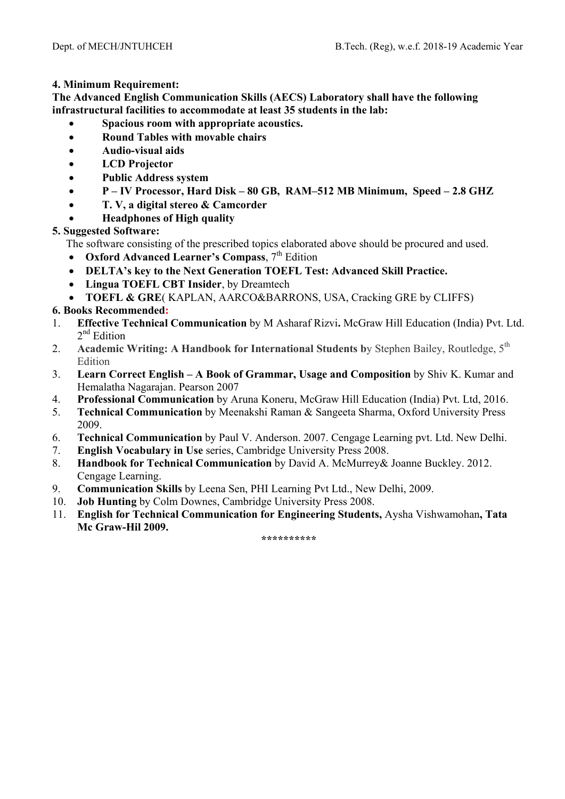# **4. Minimum Requirement:**

**The Advanced English Communication Skills (AECS) Laboratory shall have the following infrastructural facilities to accommodate at least 35 students in the lab:** 

- **Spacious room with appropriate acoustics.**
- **Round Tables with movable chairs**
- **Audio-visual aids**
- **LCD Projector**
- **Public Address system**
- **P IV Processor, Hard Disk 80 GB, RAM–512 MB Minimum, Speed 2.8 GHZ**
- **T. V, a digital stereo & Camcorder**
- **Headphones of High quality**

**5. Suggested Software:** 

The software consisting of the prescribed topics elaborated above should be procured and used.

- **•** Oxford Advanced Learner's Compass, 7<sup>th</sup> Edition
- **DELTA's key to the Next Generation TOEFL Test: Advanced Skill Practice.**
- **Lingua TOEFL CBT Insider**, by Dreamtech
- **TOEFL & GRE**( KAPLAN, AARCO&BARRONS, USA, Cracking GRE by CLIFFS)

# **6. Books Recommended:**

- 1. **Effective Technical Communication** by M Asharaf Rizvi**.** McGraw Hill Education (India) Pvt. Ltd.  $2<sup>nd</sup>$  Edition
- 2. **Academic Writing: A Handbook for International Students by Stephen Bailey, Routledge, 5<sup>th</sup>** Edition
- 3. **Learn Correct English A Book of Grammar, Usage and Composition** by Shiv K. Kumar and Hemalatha Nagarajan. Pearson 2007
- 4. **Professional Communication** by Aruna Koneru, McGraw Hill Education (India) Pvt. Ltd, 2016.
- 5. **Technical Communication** by Meenakshi Raman & Sangeeta Sharma, Oxford University Press 2009.
- 6. **Technical Communication** by Paul V. Anderson. 2007. Cengage Learning pvt. Ltd. New Delhi.
- 7. **English Vocabulary in Use** series, Cambridge University Press 2008.
- 8. **Handbook for Technical Communication** by David A. McMurrey& Joanne Buckley. 2012. Cengage Learning.
- 9. **Communication Skills** by Leena Sen, PHI Learning Pvt Ltd., New Delhi, 2009.
- 10. **Job Hunting** by Colm Downes, Cambridge University Press 2008.
- 11. **English for Technical Communication for Engineering Students,** Aysha Vishwamohan**, Tata Mc Graw-Hil 2009.**

**\*\*\*\*\*\*\*\*\*\***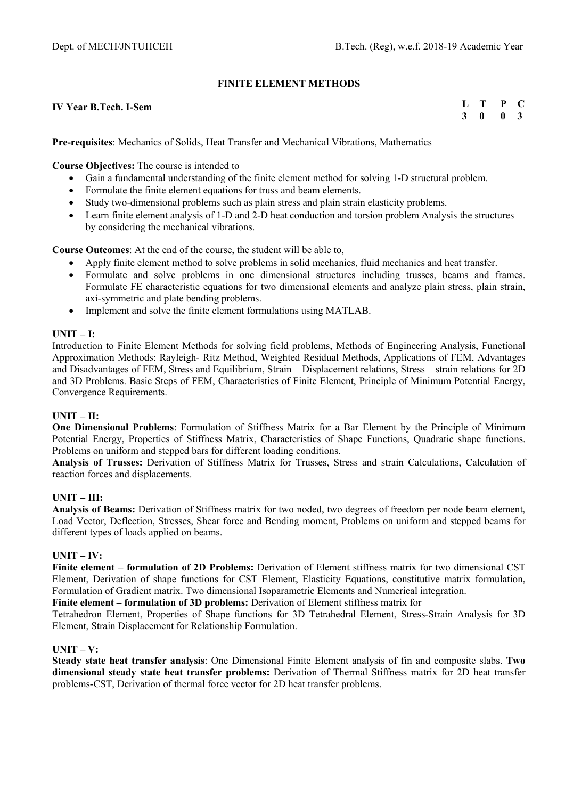# **FINITE ELEMENT METHODS**

#### **IV Year B.Tech. I-Sem**

**L T P C 3 0 0 3** 

**Pre-requisites**: Mechanics of Solids, Heat Transfer and Mechanical Vibrations, Mathematics

**Course Objectives:** The course is intended to

- Gain a fundamental understanding of the finite element method for solving 1-D structural problem.
- Formulate the finite element equations for truss and beam elements.
- Study two-dimensional problems such as plain stress and plain strain elasticity problems.
- Learn finite element analysis of 1-D and 2-D heat conduction and torsion problem Analysis the structures by considering the mechanical vibrations.

**Course Outcomes**: At the end of the course, the student will be able to,

- Apply finite element method to solve problems in solid mechanics, fluid mechanics and heat transfer.
- Formulate and solve problems in one dimensional structures including trusses, beams and frames. Formulate FE characteristic equations for two dimensional elements and analyze plain stress, plain strain, axi-symmetric and plate bending problems.
- Implement and solve the finite element formulations using MATLAB.

# **UNIT – I:**

Introduction to Finite Element Methods for solving field problems, Methods of Engineering Analysis, Functional Approximation Methods: Rayleigh- Ritz Method, Weighted Residual Methods, Applications of FEM, Advantages and Disadvantages of FEM, Stress and Equilibrium, Strain – Displacement relations, Stress – strain relations for 2D and 3D Problems. Basic Steps of FEM, Characteristics of Finite Element, Principle of Minimum Potential Energy, Convergence Requirements.

# **UNIT – II:**

**One Dimensional Problems**: Formulation of Stiffness Matrix for a Bar Element by the Principle of Minimum Potential Energy, Properties of Stiffness Matrix, Characteristics of Shape Functions, Quadratic shape functions. Problems on uniform and stepped bars for different loading conditions.

**Analysis of Trusses:** Derivation of Stiffness Matrix for Trusses, Stress and strain Calculations, Calculation of reaction forces and displacements.

# **UNIT – III:**

**Analysis of Beams:** Derivation of Stiffness matrix for two noded, two degrees of freedom per node beam element, Load Vector, Deflection, Stresses, Shear force and Bending moment, Problems on uniform and stepped beams for different types of loads applied on beams.

# **UNIT – IV:**

**Finite element – formulation of 2D Problems:** Derivation of Element stiffness matrix for two dimensional CST Element, Derivation of shape functions for CST Element, Elasticity Equations, constitutive matrix formulation, Formulation of Gradient matrix. Two dimensional Isoparametric Elements and Numerical integration.

**Finite element – formulation of 3D problems:** Derivation of Element stiffness matrix for

Tetrahedron Element, Properties of Shape functions for 3D Tetrahedral Element, Stress-Strain Analysis for 3D Element, Strain Displacement for Relationship Formulation.

#### **UNIT – V:**

**Steady state heat transfer analysis**: One Dimensional Finite Element analysis of fin and composite slabs. **Two dimensional steady state heat transfer problems:** Derivation of Thermal Stiffness matrix for 2D heat transfer problems-CST, Derivation of thermal force vector for 2D heat transfer problems.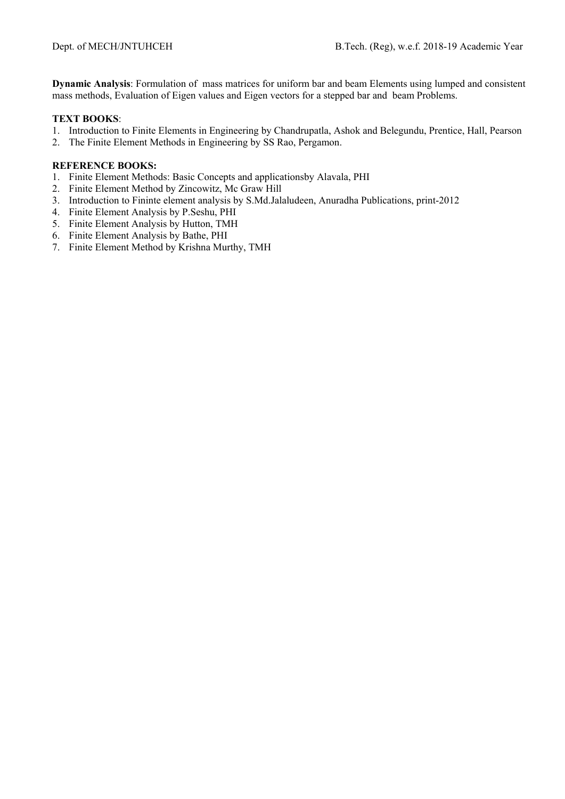**Dynamic Analysis**: Formulation of mass matrices for uniform bar and beam Elements using lumped and consistent mass methods, Evaluation of Eigen values and Eigen vectors for a stepped bar and beam Problems.

# **TEXT BOOKS**:

- 1. Introduction to Finite Elements in Engineering by Chandrupatla, Ashok and Belegundu, Prentice, Hall, Pearson
- 2. The Finite Element Methods in Engineering by SS Rao, Pergamon.

- 1. Finite Element Methods: Basic Concepts and applicationsby Alavala, PHI
- 2. Finite Element Method by Zincowitz, Mc Graw Hill
- 3. Introduction to Fininte element analysis by S.Md.Jalaludeen, Anuradha Publications, print-2012
- 4. Finite Element Analysis by P.Seshu, PHI
- 5. Finite Element Analysis by Hutton, TMH
- 6. Finite Element Analysis by Bathe, PHI
- 7. Finite Element Method by Krishna Murthy, TMH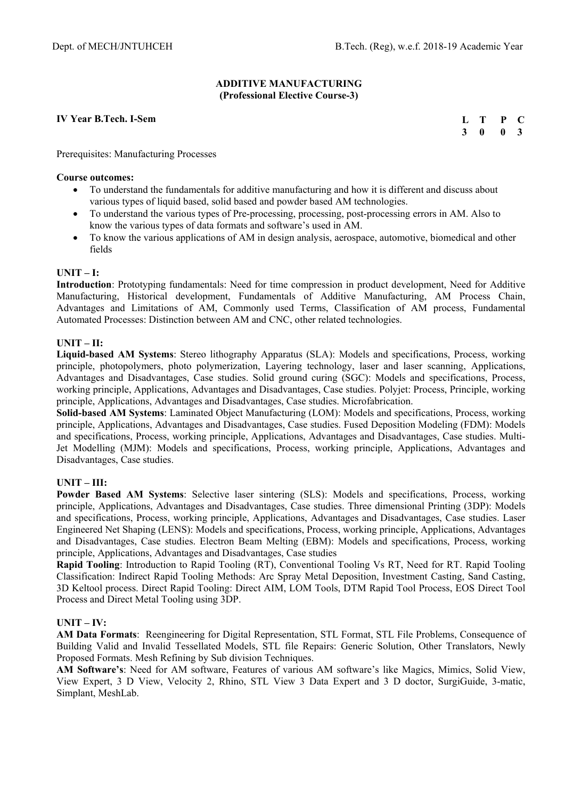## **ADDITIVE MANUFACTURING (Professional Elective Course-3)**

## **IV Year B.Tech. I-Sem**

|                | L T          | $\mathbf{P}$ | $\mathbf C$    |
|----------------|--------------|--------------|----------------|
| 3 <sup>1</sup> | $\mathbf{0}$ | 0            | $\overline{3}$ |

Prerequisites: Manufacturing Processes

#### **Course outcomes:**

- To understand the fundamentals for additive manufacturing and how it is different and discuss about various types of liquid based, solid based and powder based AM technologies.
- To understand the various types of Pre-processing, processing, post-processing errors in AM. Also to know the various types of data formats and software's used in AM.
- To know the various applications of AM in design analysis, aerospace, automotive, biomedical and other fields

## **UNIT – I:**

**Introduction**: Prototyping fundamentals: Need for time compression in product development, Need for Additive Manufacturing, Historical development, Fundamentals of Additive Manufacturing, AM Process Chain, Advantages and Limitations of AM, Commonly used Terms, Classification of AM process, Fundamental Automated Processes: Distinction between AM and CNC, other related technologies.

## **UNIT – II:**

**Liquid-based AM Systems**: Stereo lithography Apparatus (SLA): Models and specifications, Process, working principle, photopolymers, photo polymerization, Layering technology, laser and laser scanning, Applications, Advantages and Disadvantages, Case studies. Solid ground curing (SGC): Models and specifications, Process, working principle, Applications, Advantages and Disadvantages, Case studies. Polyjet: Process, Principle, working principle, Applications, Advantages and Disadvantages, Case studies. Microfabrication.

**Solid-based AM Systems**: Laminated Object Manufacturing (LOM): Models and specifications, Process, working principle, Applications, Advantages and Disadvantages, Case studies. Fused Deposition Modeling (FDM): Models and specifications, Process, working principle, Applications, Advantages and Disadvantages, Case studies. Multi-Jet Modelling (MJM): Models and specifications, Process, working principle, Applications, Advantages and Disadvantages, Case studies.

# **UNIT – III:**

**Powder Based AM Systems**: Selective laser sintering (SLS): Models and specifications, Process, working principle, Applications, Advantages and Disadvantages, Case studies. Three dimensional Printing (3DP): Models and specifications, Process, working principle, Applications, Advantages and Disadvantages, Case studies. Laser Engineered Net Shaping (LENS): Models and specifications, Process, working principle, Applications, Advantages and Disadvantages, Case studies. Electron Beam Melting (EBM): Models and specifications, Process, working principle, Applications, Advantages and Disadvantages, Case studies

**Rapid Tooling**: Introduction to Rapid Tooling (RT), Conventional Tooling Vs RT, Need for RT. Rapid Tooling Classification: Indirect Rapid Tooling Methods: Arc Spray Metal Deposition, Investment Casting, Sand Casting, 3D Keltool process. Direct Rapid Tooling: Direct AIM, LOM Tools, DTM Rapid Tool Process, EOS Direct Tool Process and Direct Metal Tooling using 3DP.

# **UNIT – IV:**

**AM Data Formats**: Reengineering for Digital Representation, STL Format, STL File Problems, Consequence of Building Valid and Invalid Tessellated Models, STL file Repairs: Generic Solution, Other Translators, Newly Proposed Formats. Mesh Refining by Sub division Techniques.

**AM Software's**: Need for AM software, Features of various AM software's like Magics, Mimics, Solid View, View Expert, 3 D View, Velocity 2, Rhino, STL View 3 Data Expert and 3 D doctor, SurgiGuide, 3-matic, Simplant, MeshLab.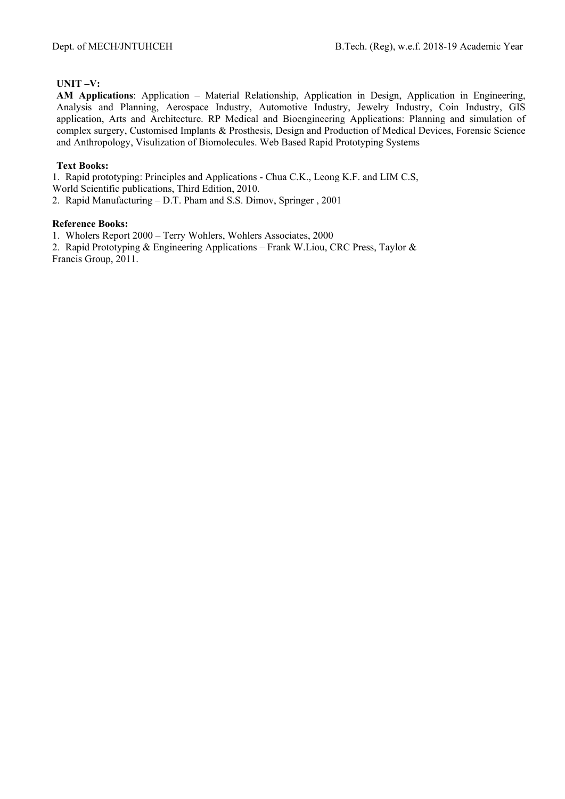# **UNIT –V:**

**AM Applications**: Application – Material Relationship, Application in Design, Application in Engineering, Analysis and Planning, Aerospace Industry, Automotive Industry, Jewelry Industry, Coin Industry, GIS application, Arts and Architecture. RP Medical and Bioengineering Applications: Planning and simulation of complex surgery, Customised Implants & Prosthesis, Design and Production of Medical Devices, Forensic Science and Anthropology, Visulization of Biomolecules. Web Based Rapid Prototyping Systems

# **Text Books:**

1. Rapid prototyping: Principles and Applications - Chua C.K., Leong K.F. and LIM C.S, World Scientific publications, Third Edition, 2010.

2. Rapid Manufacturing – D.T. Pham and S.S. Dimov, Springer , 2001

# **Reference Books:**

1. Wholers Report 2000 – Terry Wohlers, Wohlers Associates, 2000

2. Rapid Prototyping & Engineering Applications – Frank W.Liou, CRC Press, Taylor & Francis Group, 2011.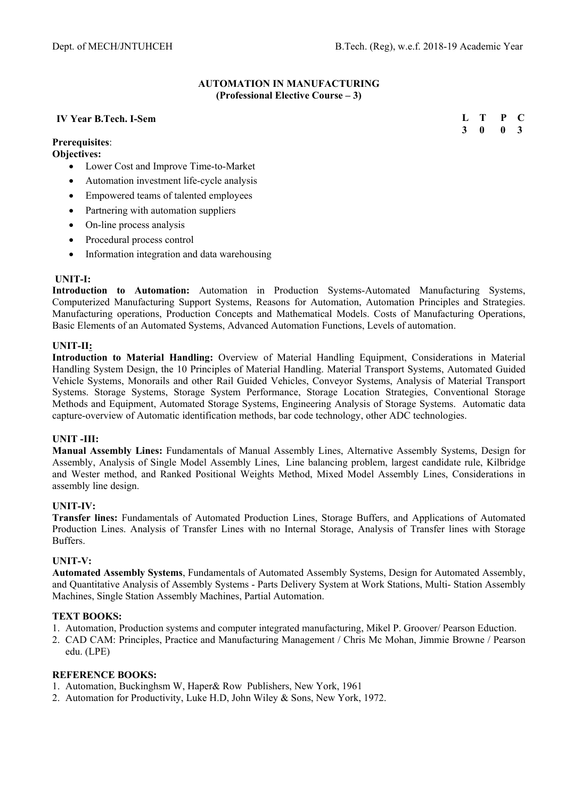## **AUTOMATION IN MANUFACTURING (Professional Elective Course – 3)**

## **IV Year B.Tech. I-Sem**

**Prerequisites**:

**Objectives:** 

- Lower Cost and Improve Time-to-Market
- Automation investment life-cycle analysis
- Empowered teams of talented employees
- Partnering with automation suppliers
- On-line process analysis
- Procedural process control
- Information integration and data warehousing

#### **UNIT-I:**

**Introduction to Automation:** Automation in Production Systems-Automated Manufacturing Systems, Computerized Manufacturing Support Systems, Reasons for Automation, Automation Principles and Strategies. Manufacturing operations, Production Concepts and Mathematical Models. Costs of Manufacturing Operations, Basic Elements of an Automated Systems, Advanced Automation Functions, Levels of automation.

## **UNIT-II:**

**Introduction to Material Handling:** Overview of Material Handling Equipment, Considerations in Material Handling System Design, the 10 Principles of Material Handling. Material Transport Systems, Automated Guided Vehicle Systems, Monorails and other Rail Guided Vehicles, Conveyor Systems, Analysis of Material Transport Systems. Storage Systems, Storage System Performance, Storage Location Strategies, Conventional Storage Methods and Equipment, Automated Storage Systems, Engineering Analysis of Storage Systems. Automatic data capture-overview of Automatic identification methods, bar code technology, other ADC technologies.

#### **UNIT -III:**

**Manual Assembly Lines:** Fundamentals of Manual Assembly Lines, Alternative Assembly Systems, Design for Assembly, Analysis of Single Model Assembly Lines, Line balancing problem, largest candidate rule, Kilbridge and Wester method, and Ranked Positional Weights Method, Mixed Model Assembly Lines, Considerations in assembly line design.

#### **UNIT-IV:**

**Transfer lines:** Fundamentals of Automated Production Lines, Storage Buffers, and Applications of Automated Production Lines. Analysis of Transfer Lines with no Internal Storage, Analysis of Transfer lines with Storage Buffers.

#### **UNIT-V:**

**Automated Assembly Systems**, Fundamentals of Automated Assembly Systems, Design for Automated Assembly, and Quantitative Analysis of Assembly Systems - Parts Delivery System at Work Stations, Multi- Station Assembly Machines, Single Station Assembly Machines, Partial Automation.

#### **TEXT BOOKS:**

- 1. Automation, Production systems and computer integrated manufacturing, Mikel P. Groover/ Pearson Eduction.
- 2. CAD CAM: Principles, Practice and Manufacturing Management / Chris Mc Mohan, Jimmie Browne / Pearson edu. (LPE)

- 1. Automation, Buckinghsm W, Haper& Row Publishers, New York, 1961
- 2. Automation for Productivity, Luke H.D, John Wiley & Sons, New York, 1972.

| Ι. | т | P | $\blacksquare$ |
|----|---|---|----------------|
| 3  | 0 | 0 | $\mathbf{3}$   |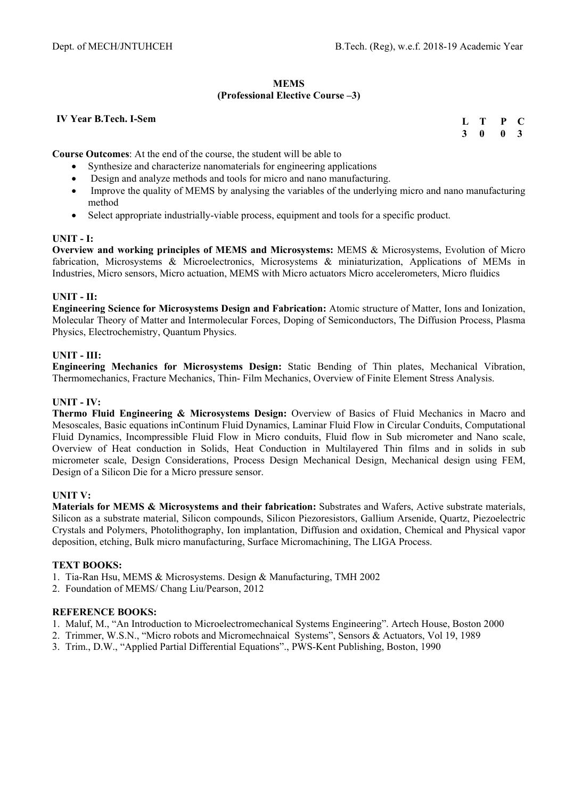## **MEMS (Professional Elective Course –3)**

## **IV Year B.Tech. I-Sem**

| Ι. | T | P | - 0                     |
|----|---|---|-------------------------|
| 3  | 0 | 0 | $\overline{\mathbf{3}}$ |

**Course Outcomes**: At the end of the course, the student will be able to

- Synthesize and characterize nanomaterials for engineering applications
- Design and analyze methods and tools for micro and nano manufacturing.
- Improve the quality of MEMS by analysing the variables of the underlying micro and nano manufacturing method
- Select appropriate industrially-viable process, equipment and tools for a specific product.

## **UNIT - I:**

**Overview and working principles of MEMS and Microsystems:** MEMS & Microsystems, Evolution of Micro fabrication, Microsystems & Microelectronics, Microsystems & miniaturization, Applications of MEMs in Industries, Micro sensors, Micro actuation, MEMS with Micro actuators Micro accelerometers, Micro fluidics

# **UNIT - II:**

**Engineering Science for Microsystems Design and Fabrication:** Atomic structure of Matter, Ions and Ionization, Molecular Theory of Matter and Intermolecular Forces, Doping of Semiconductors, The Diffusion Process, Plasma Physics, Electrochemistry, Quantum Physics.

## **UNIT - III:**

**Engineering Mechanics for Microsystems Design:** Static Bending of Thin plates, Mechanical Vibration, Thermomechanics, Fracture Mechanics, Thin- Film Mechanics, Overview of Finite Element Stress Analysis.

## **UNIT - IV:**

**Thermo Fluid Engineering & Microsystems Design:** Overview of Basics of Fluid Mechanics in Macro and Mesoscales, Basic equations inContinum Fluid Dynamics, Laminar Fluid Flow in Circular Conduits, Computational Fluid Dynamics, Incompressible Fluid Flow in Micro conduits, Fluid flow in Sub micrometer and Nano scale, Overview of Heat conduction in Solids, Heat Conduction in Multilayered Thin films and in solids in sub micrometer scale, Design Considerations, Process Design Mechanical Design, Mechanical design using FEM, Design of a Silicon Die for a Micro pressure sensor.

# **UNIT V:**

**Materials for MEMS & Microsystems and their fabrication:** Substrates and Wafers, Active substrate materials, Silicon as a substrate material, Silicon compounds, Silicon Piezoresistors, Gallium Arsenide, Quartz, Piezoelectric Crystals and Polymers, Photolithography, Ion implantation, Diffusion and oxidation, Chemical and Physical vapor deposition, etching, Bulk micro manufacturing, Surface Micromachining, The LIGA Process.

# **TEXT BOOKS:**

- 1. Tia-Ran Hsu, MEMS & Microsystems. Design & Manufacturing, TMH 2002
- 2. Foundation of MEMS/ Chang Liu/Pearson, 2012

- 1. Maluf, M., "An Introduction to Microelectromechanical Systems Engineering". Artech House, Boston 2000
- 2. Trimmer, W.S.N., "Micro robots and Micromechnaical Systems", Sensors & Actuators, Vol 19, 1989
- 3. Trim., D.W., "Applied Partial Differential Equations"., PWS-Kent Publishing, Boston, 1990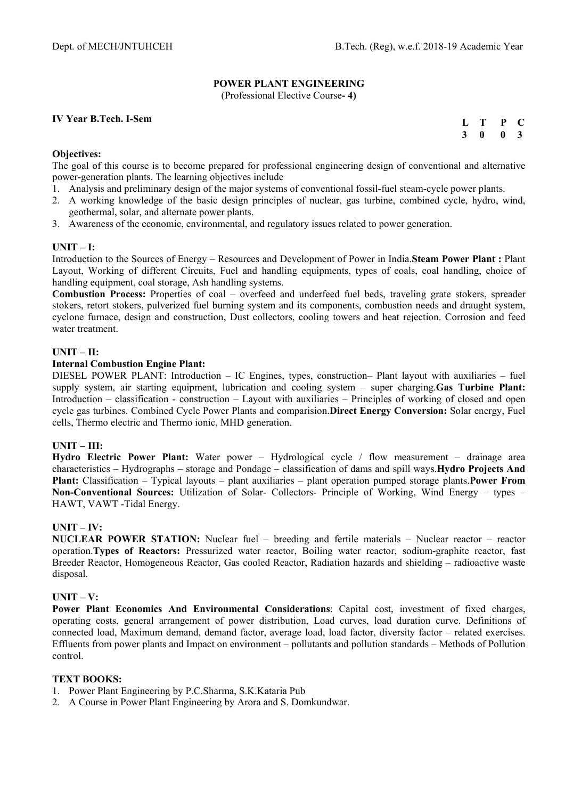# **POWER PLANT ENGINEERING**

(Professional Elective Course**- 4)** 

# **IV Year B.Tech. I-Sem**

| L T                     |              | $\mathbf{P}$ | $\mathbf C$             |
|-------------------------|--------------|--------------|-------------------------|
| $\overline{\mathbf{3}}$ | $\mathbf{0}$ | 0            | $\overline{\mathbf{3}}$ |

## **Objectives:**

The goal of this course is to become prepared for professional engineering design of conventional and alternative power-generation plants. The learning objectives include

- 1. Analysis and preliminary design of the major systems of conventional fossil-fuel steam-cycle power plants.
- 2. A working knowledge of the basic design principles of nuclear, gas turbine, combined cycle, hydro, wind, geothermal, solar, and alternate power plants.
- 3. Awareness of the economic, environmental, and regulatory issues related to power generation.

# **UNIT – I:**

Introduction to the Sources of Energy – Resources and Development of Power in India.**Steam Power Plant :** Plant Layout, Working of different Circuits, Fuel and handling equipments, types of coals, coal handling, choice of handling equipment, coal storage, Ash handling systems.

**Combustion Process:** Properties of coal – overfeed and underfeed fuel beds, traveling grate stokers, spreader stokers, retort stokers, pulverized fuel burning system and its components, combustion needs and draught system, cyclone furnace, design and construction, Dust collectors, cooling towers and heat rejection. Corrosion and feed water treatment.

## **UNIT – II:**

#### **Internal Combustion Engine Plant:**

DIESEL POWER PLANT: Introduction – IC Engines, types, construction– Plant layout with auxiliaries – fuel supply system, air starting equipment, lubrication and cooling system – super charging.**Gas Turbine Plant:**  Introduction – classification - construction – Layout with auxiliaries – Principles of working of closed and open cycle gas turbines. Combined Cycle Power Plants and comparision.**Direct Energy Conversion:** Solar energy, Fuel cells, Thermo electric and Thermo ionic, MHD generation.

#### **UNIT – III:**

**Hydro Electric Power Plant:** Water power – Hydrological cycle / flow measurement – drainage area characteristics – Hydrographs – storage and Pondage – classification of dams and spill ways.**Hydro Projects And Plant:** Classification – Typical layouts – plant auxiliaries – plant operation pumped storage plants.**Power From Non-Conventional Sources:** Utilization of Solar- Collectors- Principle of Working, Wind Energy – types – HAWT, VAWT -Tidal Energy.

# **UNIT – IV:**

**NUCLEAR POWER STATION:** Nuclear fuel – breeding and fertile materials – Nuclear reactor – reactor operation.**Types of Reactors:** Pressurized water reactor, Boiling water reactor, sodium-graphite reactor, fast Breeder Reactor, Homogeneous Reactor, Gas cooled Reactor, Radiation hazards and shielding – radioactive waste disposal.

#### **UNIT – V:**

**Power Plant Economics And Environmental Considerations**: Capital cost, investment of fixed charges, operating costs, general arrangement of power distribution, Load curves, load duration curve. Definitions of connected load, Maximum demand, demand factor, average load, load factor, diversity factor – related exercises. Effluents from power plants and Impact on environment – pollutants and pollution standards – Methods of Pollution control.

# **TEXT BOOKS:**

- 1. Power Plant Engineering by P.C.Sharma, S.K.Kataria Pub
- 2. A Course in Power Plant Engineering by Arora and S. Domkundwar.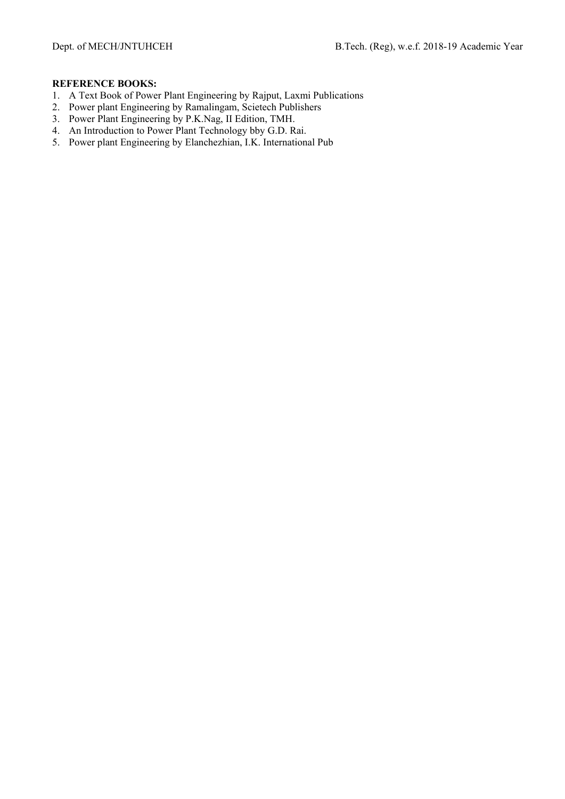- 1. A Text Book of Power Plant Engineering by Rajput, Laxmi Publications
- 2. Power plant Engineering by Ramalingam, Scietech Publishers
- 3. Power Plant Engineering by P.K.Nag, II Edition, TMH.
- 4. An Introduction to Power Plant Technology bby G.D. Rai.
- 5. Power plant Engineering by Elanchezhian, I.K. International Pub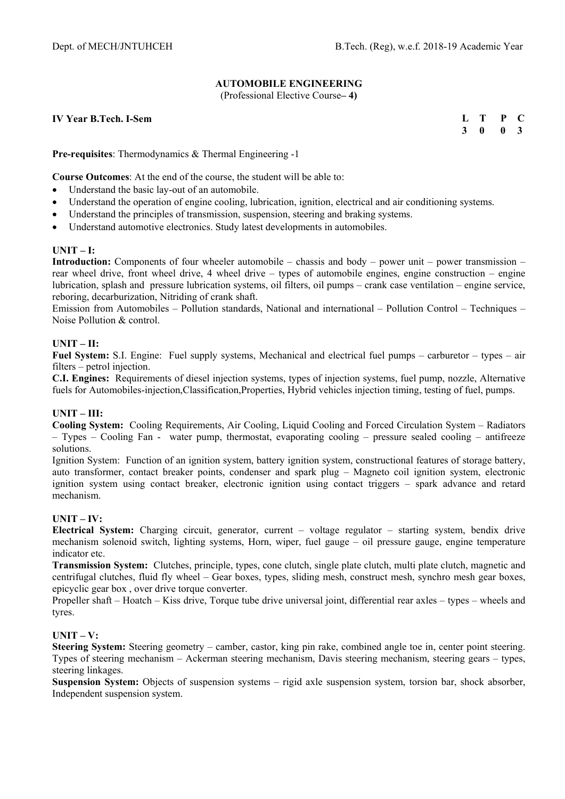# **AUTOMOBILE ENGINEERING**

(Professional Elective Course**– 4)** 

**IV Year B.Tech. I-Sem** 

**L T P C 3 0 0 3** 

**Pre-requisites**: Thermodynamics & Thermal Engineering -1

**Course Outcomes**: At the end of the course, the student will be able to:

- Understand the basic lay-out of an automobile.
- Understand the operation of engine cooling, lubrication, ignition, electrical and air conditioning systems.
- Understand the principles of transmission, suspension, steering and braking systems.
- Understand automotive electronics. Study latest developments in automobiles.

## **UNIT – I:**

**Introduction:** Components of four wheeler automobile – chassis and body – power unit – power transmission – rear wheel drive, front wheel drive, 4 wheel drive – types of automobile engines, engine construction – engine lubrication, splash and pressure lubrication systems, oil filters, oil pumps – crank case ventilation – engine service, reboring, decarburization, Nitriding of crank shaft.

Emission from Automobiles – Pollution standards, National and international – Pollution Control – Techniques – Noise Pollution & control.

## **UNIT – II:**

**Fuel System:** S.I. Engine: Fuel supply systems, Mechanical and electrical fuel pumps – carburetor – types – air filters – petrol injection.

**C.I. Engines:** Requirements of diesel injection systems, types of injection systems, fuel pump, nozzle, Alternative fuels for Automobiles-injection,Classification,Properties, Hybrid vehicles injection timing, testing of fuel, pumps.

#### **UNIT – III:**

**Cooling System:** Cooling Requirements, Air Cooling, Liquid Cooling and Forced Circulation System – Radiators – Types – Cooling Fan - water pump, thermostat, evaporating cooling – pressure sealed cooling – antifreeze solutions.

Ignition System: Function of an ignition system, battery ignition system, constructional features of storage battery, auto transformer, contact breaker points, condenser and spark plug – Magneto coil ignition system, electronic ignition system using contact breaker, electronic ignition using contact triggers – spark advance and retard mechanism.

# **UNIT – IV:**

**Electrical System:** Charging circuit, generator, current – voltage regulator – starting system, bendix drive mechanism solenoid switch, lighting systems, Horn, wiper, fuel gauge – oil pressure gauge, engine temperature indicator etc.

**Transmission System:** Clutches, principle, types, cone clutch, single plate clutch, multi plate clutch, magnetic and centrifugal clutches, fluid fly wheel – Gear boxes, types, sliding mesh, construct mesh, synchro mesh gear boxes, epicyclic gear box , over drive torque converter.

Propeller shaft – Hoatch – Kiss drive, Torque tube drive universal joint, differential rear axles – types – wheels and tyres.

#### **UNIT – V:**

**Steering System:** Steering geometry – camber, castor, king pin rake, combined angle toe in, center point steering. Types of steering mechanism – Ackerman steering mechanism, Davis steering mechanism, steering gears – types, steering linkages.

**Suspension System:** Objects of suspension systems – rigid axle suspension system, torsion bar, shock absorber, Independent suspension system.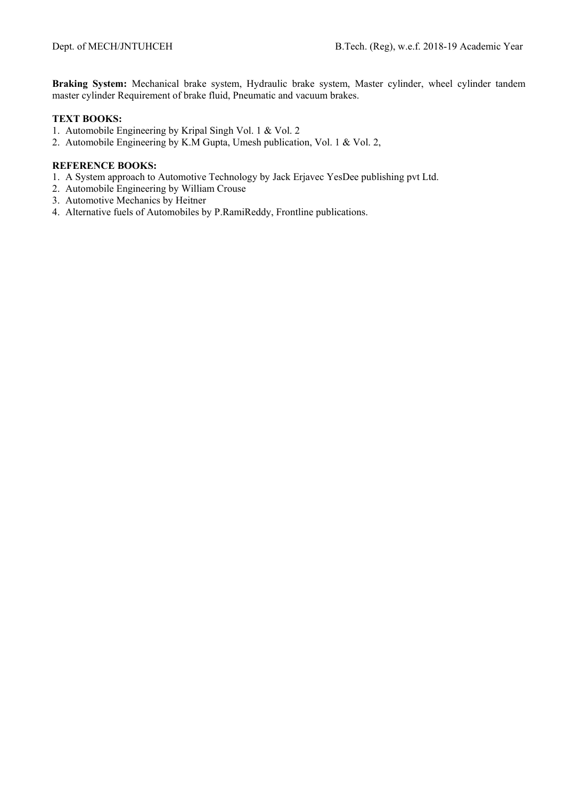**Braking System:** Mechanical brake system, Hydraulic brake system, Master cylinder, wheel cylinder tandem master cylinder Requirement of brake fluid, Pneumatic and vacuum brakes.

# **TEXT BOOKS:**

- 1. Automobile Engineering by Kripal Singh Vol. 1 & Vol. 2
- 2. Automobile Engineering by K.M Gupta, Umesh publication, Vol. 1 & Vol. 2,

- 1. A System approach to Automotive Technology by Jack Erjavec YesDee publishing pvt Ltd.
- 2. Automobile Engineering by William Crouse
- 3. Automotive Mechanics by Heitner
- 4. Alternative fuels of Automobiles by P.RamiReddy, Frontline publications.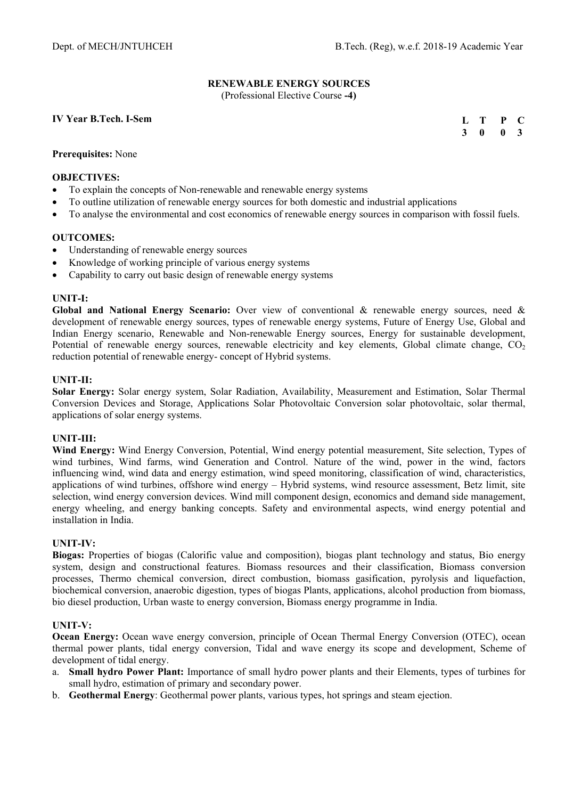# **RENEWABLE ENERGY SOURCES**

(Professional Elective Course **-4)** 

## **IV Year B.Tech. I-Sem**

**L T P C 3 0 0 3** 

## **Prerequisites:** None

#### **OBJECTIVES:**

- To explain the concepts of Non-renewable and renewable energy systems
- To outline utilization of renewable energy sources for both domestic and industrial applications
- To analyse the environmental and cost economics of renewable energy sources in comparison with fossil fuels.

#### **OUTCOMES:**

- Understanding of renewable energy sources
- Knowledge of working principle of various energy systems
- Capability to carry out basic design of renewable energy systems

## **UNIT-I:**

**Global and National Energy Scenario:** Over view of conventional & renewable energy sources, need & development of renewable energy sources, types of renewable energy systems, Future of Energy Use, Global and Indian Energy scenario, Renewable and Non-renewable Energy sources, Energy for sustainable development, Potential of renewable energy sources, renewable electricity and key elements, Global climate change,  $CO<sub>2</sub>$ reduction potential of renewable energy- concept of Hybrid systems.

## **UNIT-II:**

**Solar Energy:** Solar energy system, Solar Radiation, Availability, Measurement and Estimation, Solar Thermal Conversion Devices and Storage, Applications Solar Photovoltaic Conversion solar photovoltaic, solar thermal, applications of solar energy systems.

#### **UNIT-III:**

**Wind Energy:** Wind Energy Conversion, Potential, Wind energy potential measurement, Site selection, Types of wind turbines, Wind farms, wind Generation and Control. Nature of the wind, power in the wind, factors influencing wind, wind data and energy estimation, wind speed monitoring, classification of wind, characteristics, applications of wind turbines, offshore wind energy – Hybrid systems, wind resource assessment, Betz limit, site selection, wind energy conversion devices. Wind mill component design, economics and demand side management, energy wheeling, and energy banking concepts. Safety and environmental aspects, wind energy potential and installation in India.

#### **UNIT-IV:**

**Biogas:** Properties of biogas (Calorific value and composition), biogas plant technology and status, Bio energy system, design and constructional features. Biomass resources and their classification, Biomass conversion processes, Thermo chemical conversion, direct combustion, biomass gasification, pyrolysis and liquefaction, biochemical conversion, anaerobic digestion, types of biogas Plants, applications, alcohol production from biomass, bio diesel production, Urban waste to energy conversion, Biomass energy programme in India.

#### **UNIT-V:**

**Ocean Energy:** Ocean wave energy conversion, principle of Ocean Thermal Energy Conversion (OTEC), ocean thermal power plants, tidal energy conversion, Tidal and wave energy its scope and development, Scheme of development of tidal energy.

- a. **Small hydro Power Plant:** Importance of small hydro power plants and their Elements, types of turbines for small hydro, estimation of primary and secondary power.
- b. **Geothermal Energy**: Geothermal power plants, various types, hot springs and steam ejection.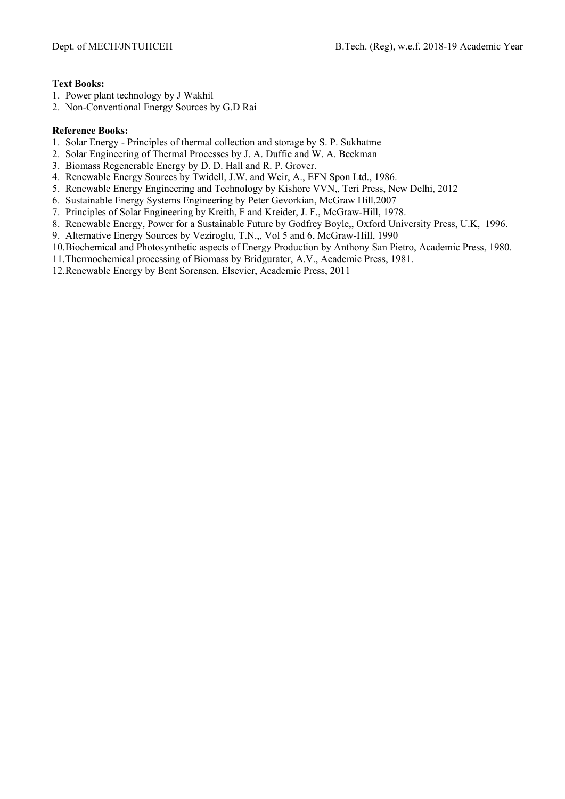## **Text Books:**

- 1. Power plant technology by J Wakhil
- 2. Non-Conventional Energy Sources by G.D Rai

## **Reference Books:**

- 1. Solar Energy Principles of thermal collection and storage by S. P. Sukhatme
- 2. Solar Engineering of Thermal Processes by J. A. Duffie and W. A. Beckman
- 3. Biomass Regenerable Energy by D. D. Hall and R. P. Grover.
- 4. Renewable Energy Sources by Twidell, J.W. and Weir, A., EFN Spon Ltd., 1986.
- 5. Renewable Energy Engineering and Technology by Kishore VVN,, Teri Press, New Delhi, 2012
- 6. Sustainable Energy Systems Engineering by Peter Gevorkian, McGraw Hill,2007
- 7. Principles of Solar Engineering by Kreith, F and Kreider, J. F., McGraw-Hill, 1978.
- 8. Renewable Energy, Power for a Sustainable Future by Godfrey Boyle,, Oxford University Press, U.K, 1996.
- 9. Alternative Energy Sources by Veziroglu, T.N.,, Vol 5 and 6, McGraw-Hill, 1990
- 10.Biochemical and Photosynthetic aspects of Energy Production by Anthony San Pietro, Academic Press, 1980.
- 11.Thermochemical processing of Biomass by Bridgurater, A.V., Academic Press, 1981.
- 12.Renewable Energy by Bent Sorensen, Elsevier, Academic Press, 2011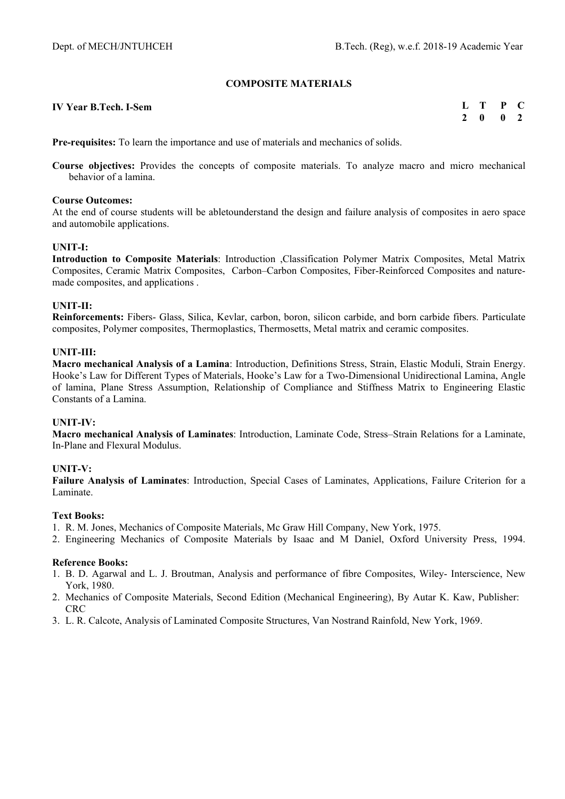# **COMPOSITE MATERIALS**

| <b>IV Year B.Tech. I-Sem</b> | L T P C |  |
|------------------------------|---------|--|
|                              | 2 0 0 2 |  |

**Pre-requisites:** To learn the importance and use of materials and mechanics of solids.

**Course objectives:** Provides the concepts of composite materials. To analyze macro and micro mechanical behavior of a lamina.

#### **Course Outcomes:**

At the end of course students will be abletounderstand the design and failure analysis of composites in aero space and automobile applications.

## **UNIT-I:**

**Introduction to Composite Materials**: Introduction ,Classification Polymer Matrix Composites, Metal Matrix Composites, Ceramic Matrix Composites, Carbon–Carbon Composites, Fiber-Reinforced Composites and naturemade composites, and applications .

## **UNIT-II:**

**Reinforcements:** Fibers- Glass, Silica, Kevlar, carbon, boron, silicon carbide, and born carbide fibers. Particulate composites, Polymer composites, Thermoplastics, Thermosetts, Metal matrix and ceramic composites.

## **UNIT-III:**

**Macro mechanical Analysis of a Lamina**: Introduction, Definitions Stress, Strain, Elastic Moduli, Strain Energy. Hooke's Law for Different Types of Materials, Hooke's Law for a Two-Dimensional Unidirectional Lamina, Angle of lamina, Plane Stress Assumption, Relationship of Compliance and Stiffness Matrix to Engineering Elastic Constants of a Lamina.

#### **UNIT-IV:**

**Macro mechanical Analysis of Laminates**: Introduction, Laminate Code, Stress–Strain Relations for a Laminate, In-Plane and Flexural Modulus.

#### **UNIT-V:**

**Failure Analysis of Laminates**: Introduction, Special Cases of Laminates, Applications, Failure Criterion for a Laminate.

#### **Text Books:**

- 1. R. M. Jones, Mechanics of Composite Materials, Mc Graw Hill Company, New York, 1975.
- 2. Engineering Mechanics of Composite Materials by Isaac and M Daniel, Oxford University Press, 1994.

#### **Reference Books:**

- 1. B. D. Agarwal and L. J. Broutman, Analysis and performance of fibre Composites, Wiley- Interscience, New York, 1980.
- 2. Mechanics of Composite Materials, Second Edition (Mechanical Engineering), By Autar K. Kaw, Publisher: CRC
- 3. L. R. Calcote, Analysis of Laminated Composite Structures, Van Nostrand Rainfold, New York, 1969.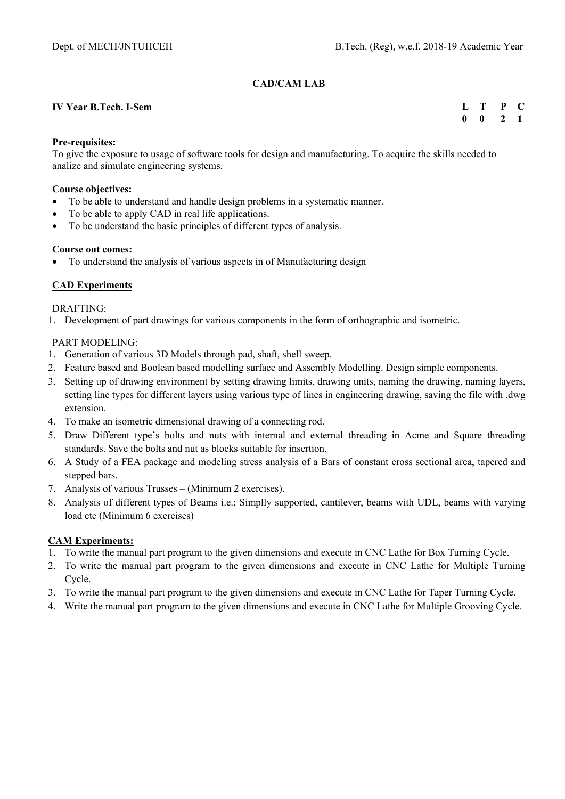# **CAD/CAM LAB**

## **IV Year B.Tech. I-Sem**

## **L T P C 0 0 2 1**

## **Pre-requisites:**

To give the exposure to usage of software tools for design and manufacturing. To acquire the skills needed to analize and simulate engineering systems.

## **Course objectives:**

- To be able to understand and handle design problems in a systematic manner.
- To be able to apply CAD in real life applications.
- To be understand the basic principles of different types of analysis.

## **Course out comes:**

To understand the analysis of various aspects in of Manufacturing design

# **CAD Experiments**

## DRAFTING:

1. Development of part drawings for various components in the form of orthographic and isometric.

# PART MODELING:

- 1. Generation of various 3D Models through pad, shaft, shell sweep.
- 2. Feature based and Boolean based modelling surface and Assembly Modelling. Design simple components.
- 3. Setting up of drawing environment by setting drawing limits, drawing units, naming the drawing, naming layers, setting line types for different layers using various type of lines in engineering drawing, saving the file with .dwg extension.
- 4. To make an isometric dimensional drawing of a connecting rod.
- 5. Draw Different type's bolts and nuts with internal and external threading in Acme and Square threading standards. Save the bolts and nut as blocks suitable for insertion.
- 6. A Study of a FEA package and modeling stress analysis of a Bars of constant cross sectional area, tapered and stepped bars.
- 7. Analysis of various Trusses (Minimum 2 exercises).
- 8. Analysis of different types of Beams i.e.; Simplly supported, cantilever, beams with UDL, beams with varying load etc (Minimum 6 exercises)

# **CAM Experiments:**

- 1. To write the manual part program to the given dimensions and execute in CNC Lathe for Box Turning Cycle.
- 2. To write the manual part program to the given dimensions and execute in CNC Lathe for Multiple Turning Cycle.
- 3. To write the manual part program to the given dimensions and execute in CNC Lathe for Taper Turning Cycle.
- 4. Write the manual part program to the given dimensions and execute in CNC Lathe for Multiple Grooving Cycle.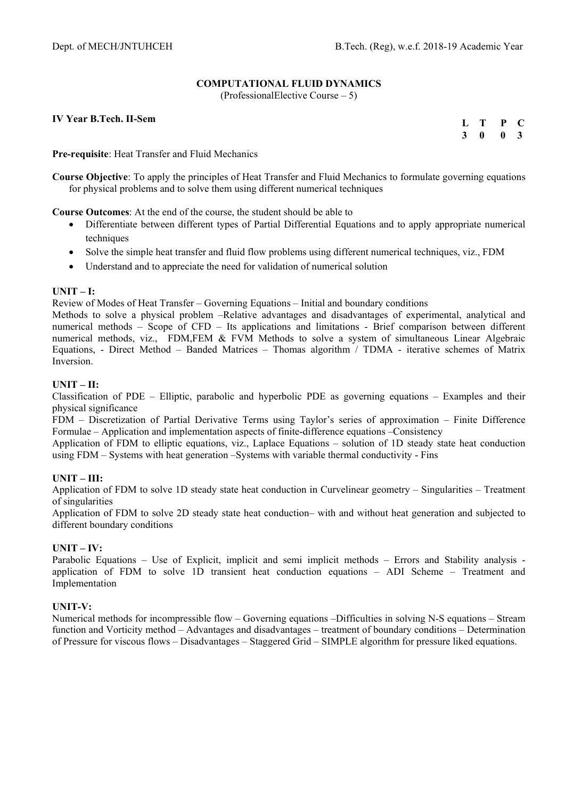# **COMPUTATIONAL FLUID DYNAMICS**

(ProfessionalElective Course – 5)

**IV Year B.Tech. II-Sem** 

| $\mathbf{L}$ | т | P | - 60                    |
|--------------|---|---|-------------------------|
| 3            | 0 | 0 | $\overline{\mathbf{3}}$ |

**Pre-requisite**: Heat Transfer and Fluid Mechanics

**Course Objective**: To apply the principles of Heat Transfer and Fluid Mechanics to formulate governing equations for physical problems and to solve them using different numerical techniques

**Course Outcomes**: At the end of the course, the student should be able to

- Differentiate between different types of Partial Differential Equations and to apply appropriate numerical techniques
- Solve the simple heat transfer and fluid flow problems using different numerical techniques, viz., FDM
- Understand and to appreciate the need for validation of numerical solution

## **UNIT – I:**

Review of Modes of Heat Transfer – Governing Equations – Initial and boundary conditions

Methods to solve a physical problem –Relative advantages and disadvantages of experimental, analytical and numerical methods – Scope of CFD – Its applications and limitations - Brief comparison between different numerical methods, viz., FDM,FEM & FVM Methods to solve a system of simultaneous Linear Algebraic Equations, - Direct Method – Banded Matrices – Thomas algorithm / TDMA - iterative schemes of Matrix Inversion.

## **UNIT – II:**

Classification of PDE – Elliptic, parabolic and hyperbolic PDE as governing equations – Examples and their physical significance

FDM – Discretization of Partial Derivative Terms using Taylor's series of approximation – Finite Difference Formulae – Application and implementation aspects of finite-difference equations –Consistency

Application of FDM to elliptic equations, viz., Laplace Equations – solution of 1D steady state heat conduction using FDM – Systems with heat generation –Systems with variable thermal conductivity - Fins

# **UNIT – III:**

Application of FDM to solve 1D steady state heat conduction in Curvelinear geometry – Singularities – Treatment of singularities

Application of FDM to solve 2D steady state heat conduction– with and without heat generation and subjected to different boundary conditions

#### **UNIT – IV:**

Parabolic Equations – Use of Explicit, implicit and semi implicit methods – Errors and Stability analysis application of FDM to solve 1D transient heat conduction equations – ADI Scheme – Treatment and Implementation

#### **UNIT-V:**

Numerical methods for incompressible flow – Governing equations –Difficulties in solving N-S equations – Stream function and Vorticity method – Advantages and disadvantages – treatment of boundary conditions – Determination of Pressure for viscous flows – Disadvantages – Staggered Grid – SIMPLE algorithm for pressure liked equations.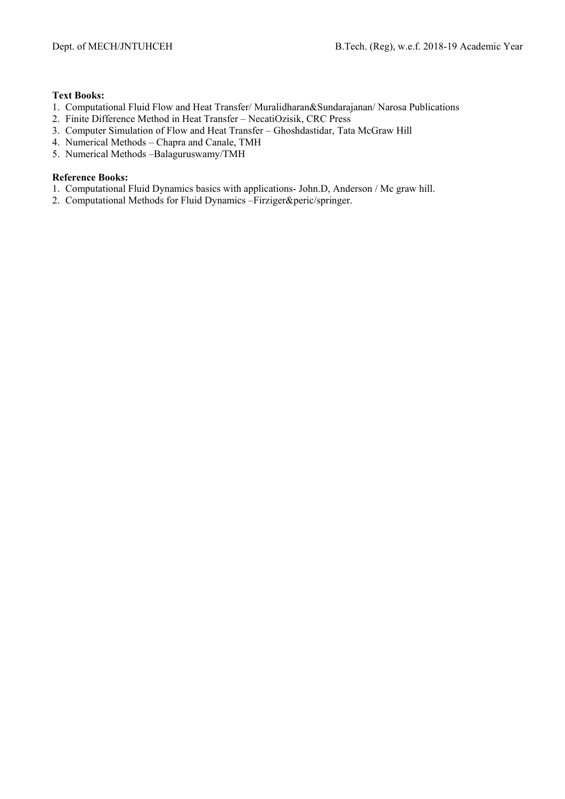## **Text Books:**

- 1. Computational Fluid Flow and Heat Transfer/ Muralidharan&Sundarajanan/ Narosa Publications
- 2. Finite Difference Method in Heat Transfer NecatiOzisik, CRC Press
- 3. Computer Simulation of Flow and Heat Transfer Ghoshdastidar, Tata McGraw Hill
- 4. Numerical Methods Chapra and Canale, TMH
- 5. Numerical Methods –Balaguruswamy/TMH

# **Reference Books:**

- 1. Computational Fluid Dynamics basics with applications- John.D, Anderson / Mc graw hill.
- 2. Computational Methods for Fluid Dynamics –Firziger&peric/springer.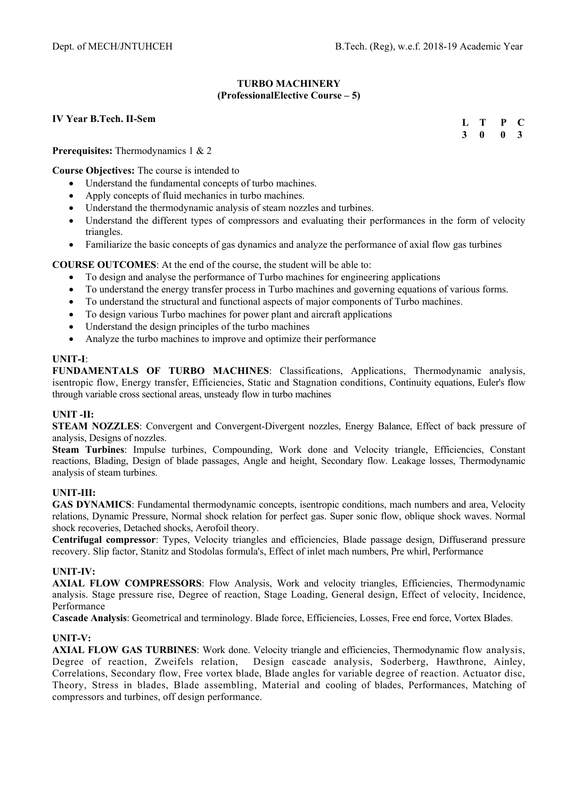## **TURBO MACHINERY (ProfessionalElective Course – 5)**

## **IV Year B.Tech. II-Sem**

**L T P C 3 0 0 3** 

**Prerequisites:** Thermodynamics 1 & 2

**Course Objectives:** The course is intended to

- Understand the fundamental concepts of turbo machines.
- Apply concepts of fluid mechanics in turbo machines.
- Understand the thermodynamic analysis of steam nozzles and turbines.
- Understand the different types of compressors and evaluating their performances in the form of velocity triangles.
- Familiarize the basic concepts of gas dynamics and analyze the performance of axial flow gas turbines

**COURSE OUTCOMES**: At the end of the course, the student will be able to:

- To design and analyse the performance of Turbo machines for engineering applications
- To understand the energy transfer process in Turbo machines and governing equations of various forms.
- To understand the structural and functional aspects of major components of Turbo machines.
- To design various Turbo machines for power plant and aircraft applications
- Understand the design principles of the turbo machines
- Analyze the turbo machines to improve and optimize their performance

## **UNIT-I**:

**FUNDAMENTALS OF TURBO MACHINES**: Classifications, Applications, Thermodynamic analysis, isentropic flow, Energy transfer, Efficiencies, Static and Stagnation conditions, Continuity equations, Euler's flow through variable cross sectional areas, unsteady flow in turbo machines

# **UNIT -II:**

**STEAM NOZZLES**: Convergent and Convergent-Divergent nozzles, Energy Balance, Effect of back pressure of analysis, Designs of nozzles.

**Steam Turbines**: Impulse turbines, Compounding, Work done and Velocity triangle, Efficiencies, Constant reactions, Blading, Design of blade passages, Angle and height, Secondary flow. Leakage losses, Thermodynamic analysis of steam turbines.

# **UNIT-III:**

**GAS DYNAMICS**: Fundamental thermodynamic concepts, isentropic conditions, mach numbers and area, Velocity relations, Dynamic Pressure, Normal shock relation for perfect gas. Super sonic flow, oblique shock waves. Normal shock recoveries, Detached shocks, Aerofoil theory.

**Centrifugal compressor**: Types, Velocity triangles and efficiencies, Blade passage design, Diffuserand pressure recovery. Slip factor, Stanitz and Stodolas formula's, Effect of inlet mach numbers, Pre whirl, Performance

#### **UNIT-IV:**

**AXIAL FLOW COMPRESSORS**: Flow Analysis, Work and velocity triangles, Efficiencies, Thermodynamic analysis. Stage pressure rise, Degree of reaction, Stage Loading, General design, Effect of velocity, Incidence, Performance

**Cascade Analysis**: Geometrical and terminology. Blade force, Efficiencies, Losses, Free end force, Vortex Blades.

#### **UNIT-V:**

**AXIAL FLOW GAS TURBINES**: Work done. Velocity triangle and efficiencies, Thermodynamic flow analysis, Degree of reaction, Zweifels relation, Design cascade analysis, Soderberg, Hawthrone, Ainley, Correlations, Secondary flow, Free vortex blade, Blade angles for variable degree of reaction. Actuator disc, Theory, Stress in blades, Blade assembling, Material and cooling of blades, Performances, Matching of compressors and turbines, off design performance.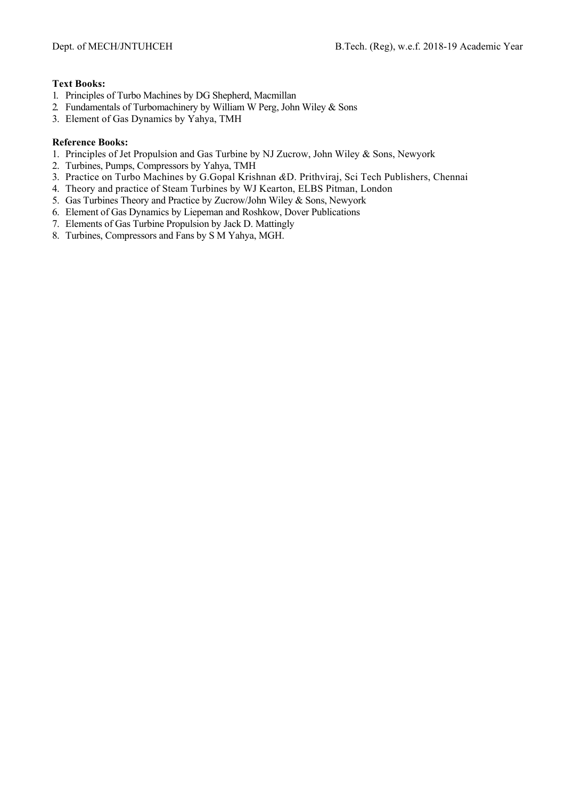## **Text Books:**

- 1. Principles of Turbo Machines by DG Shepherd, Macmillan
- 2. Fundamentals of Turbomachinery by William W Perg, John Wiley & Sons
- 3. Element of Gas Dynamics by Yahya, TMH

## **Reference Books:**

- 1. Principles of Jet Propulsion and Gas Turbine by NJ Zucrow, John Wiley & Sons, Newyork
- 2. Turbines, Pumps, Compressors by Yahya, TMH
- 3. Practice on Turbo Machines by G.Gopal Krishnan *&*D. Prithviraj, Sci Tech Publishers, Chennai
- 4. Theory and practice of Steam Turbines by WJ Kearton, ELBS Pitman, London
- 5. Gas Turbines Theory and Practice by Zucrow/John Wiley & Sons, Newyork
- 6. Element of Gas Dynamics by Liepeman and Roshkow, Dover Publications
- 7. Elements of Gas Turbine Propulsion by Jack D. Mattingly
- 8. Turbines, Compressors and Fans by S M Yahya, MGH.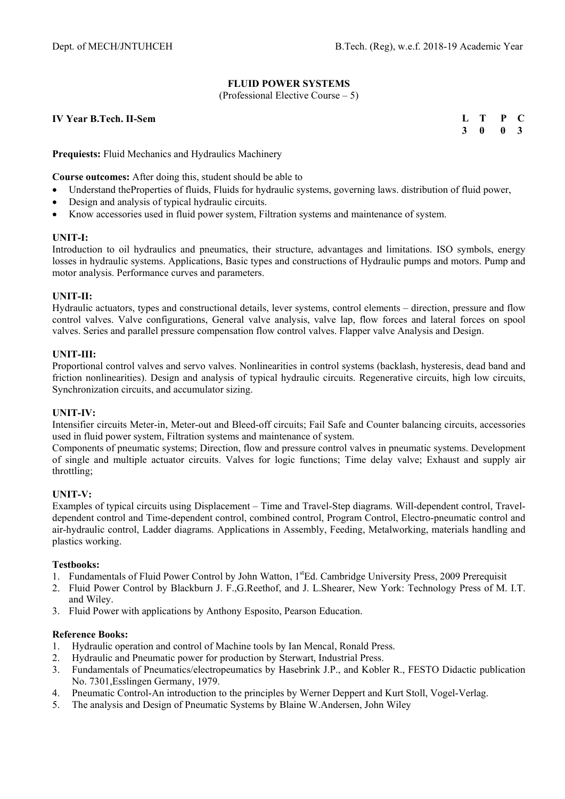# **FLUID POWER SYSTEMS**

(Professional Elective Course – 5)

**IV Year B.Tech. II-Sem** 

| L | т | P | C            |
|---|---|---|--------------|
| 3 | 0 | 0 | $\mathbf{3}$ |

**Prequiests:** Fluid Mechanics and Hydraulics Machinery

**Course outcomes:** After doing this, student should be able to

- Understand theProperties of fluids, Fluids for hydraulic systems, governing laws. distribution of fluid power,
- Design and analysis of typical hydraulic circuits.
- Know accessories used in fluid power system, Filtration systems and maintenance of system.

#### **UNIT-I:**

Introduction to oil hydraulics and pneumatics, their structure, advantages and limitations. ISO symbols, energy losses in hydraulic systems. Applications, Basic types and constructions of Hydraulic pumps and motors. Pump and motor analysis. Performance curves and parameters.

## **UNIT-II:**

Hydraulic actuators, types and constructional details, lever systems, control elements – direction, pressure and flow control valves. Valve configurations, General valve analysis, valve lap, flow forces and lateral forces on spool valves. Series and parallel pressure compensation flow control valves. Flapper valve Analysis and Design.

#### **UNIT-III:**

Proportional control valves and servo valves. Nonlinearities in control systems (backlash, hysteresis, dead band and friction nonlinearities). Design and analysis of typical hydraulic circuits. Regenerative circuits, high low circuits, Synchronization circuits, and accumulator sizing.

#### **UNIT-IV:**

Intensifier circuits Meter-in, Meter-out and Bleed-off circuits; Fail Safe and Counter balancing circuits, accessories used in fluid power system, Filtration systems and maintenance of system.

Components of pneumatic systems; Direction, flow and pressure control valves in pneumatic systems. Development of single and multiple actuator circuits. Valves for logic functions; Time delay valve; Exhaust and supply air throttling;

# **UNIT-V:**

Examples of typical circuits using Displacement – Time and Travel-Step diagrams. Will-dependent control, Traveldependent control and Time-dependent control, combined control, Program Control, Electro-pneumatic control and air-hydraulic control, Ladder diagrams. Applications in Assembly, Feeding, Metalworking, materials handling and plastics working.

#### **Testbooks:**

- 1. Fundamentals of Fluid Power Control by John Watton, 1<sup>st</sup>Ed. Cambridge University Press, 2009 Prerequisit
- 2. Fluid Power Control by Blackburn J. F.,G.Reethof, and J. L.Shearer, New York: Technology Press of M. I.T. and Wiley.
- 3. Fluid Power with applications by Anthony Esposito, Pearson Education.

#### **Reference Books:**

- 1. Hydraulic operation and control of Machine tools by Ian Mencal, Ronald Press.
- 
- 2. Hydraulic and Pneumatic power for production by Sterwart, Industrial Press.<br>3. Fundamentals of Pneumatics/electropeumatics by Hasebrink J.P.. and Koble 3. Fundamentals of Pneumatics/electropeumatics by Hasebrink J.P., and Kobler R., FESTO Didactic publication No. 7301,Esslingen Germany, 1979.
- 4. Pneumatic Control-An introduction to the principles by Werner Deppert and Kurt Stoll, Vogel-Verlag.
- 5. The analysis and Design of Pneumatic Systems by Blaine W.Andersen, John Wiley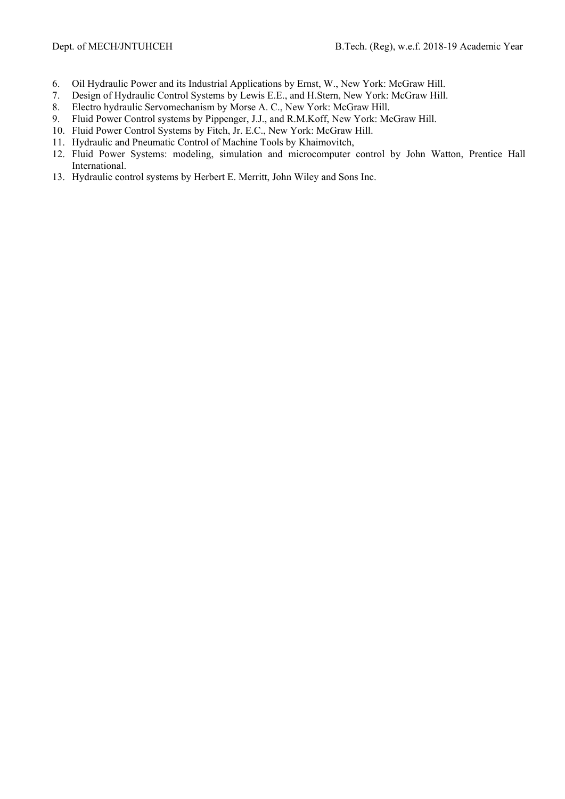- 6. Oil Hydraulic Power and its Industrial Applications by Ernst, W., New York: McGraw Hill.
- 7. Design of Hydraulic Control Systems by Lewis E.E., and H.Stern, New York: McGraw Hill.
- 8. Electro hydraulic Servomechanism by Morse A. C., New York: McGraw Hill.
- 9. Fluid Power Control systems by Pippenger, J.J., and R.M.Koff, New York: McGraw Hill.
- 10. Fluid Power Control Systems by Fitch, Jr. E.C., New York: McGraw Hill.
- 11. Hydraulic and Pneumatic Control of Machine Tools by Khaimovitch,
- 12. Fluid Power Systems: modeling, simulation and microcomputer control by John Watton, Prentice Hall International.
- 13. Hydraulic control systems by Herbert E. Merritt, John Wiley and Sons Inc.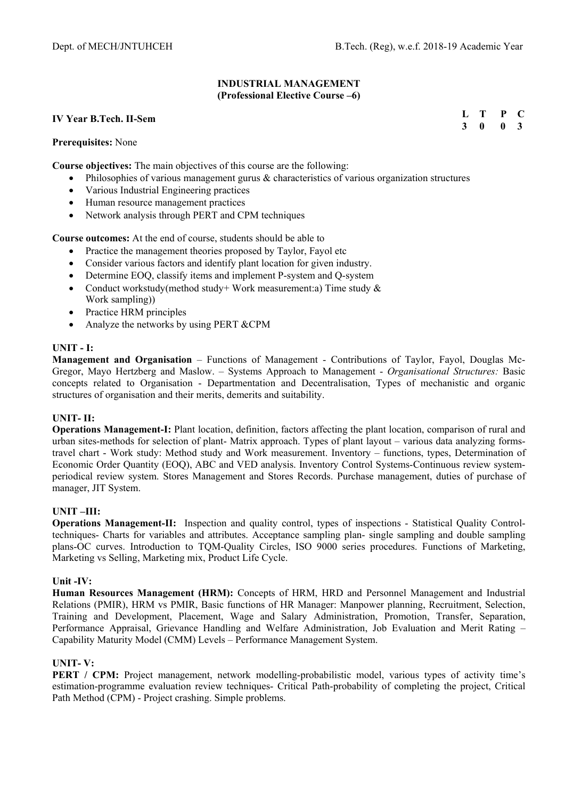## **INDUSTRIAL MANAGEMENT (Professional Elective Course –6)**

## **IV Year B.Tech. II-Sem**

#### **Prerequisites:** None

**Course objectives:** The main objectives of this course are the following:

- $\bullet$  Philosophies of various management gurus  $\&$  characteristics of various organization structures
- Various Industrial Engineering practices
- Human resource management practices
- Network analysis through PERT and CPM techniques

**Course outcomes:** At the end of course, students should be able to

- Practice the management theories proposed by Taylor, Fayol etc
- Consider various factors and identify plant location for given industry.
- Determine EOQ, classify items and implement P-system and Q-system
- Conduct workstudy(method study+ Work measurement:a) Time study & Work sampling))
- Practice HRM principles
- Analyze the networks by using PERT &CPM

## **UNIT - I:**

**Management and Organisation** – Functions of Management - Contributions of Taylor, Fayol, Douglas Mc-Gregor, Mayo Hertzberg and Maslow. – Systems Approach to Management - *Organisational Structures:* Basic concepts related to Organisation - Departmentation and Decentralisation, Types of mechanistic and organic structures of organisation and their merits, demerits and suitability.

# **UNIT- II:**

**Operations Management-I:** Plant location, definition, factors affecting the plant location, comparison of rural and urban sites-methods for selection of plant- Matrix approach. Types of plant layout – various data analyzing formstravel chart - Work study: Method study and Work measurement. Inventory – functions, types, Determination of Economic Order Quantity (EOQ), ABC and VED analysis. Inventory Control Systems-Continuous review systemperiodical review system. Stores Management and Stores Records. Purchase management, duties of purchase of manager, JIT System.

#### **UNIT –III:**

**Operations Management-II:** Inspection and quality control, types of inspections - Statistical Quality Controltechniques- Charts for variables and attributes. Acceptance sampling plan- single sampling and double sampling plans-OC curves. Introduction to TQM-Quality Circles, ISO 9000 series procedures. Functions of Marketing, Marketing vs Selling, Marketing mix, Product Life Cycle.

#### **Unit -IV:**

**Human Resources Management (HRM):** Concepts of HRM, HRD and Personnel Management and Industrial Relations (PMIR), HRM vs PMIR, Basic functions of HR Manager: Manpower planning, Recruitment, Selection, Training and Development, Placement, Wage and Salary Administration, Promotion, Transfer, Separation, Performance Appraisal, Grievance Handling and Welfare Administration, Job Evaluation and Merit Rating – Capability Maturity Model (CMM) Levels – Performance Management System.

# **UNIT- V:**

**PERT / CPM:** Project management, network modelling-probabilistic model, various types of activity time's estimation-programme evaluation review techniques- Critical Path-probability of completing the project, Critical Path Method (CPM) - Project crashing. Simple problems.

| L | т | P | $\mathbf C$  |
|---|---|---|--------------|
| 3 | 0 | 0 | $\mathbf{3}$ |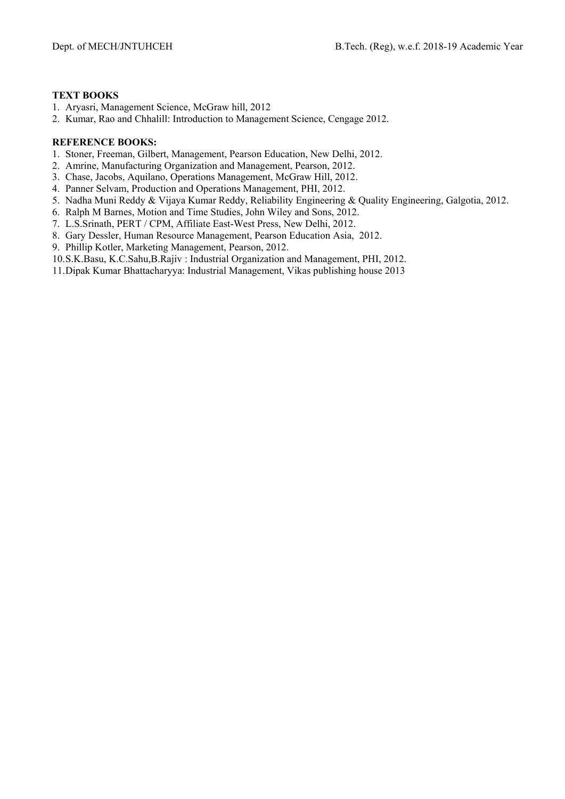## **TEXT BOOKS**

- 1. Aryasri, Management Science, McGraw hill, 2012
- 2. Kumar, Rao and Chhalill: Introduction to Management Science, Cengage 2012.

- 1. Stoner, Freeman, Gilbert, Management, Pearson Education, New Delhi, 2012.
- 2. Amrine, Manufacturing Organization and Management, Pearson, 2012.
- 3. Chase, Jacobs, Aquilano, Operations Management, McGraw Hill, 2012.
- 4. Panner Selvam, Production and Operations Management, PHI, 2012.
- 5. Nadha Muni Reddy & Vijaya Kumar Reddy, Reliability Engineering & Quality Engineering, Galgotia, 2012.
- 6. Ralph M Barnes, Motion and Time Studies, John Wiley and Sons, 2012.
- 7. L.S.Srinath, PERT / CPM, Affiliate East-West Press, New Delhi, 2012.
- 8. Gary Dessler, Human Resource Management, Pearson Education Asia, 2012.
- 9. Phillip Kotler, Marketing Management, Pearson, 2012.
- 10.S.K.Basu, K.C.Sahu,B.Rajiv : Industrial Organization and Management, PHI, 2012.
- 11.Dipak Kumar Bhattacharyya: Industrial Management, Vikas publishing house 2013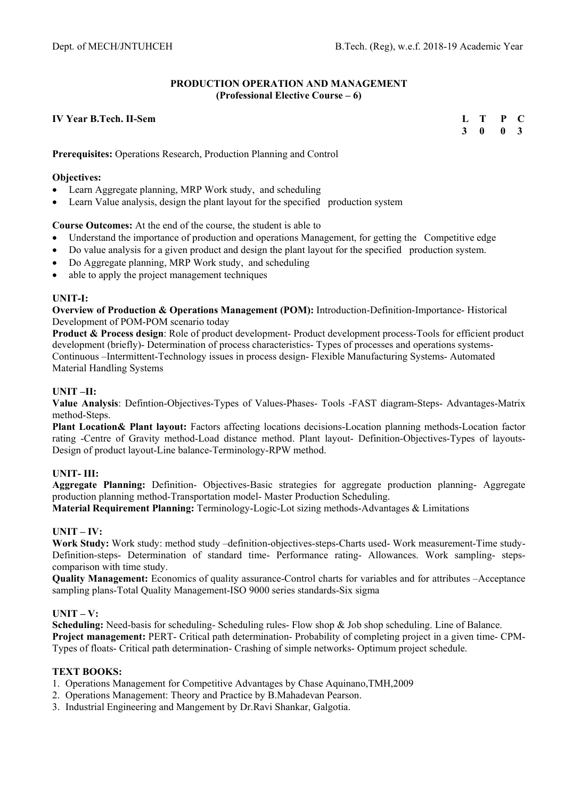# **PRODUCTION OPERATION AND MANAGEMENT (Professional Elective Course – 6)**

## **IV Year B.Tech. II-Sem**

**L T P C 3 0 0 3** 

**Prerequisites:** Operations Research, Production Planning and Control

## **Objectives:**

- Learn Aggregate planning, MRP Work study, and scheduling
- Learn Value analysis, design the plant layout for the specified production system

## **Course Outcomes:** At the end of the course, the student is able to

- Understand the importance of production and operations Management, for getting the Competitive edge
- Do value analysis for a given product and design the plant layout for the specified production system.
- Do Aggregate planning, MRP Work study, and scheduling
- able to apply the project management techniques

## **UNIT-I:**

**Overview of Production & Operations Management (POM):** Introduction-Definition-Importance- Historical Development of POM-POM scenario today

**Product & Process design**: Role of product development- Product development process-Tools for efficient product development (briefly)- Determination of process characteristics- Types of processes and operations systems-Continuous –Intermittent-Technology issues in process design- Flexible Manufacturing Systems- Automated Material Handling Systems

# **UNIT –II:**

**Value Analysis**: Defintion-Objectives-Types of Values-Phases- Tools -FAST diagram-Steps- Advantages-Matrix method-Steps.

**Plant Location& Plant layout:** Factors affecting locations decisions-Location planning methods-Location factor rating -Centre of Gravity method-Load distance method. Plant layout- Definition-Objectives-Types of layouts-Design of product layout-Line balance-Terminology-RPW method.

# **UNIT- III:**

**Aggregate Planning:** Definition- Objectives-Basic strategies for aggregate production planning- Aggregate production planning method-Transportation model- Master Production Scheduling.

**Material Requirement Planning:** Terminology-Logic-Lot sizing methods-Advantages & Limitations

#### **UNIT – IV:**

**Work Study:** Work study: method study –definition-objectives-steps-Charts used- Work measurement-Time study-Definition-steps- Determination of standard time- Performance rating- Allowances. Work sampling- stepscomparison with time study.

**Quality Management:** Economics of quality assurance-Control charts for variables and for attributes –Acceptance sampling plans-Total Quality Management-ISO 9000 series standards-Six sigma

# **UNIT – V:**

**Scheduling:** Need-basis for scheduling- Scheduling rules- Flow shop & Job shop scheduling. Line of Balance. **Project management:** PERT- Critical path determination- Probability of completing project in a given time- CPM-Types of floats- Critical path determination- Crashing of simple networks- Optimum project schedule.

# **TEXT BOOKS:**

- 1. Operations Management for Competitive Advantages by Chase Aquinano,TMH,2009
- 2. Operations Management: Theory and Practice by B.Mahadevan Pearson.
- 3. Industrial Engineering and Mangement by Dr.Ravi Shankar, Galgotia.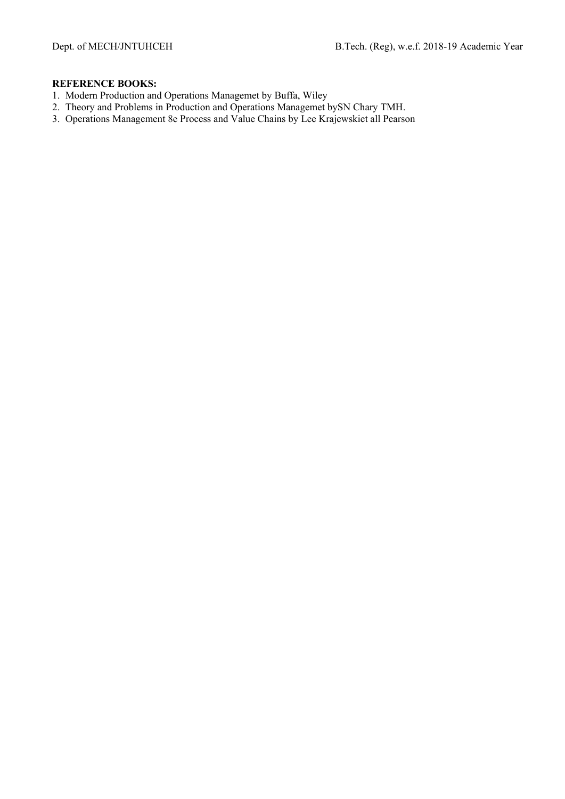- 1. Modern Production and Operations Managemet by Buffa, Wiley
- 2. Theory and Problems in Production and Operations Managemet bySN Chary TMH.
- 3. Operations Management 8e Process and Value Chains by Lee Krajewskiet all Pearson